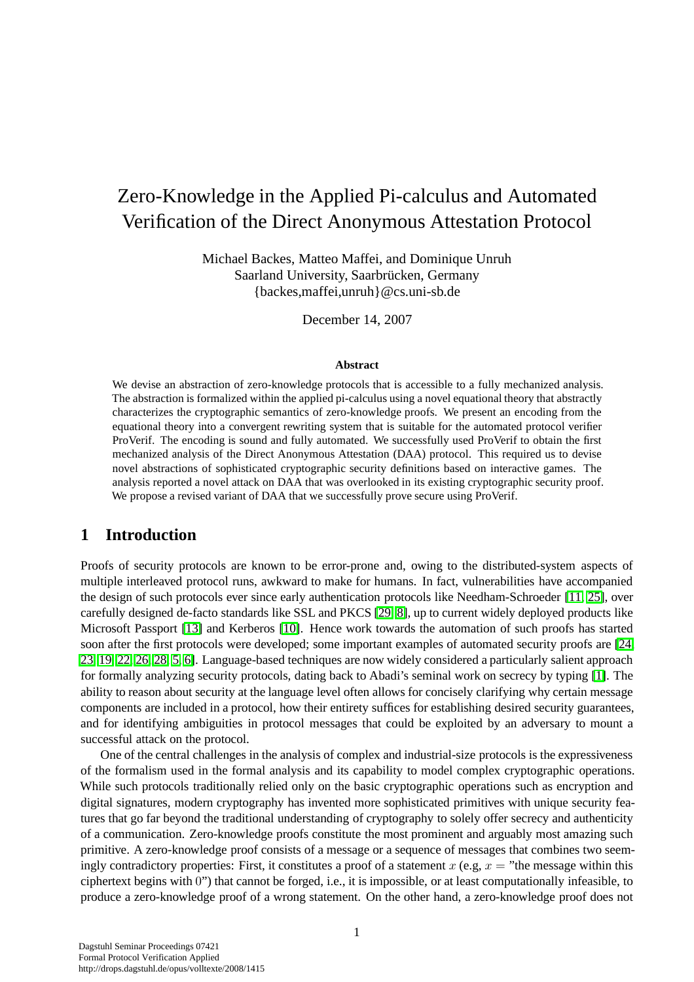# Zero-Knowledge in the Applied Pi-calculus and Automated Verification of the Direct Anonymous Attestation Protocol

Michael Backes, Matteo Maffei, and Dominique Unruh Saarland University, Saarbrücken, Germany  ${backes,}$  maffei, unruh  $@cs.$ uni-sb.de

December 14, 2007

#### **Abstract**

We devise an abstraction of zero-knowledge protocols that is accessible to a fully mechanized analysis. The abstraction is formalized within the applied pi-calculus using a novel equational theory that abstractly characterizes the cryptographic semantics of zero-knowledge proofs. We present an encoding from the equational theory into a convergent rewriting system that is suitable for the automated protocol verifier ProVerif. The encoding is sound and fully automated. We successfully used ProVerif to obtain the first mechanized analysis of the Direct Anonymous Attestation (DAA) protocol. This required us to devise novel abstractions of sophisticated cryptographic security definitions based on interactive games. The analysis reported a novel attack on DAA that was overlooked in its existing cryptographic security proof. We propose a revised variant of DAA that we successfully prove secure using ProVerif.

## **1 Introduction**

Proofs of security protocols are known to be error-prone and, owing to the distributed-system aspects of multiple interleaved protocol runs, awkward to make for humans. In fact, vulnerabilities have accompanied the design of such protocols ever since early authentication protocols like Needham-Schroeder [\[11,](#page-41-0) [25\]](#page-42-0), over carefully designed de-facto standards like SSL and PKCS [\[29,](#page-42-1) [8\]](#page-40-0), up to current widely deployed products like Microsoft Passport [\[13\]](#page-41-1) and Kerberos [\[10\]](#page-41-2). Hence work towards the automation of such proofs has started soon after the first protocols were developed; some important examples of automated security proofs are [\[24,](#page-41-3) [23,](#page-41-4) [19,](#page-41-5) [22,](#page-41-6) [26,](#page-42-2) [28,](#page-42-3) [5,](#page-40-1) [6\]](#page-40-2). Language-based techniques are now widely considered a particularly salient approach for formally analyzing security protocols, dating back to Abadi's seminal work on secrecy by typing [\[1\]](#page-40-3). The ability to reason about security at the language level often allows for concisely clarifying why certain message components are included in a protocol, how their entirety suffices for establishing desired security guarantees, and for identifying ambiguities in protocol messages that could be exploited by an adversary to mount a successful attack on the protocol.

One of the central challenges in the analysis of complex and industrial-size protocols is the expressiveness of the formalism used in the formal analysis and its capability to model complex cryptographic operations. While such protocols traditionally relied only on the basic cryptographic operations such as encryption and digital signatures, modern cryptography has invented more sophisticated primitives with unique security features that go far beyond the traditional understanding of cryptography to solely offer secrecy and authenticity of a communication. Zero-knowledge proofs constitute the most prominent and arguably most amazing such primitive. A zero-knowledge proof consists of a message or a sequence of messages that combines two seemingly contradictory properties: First, it constitutes a proof of a statement  $x$  (e.g,  $x =$  "the message within this ciphertext begins with 0") that cannot be forged, i.e., it is impossible, or at least computationally infeasible, to produce a zero-knowledge proof of a wrong statement. On the other hand, a zero-knowledge proof does not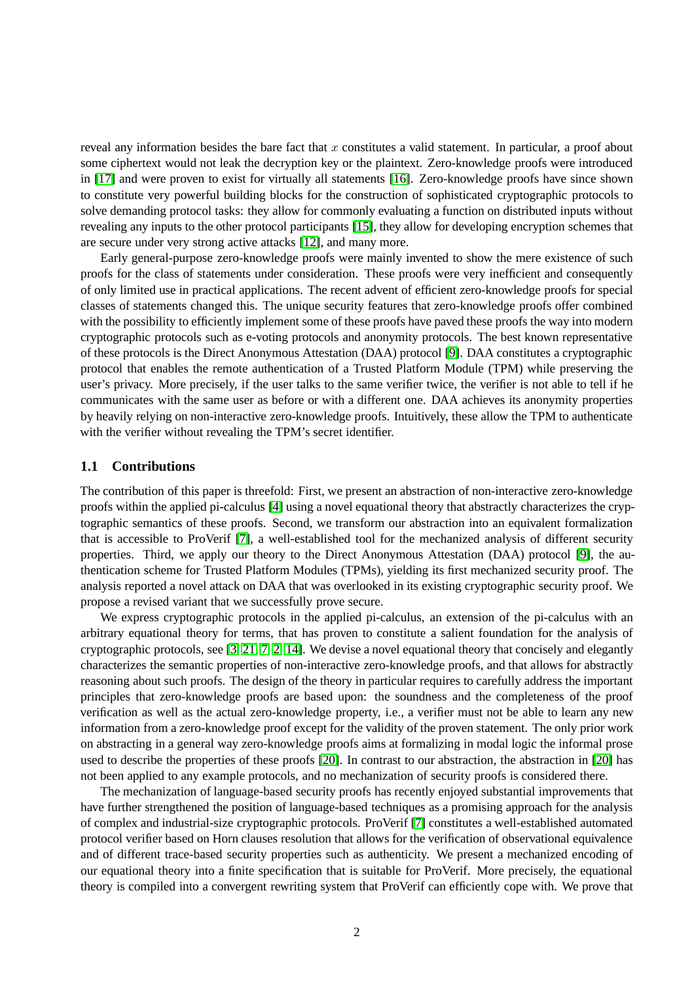reveal any information besides the bare fact that x constitutes a valid statement. In particular, a proof about some ciphertext would not leak the decryption key or the plaintext. Zero-knowledge proofs were introduced in [\[17\]](#page-41-7) and were proven to exist for virtually all statements [\[16\]](#page-41-8). Zero-knowledge proofs have since shown to constitute very powerful building blocks for the construction of sophisticated cryptographic protocols to solve demanding protocol tasks: they allow for commonly evaluating a function on distributed inputs without revealing any inputs to the other protocol participants [\[15\]](#page-41-9), they allow for developing encryption schemes that are secure under very strong active attacks [\[12\]](#page-41-10), and many more.

Early general-purpose zero-knowledge proofs were mainly invented to show the mere existence of such proofs for the class of statements under consideration. These proofs were very inefficient and consequently of only limited use in practical applications. The recent advent of efficient zero-knowledge proofs for special classes of statements changed this. The unique security features that zero-knowledge proofs offer combined with the possibility to efficiently implement some of these proofs have paved these proofs the way into modern cryptographic protocols such as e-voting protocols and anonymity protocols. The best known representative of these protocols is the Direct Anonymous Attestation (DAA) protocol [\[9\]](#page-41-11). DAA constitutes a cryptographic protocol that enables the remote authentication of a Trusted Platform Module (TPM) while preserving the user's privacy. More precisely, if the user talks to the same verifier twice, the verifier is not able to tell if he communicates with the same user as before or with a different one. DAA achieves its anonymity properties by heavily relying on non-interactive zero-knowledge proofs. Intuitively, these allow the TPM to authenticate with the verifier without revealing the TPM's secret identifier.

#### **1.1 Contributions**

The contribution of this paper is threefold: First, we present an abstraction of non-interactive zero-knowledge proofs within the applied pi-calculus [\[4\]](#page-40-4) using a novel equational theory that abstractly characterizes the cryptographic semantics of these proofs. Second, we transform our abstraction into an equivalent formalization that is accessible to ProVerif [\[7\]](#page-40-5), a well-established tool for the mechanized analysis of different security properties. Third, we apply our theory to the Direct Anonymous Attestation (DAA) protocol [\[9\]](#page-41-11), the authentication scheme for Trusted Platform Modules (TPMs), yielding its first mechanized security proof. The analysis reported a novel attack on DAA that was overlooked in its existing cryptographic security proof. We propose a revised variant that we successfully prove secure.

We express cryptographic protocols in the applied pi-calculus, an extension of the pi-calculus with an arbitrary equational theory for terms, that has proven to constitute a salient foundation for the analysis of cryptographic protocols, see [\[3,](#page-40-6) [21,](#page-41-12) [7,](#page-40-5) [2,](#page-40-7) [14\]](#page-41-13). We devise a novel equational theory that concisely and elegantly characterizes the semantic properties of non-interactive zero-knowledge proofs, and that allows for abstractly reasoning about such proofs. The design of the theory in particular requires to carefully address the important principles that zero-knowledge proofs are based upon: the soundness and the completeness of the proof verification as well as the actual zero-knowledge property, i.e., a verifier must not be able to learn any new information from a zero-knowledge proof except for the validity of the proven statement. The only prior work on abstracting in a general way zero-knowledge proofs aims at formalizing in modal logic the informal prose used to describe the properties of these proofs [\[20\]](#page-41-14). In contrast to our abstraction, the abstraction in [\[20\]](#page-41-14) has not been applied to any example protocols, and no mechanization of security proofs is considered there.

The mechanization of language-based security proofs has recently enjoyed substantial improvements that have further strengthened the position of language-based techniques as a promising approach for the analysis of complex and industrial-size cryptographic protocols. ProVerif [\[7\]](#page-40-5) constitutes a well-established automated protocol verifier based on Horn clauses resolution that allows for the verification of observational equivalence and of different trace-based security properties such as authenticity. We present a mechanized encoding of our equational theory into a finite specification that is suitable for ProVerif. More precisely, the equational theory is compiled into a convergent rewriting system that ProVerif can efficiently cope with. We prove that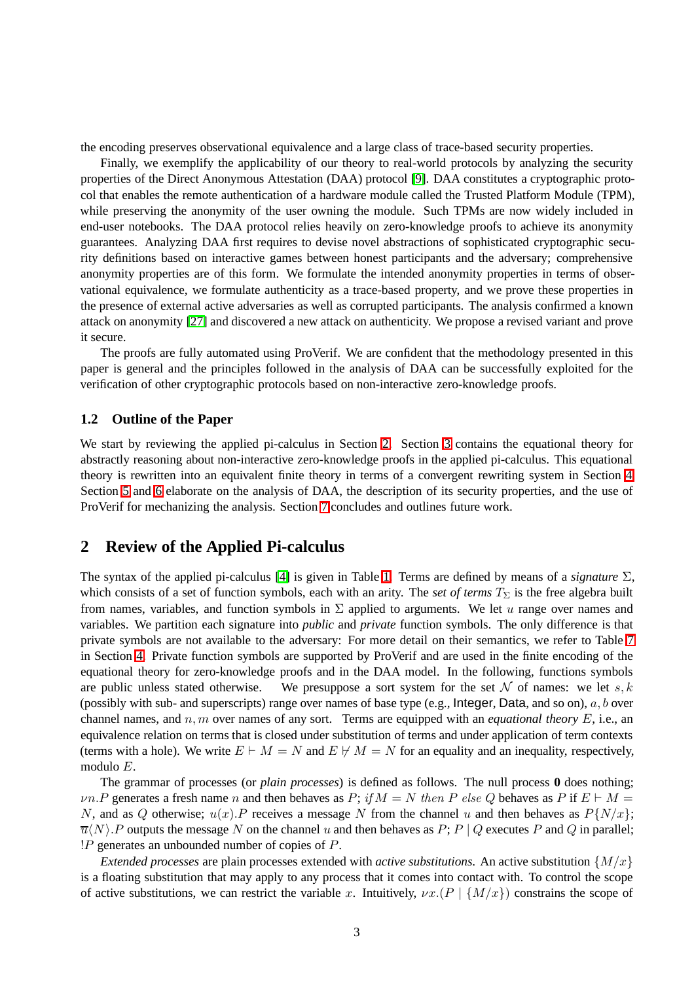the encoding preserves observational equivalence and a large class of trace-based security properties.

Finally, we exemplify the applicability of our theory to real-world protocols by analyzing the security properties of the Direct Anonymous Attestation (DAA) protocol [\[9\]](#page-41-11). DAA constitutes a cryptographic protocol that enables the remote authentication of a hardware module called the Trusted Platform Module (TPM), while preserving the anonymity of the user owning the module. Such TPMs are now widely included in end-user notebooks. The DAA protocol relies heavily on zero-knowledge proofs to achieve its anonymity guarantees. Analyzing DAA first requires to devise novel abstractions of sophisticated cryptographic security definitions based on interactive games between honest participants and the adversary; comprehensive anonymity properties are of this form. We formulate the intended anonymity properties in terms of observational equivalence, we formulate authenticity as a trace-based property, and we prove these properties in the presence of external active adversaries as well as corrupted participants. The analysis confirmed a known attack on anonymity [\[27\]](#page-42-4) and discovered a new attack on authenticity. We propose a revised variant and prove it secure.

The proofs are fully automated using ProVerif. We are confident that the methodology presented in this paper is general and the principles followed in the analysis of DAA can be successfully exploited for the verification of other cryptographic protocols based on non-interactive zero-knowledge proofs.

#### **1.2 Outline of the Paper**

We start by reviewing the applied pi-calculus in Section [2.](#page-2-0) Section [3](#page-4-0) contains the equational theory for abstractly reasoning about non-interactive zero-knowledge proofs in the applied pi-calculus. This equational theory is rewritten into an equivalent finite theory in terms of a convergent rewriting system in Section [4.](#page-8-0) Section [5](#page-20-0) and [6](#page-30-0) elaborate on the analysis of DAA, the description of its security properties, and the use of ProVerif for mechanizing the analysis. Section [7](#page-40-8) concludes and outlines future work.

## <span id="page-2-0"></span>**2 Review of the Applied Pi-calculus**

The syntax of the applied pi-calculus [\[4\]](#page-40-4) is given in Table [1.](#page-3-0) Terms are defined by means of a *signature* Σ, which consists of a set of function symbols, each with an arity. The *set of terms*  $T_{\Sigma}$  is the free algebra built from names, variables, and function symbols in  $\Sigma$  applied to arguments. We let u range over names and variables. We partition each signature into *public* and *private* function symbols. The only difference is that private symbols are not available to the adversary: For more detail on their semantics, we refer to Table [7](#page-11-0) in Section [4.](#page-8-0) Private function symbols are supported by ProVerif and are used in the finite encoding of the equational theory for zero-knowledge proofs and in the DAA model. In the following, functions symbols are public unless stated otherwise. We presuppose a sort system for the set  $\mathcal N$  of names: we let s, k (possibly with sub- and superscripts) range over names of base type (e.g., Integer, Data, and so on),  $a, b$  over channel names, and  $n, m$  over names of any sort. Terms are equipped with an *equational theory*  $E$ , i.e., an equivalence relation on terms that is closed under substitution of terms and under application of term contexts (terms with a hole). We write  $E \vdash M = N$  and  $E \not\vdash M = N$  for an equality and an inequality, respectively, modulo E.

The grammar of processes (or *plain processes*) is defined as follows. The null process **0** does nothing;  $\nu n.P$  generates a fresh name n and then behaves as P; if  $M = N$  then P else Q behaves as P if  $E \vdash M =$ N, and as Q otherwise;  $u(x)$ . P receives a message N from the channel u and then behaves as  $P\{N/x\}$ ;  $\overline{u}\langle N\rangle$ . P outputs the message N on the channel u and then behaves as P; P | Q executes P and Q in parallel; !P generates an unbounded number of copies of P.

*Extended processes* are plain processes extended with *active substitutions*. An active substitution  $\{M/x\}$ is a floating substitution that may apply to any process that it comes into contact with. To control the scope of active substitutions, we can restrict the variable x. Intuitively,  $\nu x.(P | {M/x})$  constrains the scope of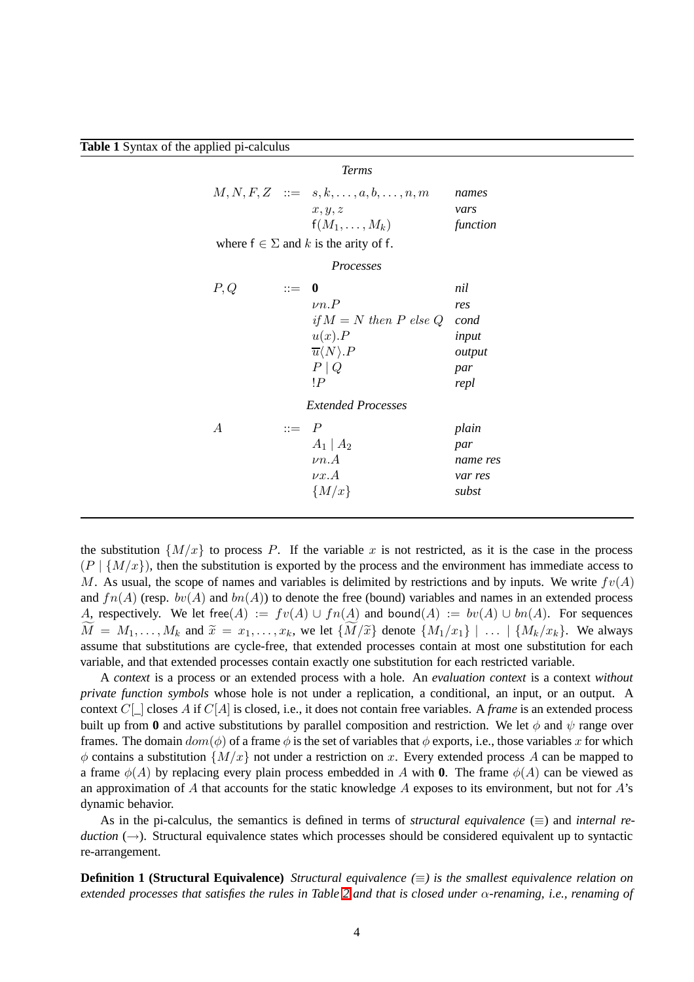<span id="page-3-0"></span>**Table 1** Syntax of the applied pi-calculus

|                | <b>Terms</b>                                                                                                                                                                                  |                                                                                  |
|----------------|-----------------------------------------------------------------------------------------------------------------------------------------------------------------------------------------------|----------------------------------------------------------------------------------|
|                | $M, N, F, Z \quad ::= \quad s, k, \ldots, a, b, \ldots, n, m$<br>x, y, z<br>$f(M_1,\ldots,M_k)$                                                                                               | names<br>vars<br>function                                                        |
|                | where $f \in \Sigma$ and k is the arity of f.                                                                                                                                                 |                                                                                  |
|                | <i>Processes</i>                                                                                                                                                                              |                                                                                  |
| P,Q            | $\mathrel{\mathop:}= \mathrel{\mathop{\mathstrut\mathrm{\scriptstyle{0}}}}$<br>$\nu n.P$<br>$u(x)$ . $P$<br>$\overline{u}\langle N\rangle.P$<br>$P \mid Q$<br>!P<br><i>Extended Processes</i> | nil<br>res<br>if $M = N$ then P else Q<br>cond<br>input<br>output<br>par<br>repl |
| $\overline{A}$ | $ ::= P$<br>$A_1 \mid A_2$<br>$\nu n.A$<br>$\nu x. A$<br>$\{M/x\}$                                                                                                                            | plain<br>par<br>name res<br>var res<br>subst                                     |

the substitution  $\{M/x\}$  to process P. If the variable x is not restricted, as it is the case in the process  $(P | {M/x}$ , then the substitution is exported by the process and the environment has immediate access to M. As usual, the scope of names and variables is delimited by restrictions and by inputs. We write  $f(v(A))$ and  $fn(A)$  (resp.  $bv(A)$  and  $bn(A)$ ) to denote the free (bound) variables and names in an extended process A, respectively. We let free(A) :=  $fv(A) \cup fn(A)$  and bound(A) :=  $bv(A) \cup bn(A)$ . For sequences  $M = M_1,\ldots,M_k$  and  $\tilde{x} = x_1,\ldots,x_k$ , we let  $\{M/\tilde{x}\}\$  denote  $\{M_1/x_1\} \mid \ldots \mid \{M_k/x_k\}$ . We always assume that substitutions are cycle-free, that extended processes contain at most one substitution for each variable, and that extended processes contain exactly one substitution for each restricted variable.

A *context* is a process or an extended process with a hole. An *evaluation context* is a context *without private function symbols* whose hole is not under a replication, a conditional, an input, or an output. A context C[\_] closes A if C[A] is closed, i.e., it does not contain free variables. A *frame* is an extended process built up from **0** and active substitutions by parallel composition and restriction. We let  $\phi$  and  $\psi$  range over frames. The domain  $dom(\phi)$  of a frame  $\phi$  is the set of variables that  $\phi$  exports, i.e., those variables x for which  $\phi$  contains a substitution  $\{M/x\}$  not under a restriction on x. Every extended process A can be mapped to a frame  $\phi(A)$  by replacing every plain process embedded in A with **0**. The frame  $\phi(A)$  can be viewed as an approximation of A that accounts for the static knowledge A exposes to its environment, but not for  $A$ 's dynamic behavior.

As in the pi-calculus, the semantics is defined in terms of *structural equivalence*  $(\equiv)$  and *internal reduction* (→). Structural equivalence states which processes should be considered equivalent up to syntactic re-arrangement.

**Definition 1 (Structural Equivalence)** *Structural equivalence (*≡*) is the smallest equivalence relation on extended processes that satisfies the rules in Table [2](#page-4-1) and that is closed under* α*-renaming, i.e., renaming of*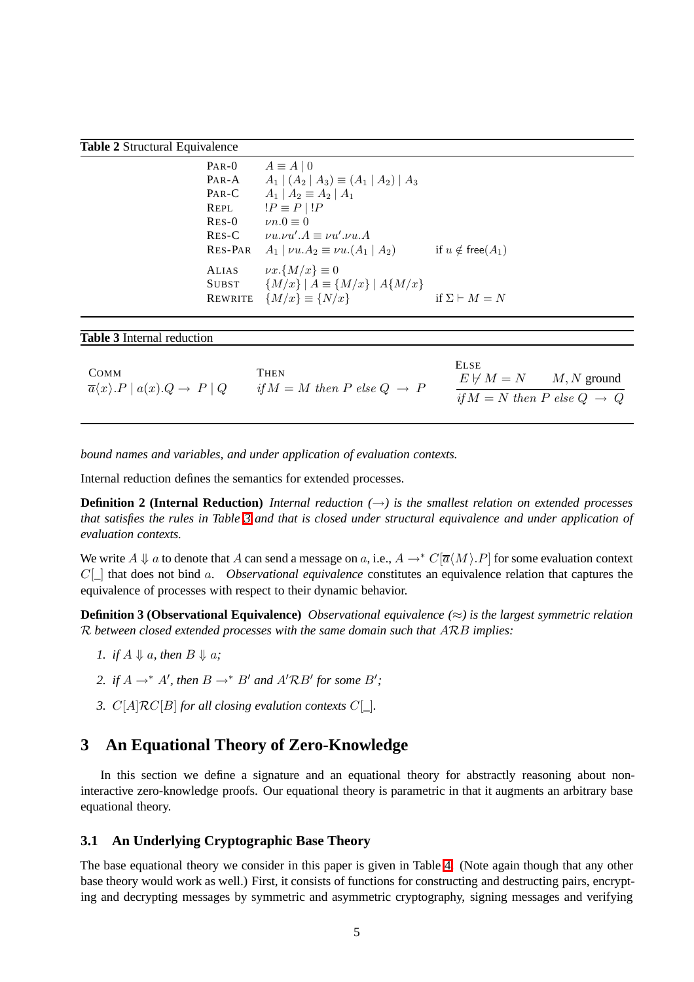#### <span id="page-4-1"></span>**Table 2** Structural Equivalence

| $PAR-0$<br>$PAR-A$ | $A \equiv A \mid 0$<br>$A_1   (A_2   A_3) \equiv (A_1   A_2)   A_3$ |                             |
|--------------------|---------------------------------------------------------------------|-----------------------------|
| $PAR-C$            | $A_1   A_2 \equiv A_2   A_1$                                        |                             |
| REPL               | $!P \equiv P \mid !P$                                               |                             |
| $RES-0$            | $\nu n.0 \equiv 0$                                                  |                             |
| $RES-C$            | $\nu u.\nu u'.A \equiv \nu u'.\nu u.A$                              |                             |
| <b>RES-PAR</b>     | $A_1   \nu u.A_2 \equiv \nu u.(A_1   A_2)$                          | if $u \notin$ free( $A_1$ ) |
| <b>ALIAS</b>       | $\nu x.\{M/x\} \equiv 0$                                            |                             |
| <b>SUBST</b>       | ${M/x}   A \equiv {M/x}   A{M/x} $                                  |                             |
| <b>REWRITE</b>     | ${M/x}\equiv {N/x}$                                                 | if $\Sigma \vdash M = N$    |

<span id="page-4-2"></span>

| <b>Table 3</b> Internal reduction |  |
|-----------------------------------|--|
|-----------------------------------|--|

|                                                                           |                                                  | <b>ELSE</b>                              |  |
|---------------------------------------------------------------------------|--------------------------------------------------|------------------------------------------|--|
| COMM<br>$\overline{a}\langle x\rangle.P \mid a(x).Q \rightarrow P \mid Q$ | THEN<br>if $M = M$ then P else $Q \rightarrow P$ | $E \not\vdash M = N$ M, N ground         |  |
|                                                                           |                                                  | if $M = N$ then P else $Q \rightarrow Q$ |  |

*bound names and variables, and under application of evaluation contexts.*

Internal reduction defines the semantics for extended processes.

**Definition 2 (Internal Reduction)** *Internal reduction*  $(\rightarrow)$  *is the smallest relation on extended processes that satisfies the rules in Table [3](#page-4-2) and that is closed under structural equivalence and under application of evaluation contexts.*

We write  $A \Downarrow a$  to denote that A can send a message on a, i.e.,  $A \rightarrow^* C[\overline{a}(M), P]$  for some evaluation context C[\_] that does not bind a. *Observational equivalence* constitutes an equivalence relation that captures the equivalence of processes with respect to their dynamic behavior.

**Definition 3 (Observational Equivalence)** *Observational equivalence (*≈*) is the largest symmetric relation* R *between closed extended processes with the same domain such that* ARB *implies:*

- *<i>1.* if *A*  $\downarrow$  *a, then B*  $\downarrow$  *a;*
- 2. if  $A \rightarrow^* A'$ , then  $B \rightarrow^* B'$  and  $A' \mathcal{R} B'$  for some  $B'$ ;
- *3.* C[A]RC[B] *for all closing evalution contexts* C[*\_*]*.*

## <span id="page-4-0"></span>**3 An Equational Theory of Zero-Knowledge**

In this section we define a signature and an equational theory for abstractly reasoning about noninteractive zero-knowledge proofs. Our equational theory is parametric in that it augments an arbitrary base equational theory.

### **3.1 An Underlying Cryptographic Base Theory**

The base equational theory we consider in this paper is given in Table [4.](#page-5-0) (Note again though that any other base theory would work as well.) First, it consists of functions for constructing and destructing pairs, encrypting and decrypting messages by symmetric and asymmetric cryptography, signing messages and verifying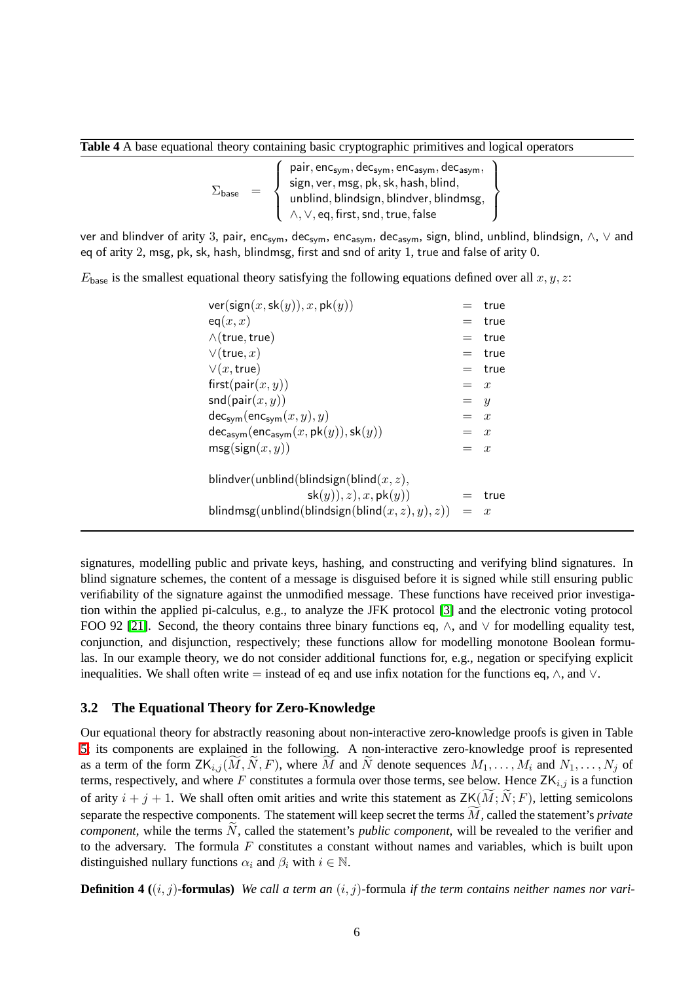<span id="page-5-0"></span>**Table 4** A base equational theory containing basic cryptographic primitives and logical operators

$$
\Sigma_{\text{base}} \quad = \quad \left\{ \begin{array}{l} \text{pair}, \text{enc}_{\text{sym}}, \text{dec}_{\text{sym}}, \text{enc}_{\text{asym}}, \text{dec}_{\text{asym}}, \\ \text{sign}, \text{ver}, \text{msg}, \text{pk}, \text{sk}, \text{hash}, \text{blind}, \\ \text{unblind}, \text{blindsign}, \text{blindver}, \text{blindmsg}, \\ \wedge, \vee, \text{eq}, \text{first}, \text{snd}, \text{true}, \text{false} \end{array} \right\}
$$

ver and blindver of arity 3, pair, enc<sub>sym</sub>, dec<sub>sym</sub>, enc<sub>asym</sub>, dec<sub>asym</sub>, sign, blind, unblind, blindsign, ∧, ∨ and eq of arity 2, msg, pk, sk, hash, blindmsg, first and snd of arity 1, true and false of arity 0.

 $E_{base}$  is the smallest equational theory satisfying the following equations defined over all  $x, y, z$ :

| ver(sign(x, sk(y)), x, pk(y))                       | $=$     | true     |
|-----------------------------------------------------|---------|----------|
| eq(x,x)                                             | $=$ $-$ | true     |
| $\wedge$ (true, true)                               | $=$     | true     |
| $\vee$ (true, x)                                    | $=$ $-$ | true     |
| $\vee(x,\mathsf{true})$                             |         | $=$ true |
| first(pair $(x, y)$ )                               | $= x$   |          |
| $\mathsf{snd}(\mathsf{pair}(x, y))$                 | $=$ $y$ |          |
| $dec_{sym}(enc_{sym}(x, y), y)$                     | $= x$   |          |
| $dec_{asym}(enc_{asym}(x, pk(y)), sk(y))$           | $= x$   |          |
| $msg(\text{sign}(x, y))$                            | $=$ x   |          |
| blindver(unblind(blindsign(blind $(x, z)$ ,         |         |          |
| sk(y), z, x, pk(y)                                  | $=$     | true     |
| blindmsg(unblind(blindsign(blind $(x, z), y), z)$ ) | $= x$   |          |

signatures, modelling public and private keys, hashing, and constructing and verifying blind signatures. In blind signature schemes, the content of a message is disguised before it is signed while still ensuring public verifiability of the signature against the unmodified message. These functions have received prior investigation within the applied pi-calculus, e.g., to analyze the JFK protocol [\[3\]](#page-40-6) and the electronic voting protocol FOO 92 [\[21\]](#page-41-12). Second, the theory contains three binary functions eq,  $\wedge$ , and  $\vee$  for modelling equality test, conjunction, and disjunction, respectively; these functions allow for modelling monotone Boolean formulas. In our example theory, we do not consider additional functions for, e.g., negation or specifying explicit inequalities. We shall often write = instead of eq and use infix notation for the functions eq,  $\wedge$ , and  $\vee$ .

#### **3.2 The Equational Theory for Zero-Knowledge**

Our equational theory for abstractly reasoning about non-interactive zero-knowledge proofs is given in Table [5;](#page-6-0) its components are explained in the following. A non-interactive zero-knowledge proof is represented as a term of the form  $ZK_{i,j}(M, N, F)$ , where M and N denote sequences  $M_1, \ldots, M_i$  and  $N_1, \ldots, N_j$  of terms, respectively, and where F constitutes a formula over those terms, see below. Hence  $ZK_{i,j}$  is a function of arity  $i + j + 1$ . We shall often omit arities and write this statement as  $ZK(\tilde{M}; \tilde{N}; F)$ , letting semicolons separate the respective components. The statement will keep secret the terms  $M$ , called the statement's *private component*, while the terms N, called the statement's *public component*, will be revealed to the verifier and to the adversary. The formula  $F$  constitutes a constant without names and variables, which is built upon distinguished nullary functions  $\alpha_i$  and  $\beta_i$  with  $i \in \mathbb{N}$ .

**Definition 4**  $((i, j)$ -formulas) *We call a term an*  $(i, j)$ -formula *if the term contains neither names nor vari-*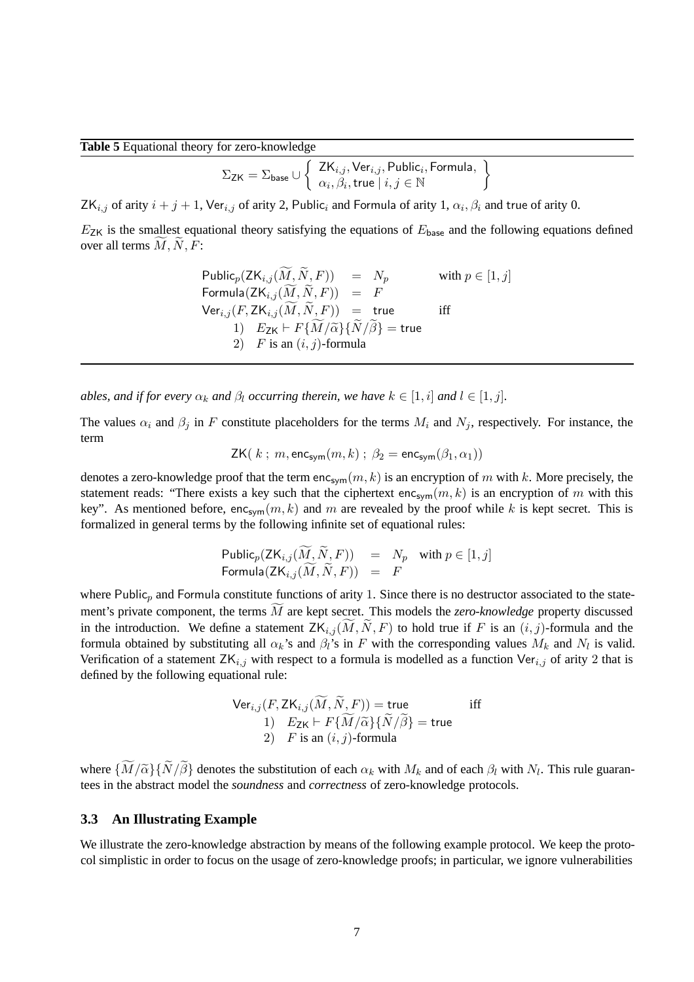#### <span id="page-6-0"></span>**Table 5** Equational theory for zero-knowledge

$$
\Sigma_{\mathsf{ZK}} = \Sigma_{\mathsf{base}} \cup \left\{\begin{array}{l} \mathsf{ZK}_{i,j}, \mathsf{Ver}_{i,j}, \mathsf{Public}_i, \mathsf{Formula}, \\ \alpha_i, \beta_i, \mathsf{true} \mid i,j \in \mathbb{N} \end{array} \right.
$$

 $\mathcal{L}$ 

ZK $_{i,j}$  of arity  $i + j + 1$ , Ver $_{i,j}$  of arity 2, Public, and Formula of arity 1,  $\alpha_i, \beta_i$  and true of arity 0.

 $E_{\text{ZK}}$  is the smallest equational theory satisfying the equations of  $E_{\text{base}}$  and the following equations defined over all terms  $M, N, F$ :

> Public<sub>p</sub>( $ZK_{i,j}(\widetilde{M}, \widetilde{N}, F)$ ) =  $N_p$  with  $p \in [1, j]$ Formula $(ZK_{i,j}(\widetilde{M},\widetilde{N},F)) = F$  $\mathsf{Ver}_{i,j} (F, \mathsf{ZK}_{i,j}(\widetilde{M}, \widetilde{N}, F)) = \mathsf{true}$  iff 1)  $E_{ZK} \vdash F\{\widetilde{M}/\widetilde{\alpha}\}\{\widetilde{N}/\widetilde{\beta}\} = \text{true}$ 2)  $F$  is an  $(i, j)$ -formula

*ables, and if for every*  $\alpha_k$  *and*  $\beta_l$  *occurring therein, we have*  $k \in [1, i]$  *and*  $l \in [1, j]$ *.* 

The values  $\alpha_i$  and  $\beta_j$  in F constitute placeholders for the terms  $M_i$  and  $N_j$ , respectively. For instance, the term

$$
\mathsf{ZK}(k; m, \mathsf{enc}_{\mathsf{sym}}(m, k); \ \beta_2 = \mathsf{enc}_{\mathsf{sym}}(\beta_1, \alpha_1))
$$

denotes a zero-knowledge proof that the term enc<sub>sym</sub> $(m, k)$  is an encryption of m with k. More precisely, the statement reads: "There exists a key such that the ciphertext enc<sub>sym</sub> $(m, k)$  is an encryption of m with this key". As mentioned before,  $enc_{sym}(m, k)$  and m are revealed by the proof while k is kept secret. This is formalized in general terms by the following infinite set of equational rules:

$$
\begin{array}{rcl}\n\text{Public}_p(\text{ZK}_{i,j}(\widetilde{M}, \widetilde{N}, F)) & = & N_p \quad \text{with } p \in [1, j] \\
\text{Formula}(\text{ZK}_{i,j}(\widetilde{M}, \widetilde{N}, F)) & = & F\n\end{array}
$$

where Public<sub>p</sub> and Formula constitute functions of arity 1. Since there is no destructor associated to the statement's private component, the terms M are kept secret. This models the *zero-knowledge* property discussed in the introduction. We define a statement  $ZK_{i,j}(\overline{M},\overline{N},F)$  to hold true if F is an  $(i,j)$ -formula and the formula obtained by substituting all  $\alpha_k$ 's and  $\beta_l$ 's in F with the corresponding values  $M_k$  and  $N_l$  is valid. Verification of a statement  $ZK_{i,j}$  with respect to a formula is modelled as a function Ver $_{i,j}$  of arity 2 that is defined by the following equational rule:

$$
\begin{array}{ll}\n\mathsf{Ver}_{i,j}(F, \mathsf{ZK}_{i,j}(\widetilde{M}, \widetilde{N}, F)) = \mathsf{true} & \text{iff} \\
1) & E_{\mathsf{ZK}} \vdash F\{\widetilde{M}/\widetilde{\alpha}\} \{\widetilde{N}/\widetilde{\beta}\} = \mathsf{true} \\
2) & F \text{ is an } (i, j)\text{-formula}\n\end{array}
$$

where  $\{M/\tilde{\alpha}\}\{N/\beta\}$  denotes the substitution of each  $\alpha_k$  with  $M_k$  and of each  $\beta_l$  with  $N_l$ . This rule guarantees in the abstract model the *soundness* and *correctness* of zero-knowledge protocols.

#### <span id="page-6-1"></span>**3.3 An Illustrating Example**

We illustrate the zero-knowledge abstraction by means of the following example protocol. We keep the protocol simplistic in order to focus on the usage of zero-knowledge proofs; in particular, we ignore vulnerabilities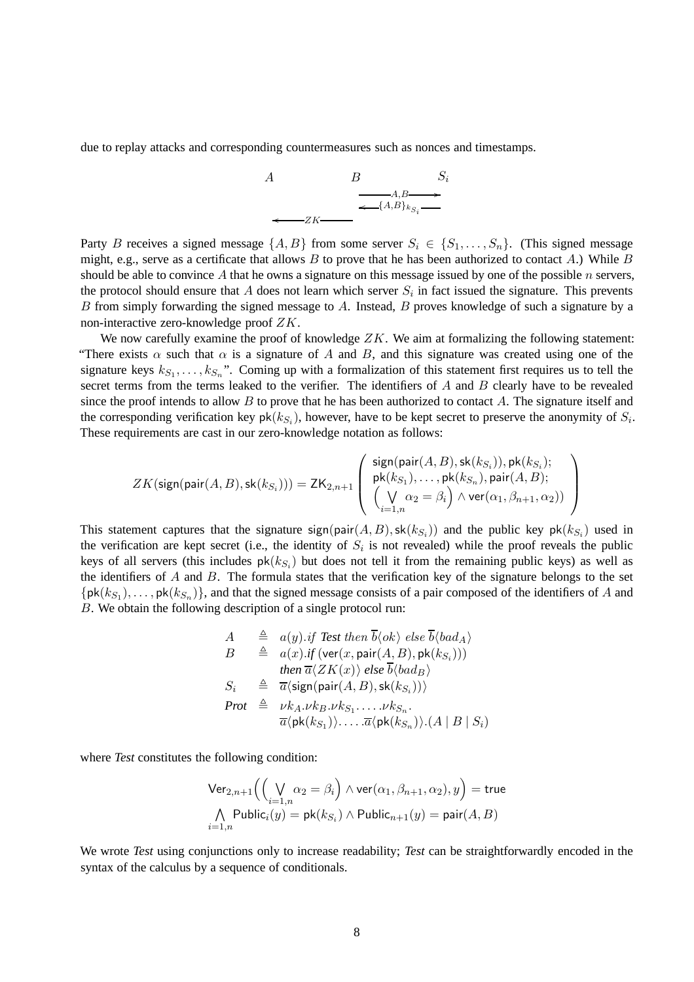due to replay attacks and corresponding countermeasures such as nonces and timestamps.



Party B receives a signed message  $\{A, B\}$  from some server  $S_i \in \{S_1, \ldots, S_n\}$ . (This signed message might, e.g., serve as a certificate that allows  $B$  to prove that he has been authorized to contact  $A$ .) While  $B$ should be able to convince A that he owns a signature on this message issued by one of the possible  $n$  servers, the protocol should ensure that A does not learn which server  $S_i$  in fact issued the signature. This prevents B from simply forwarding the signed message to A. Instead, B proves knowledge of such a signature by a non-interactive zero-knowledge proof ZK.

We now carefully examine the proof of knowledge  $ZK$ . We aim at formalizing the following statement: "There exists  $\alpha$  such that  $\alpha$  is a signature of A and B, and this signature was created using one of the signature keys  $k_{S_1}, \ldots, k_{S_n}$ ". Coming up with a formalization of this statement first requires us to tell the secret terms from the terms leaked to the verifier. The identifiers of  $A$  and  $B$  clearly have to be revealed since the proof intends to allow  $B$  to prove that he has been authorized to contact  $A$ . The signature itself and the corresponding verification key  $pk(k_{S_i})$ , however, have to be kept secret to preserve the anonymity of  $S_i$ . These requirements are cast in our zero-knowledge notation as follows:

$$
ZK(\text{sign}(\text{pair}(A, B), \text{sk}(k_{S_i}))) = \text{ZK}_{2,n+1}\left( \begin{array}{c} \text{sign}(\text{pair}(A, B), \text{sk}(k_{S_i})), \text{pk}(k_{S_i}); \\ \text{pk}(k_{S_1}), \ldots, \text{pk}(k_{S_n}), \text{pair}(A, B); \\ \left(\bigvee_{i=1,n} \alpha_2 = \beta_i\right) \wedge \text{ver}(\alpha_1, \beta_{n+1}, \alpha_2)) \end{array}\right)
$$

This statement captures that the signature sign(pair $(A, B)$ , sk $(k_{S_i})$ ) and the public key pk $(k_{S_i})$  used in the verification are kept secret (i.e., the identity of  $S_i$  is not revealed) while the proof reveals the public keys of all servers (this includes  $pk(k_{S_i})$  but does not tell it from the remaining public keys) as well as the identifiers of  $A$  and  $B$ . The formula states that the verification key of the signature belongs to the set  $\{pk(k_{S_1}), \ldots, pk(k_{S_n})\}\$ , and that the signed message consists of a pair composed of the identifiers of A and B. We obtain the following description of a single protocol run:

$$
A \triangleq a(y).if Test then  $\overline{b}\langle ok \rangle$  else  $\overline{b}\langle bad_A \rangle$   
\n
$$
B \triangleq a(x).if (ver(x, pair(A, B), pk(k_{S_i})))
$$
\nthen  $\overline{a}\langle ZK(x) \rangle$  else  $\overline{b}\langle bad_B \rangle$   
\n
$$
S_i \triangleq \overline{a}\langle sign(pair(A, B), sk(k_{S_i})))
$$
\n  
\n**Prot**  $\triangleq \nu k_A . \nu k_B . \nu k_{S_1} . \dots . \nu k_{S_n}.$   
\n
$$
\overline{a}\langle pk(k_{S_1}) \rangle . \dots . \overline{a}\langle pk(k_{S_n}) \rangle . (A \mid B \mid S_i)
$$
$$

where *Test* constitutes the following condition:

$$
\begin{array}{l}\mathsf{Ver}_{2,n+1}\Big(\Big(\bigvee_{i=1,n}\alpha_2=\beta_i\Big)\wedge\mathsf{ver}(\alpha_1,\beta_{n+1},\alpha_2),y\Big)=\mathsf{true}\\ \bigwedge_{i=1,n}\mathsf{Public}_i(y)=\mathsf{pk}(k_{S_i})\wedge\mathsf{Public}_{n+1}(y)=\mathsf{pair}(A,B)\end{array}
$$

We wrote *Test* using conjunctions only to increase readability; *Test* can be straightforwardly encoded in the syntax of the calculus by a sequence of conditionals.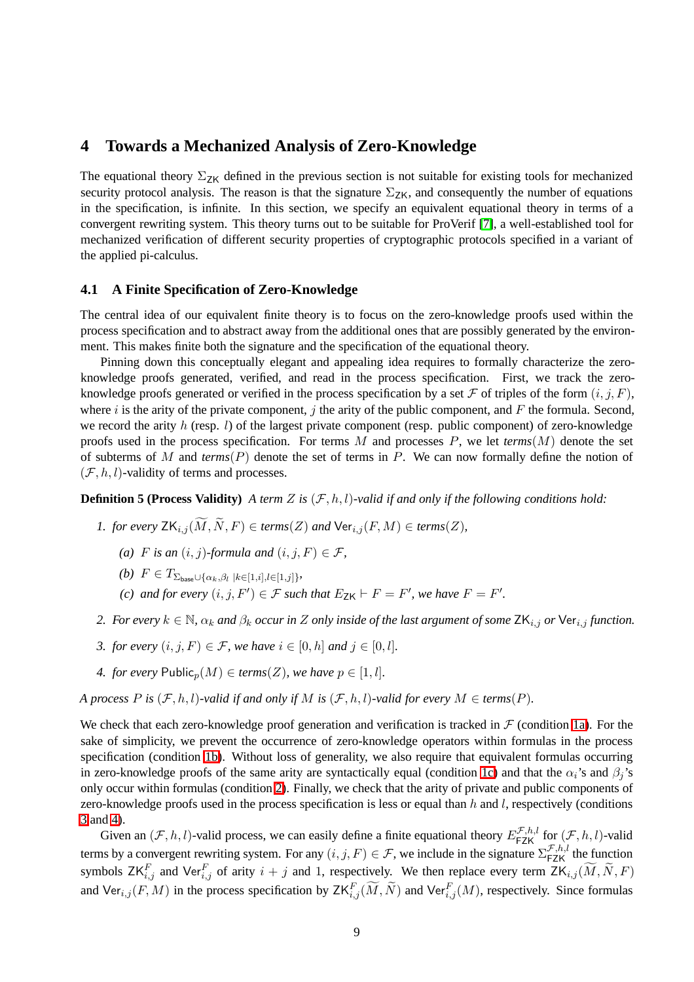## <span id="page-8-0"></span>**4 Towards a Mechanized Analysis of Zero-Knowledge**

The equational theory  $\Sigma_{ZK}$  defined in the previous section is not suitable for existing tools for mechanized security protocol analysis. The reason is that the signature  $\Sigma_{ZK}$ , and consequently the number of equations in the specification, is infinite. In this section, we specify an equivalent equational theory in terms of a convergent rewriting system. This theory turns out to be suitable for ProVerif [\[7\]](#page-40-5), a well-established tool for mechanized verification of different security properties of cryptographic protocols specified in a variant of the applied pi-calculus.

#### <span id="page-8-7"></span>**4.1 A Finite Specification of Zero-Knowledge**

The central idea of our equivalent finite theory is to focus on the zero-knowledge proofs used within the process specification and to abstract away from the additional ones that are possibly generated by the environment. This makes finite both the signature and the specification of the equational theory.

Pinning down this conceptually elegant and appealing idea requires to formally characterize the zeroknowledge proofs generated, verified, and read in the process specification. First, we track the zeroknowledge proofs generated or verified in the process specification by a set F of triples of the form  $(i, j, F)$ , where i is the arity of the private component, j the arity of the public component, and  $F$  the formula. Second, we record the arity h (resp.  $l$ ) of the largest private component (resp. public component) of zero-knowledge proofs used in the process specification. For terms M and processes P, we let  $terms(M)$  denote the set of subterms of M and *terms*(P) denote the set of terms in P. We can now formally define the notion of  $(\mathcal{F}, h, l)$ -validity of terms and processes.

<span id="page-8-2"></span><span id="page-8-1"></span>**Definition 5 (Process Validity)** *A term Z* is  $(\mathcal{F}, h, l)$ -valid if and only if the following conditions hold:

- *1. for every*  $ZK_{i,j}(\widetilde{M},\widetilde{N},F) \in terms(Z)$  *and*  $Ver_{i,j}(F,M) \in terms(Z)$ *,* 
	- (a) *F* is an  $(i, j)$ -formula and  $(i, j, F) \in \mathcal{F}$ ,
	- *(b)*  $F \in T_{\sum_{\text{base}} \cup \{\alpha_k, \beta_l \mid k \in [1, i], l \in [1, j]\}}$
	- *(c)* and for every  $(i, j, F') \in \mathcal{F}$  such that  $E_{\mathsf{ZK}} \vdash F = F'$ , we have  $F = F'$ .
- <span id="page-8-5"></span><span id="page-8-4"></span><span id="page-8-3"></span>2. For every  $k \in \mathbb{N}$ ,  $\alpha_k$  and  $\beta_k$  occur in Z only inside of the last argument of some  $ZK_{i,j}$  or  $\forall$ er<sub>i,j</sub> function.
- *3. for every*  $(i, j, F) \in \mathcal{F}$ *, we have*  $i \in [0, h]$  *and*  $j \in [0, l]$ *.*
- *4. for every*  $\text{Public}_n(M) \in terms(Z)$ *, we have*  $p \in [1, l]$ *.*

<span id="page-8-6"></span>*A process*  $P$  *is* ( $F$ ,  $h$ ,  $l$ )*-valid if and only if*  $M$  *is* ( $F$ ,  $h$ ,  $l$ )*-valid for every*  $M \in terms(P)$ *.* 

We check that each zero-knowledge proof generation and verification is tracked in  $\mathcal F$  (condition [1a\)](#page-8-1). For the sake of simplicity, we prevent the occurrence of zero-knowledge operators within formulas in the process specification (condition [1b\)](#page-8-2). Without loss of generality, we also require that equivalent formulas occurring in zero-knowledge proofs of the same arity are syntactically equal (condition [1c\)](#page-8-3) and that the  $\alpha_i$ 's and  $\beta_i$ 's only occur within formulas (condition [2\)](#page-8-4). Finally, we check that the arity of private and public components of zero-knowledge proofs used in the process specification is less or equal than  $h$  and  $l$ , respectively (conditions [3](#page-8-5) and [4\)](#page-8-6).

Given an  $(\mathcal{F}, h, l)$ -valid process, we can easily define a finite equational theory  $E_{\textsf{FZK}}^{\mathcal{F},h,l}$  for  $(\mathcal{F}, h, l)$ -valid terms by a convergent rewriting system. For any  $(i, j, F) \in \mathcal{F}$ , we include in the signature  $\sum_{FZK}^{\mathcal{F},h,l}$  the function symbols  $ZK_{i,j}^F$  and Ver $_{i,j}^F$  of arity  $i + j$  and 1, respectively. We then replace every term  $ZK_{i,j}(\widetilde{M}, \widetilde{N}, F)$ and  $\text{Ver}_{i,j}(F, M)$  in the process specification by  $\text{ZK}_{i,j}^F(\widetilde{M}, \widetilde{N})$  and  $\text{Ver}_{i,j}^F(M)$ , respectively. Since formulas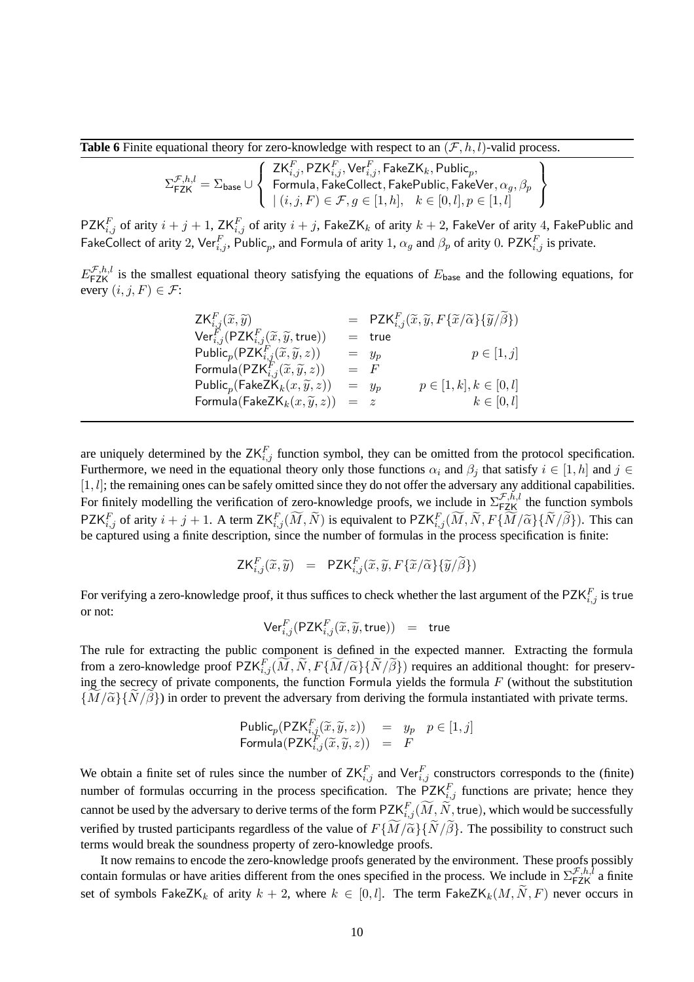<span id="page-9-0"></span>**Table 6** Finite equational theory for zero-knowledge with respect to an  $(\mathcal{F}, h, l)$ -valid process.

$$
\Sigma_{\mathsf{FZK}}^{\mathcal{F},h,l} = \Sigma_{\mathsf{base}} \cup \left\{\begin{array}{l} \mathsf{ZK}_{i,j}^F, \mathsf{PZK}_{i,j}^F, \mathsf{Ver}_{i,j}^F, \mathsf{FakeZK}_k, \mathsf{Public}_p, \\ \mathsf{Formula}, \mathsf{FakeCollect}, \mathsf{FakePublic}, \mathsf{TakeVer}, \alpha_g, \beta_p \\ \mid (i,j,F) \in \mathcal{F}, g \in [1,h], \quad k \in [0,l], p \in [1,l] \end{array}\right\}
$$

 $\mathsf{PZK}_{i,j}^F$  of arity  $i+j+1$ ,  $\mathsf{ZK}_{i,j}^F$  of arity  $i+j$ ,  $\mathsf{FakeZK}_k$  of arity  $k+2$ ,  $\mathsf{FakeVer}$  of arity  $4$ ,  $\mathsf{FakePublic}$  and FakeCollect of arity 2,  $\text{Ver}_{i,j}^F$ , Public<sub>p</sub>, and Formula of arity 1,  $\alpha_g$  and  $\beta_p$  of arity 0. PZK $_{i,j}^F$  is private.

 $E_{\text{FZK}}^{\mathcal{F},h,l}$  is the smallest equational theory satisfying the equations of  $E_{\text{base}}$  and the following equations, for every  $(i, j, F) \in \mathcal{F}$ :

| $ZK_{i,j}^F(\widetilde{x},\widetilde{y})$                                                                                                                                   |         | = $PZK_{i,j}^F(\widetilde{x},\widetilde{y},F\{\widetilde{x}/\widetilde{\alpha}\}\{\widetilde{y}/\widetilde{\beta}\})$ |
|-----------------------------------------------------------------------------------------------------------------------------------------------------------------------------|---------|-----------------------------------------------------------------------------------------------------------------------|
| $\mathsf{Ver}^F_{i,j}(\mathsf{PZK}_{i,j}^F(\widetilde{x},\widetilde{y},\mathsf{true}))$                                                                                     |         | $=$ true                                                                                                              |
| Public <sub>p</sub> (PZK <sup>F</sup> <sub>i,j</sub> $(\widetilde{x}, \widetilde{y}, z)$ )<br>Formula(PZK <sup>F</sup> <sub>i,j</sub> $(\widetilde{x}, \widetilde{y}, z)$ ) |         | $p \in [1, j]$<br>$= y_p$                                                                                             |
|                                                                                                                                                                             | $=$ $F$ |                                                                                                                       |
| Public <sub>p</sub> (FakeZK <sub>k</sub> $(x, \widetilde{y}, z)$ )                                                                                                          |         | $p \in [1, k], k \in [0, l]$<br>$= y_p$                                                                               |
| Formula (FakeZ $\mathsf{K}_k(x,\widetilde{y},z)$ )                                                                                                                          | $= z$   | $k\in[0,l]$                                                                                                           |
|                                                                                                                                                                             |         |                                                                                                                       |

are uniquely determined by the  $ZK_{i,j}^F$  function symbol, they can be omitted from the protocol specification. Furthermore, we need in the equational theory only those functions  $\alpha_i$  and  $\beta_j$  that satisfy  $i \in [1,h]$  and  $j \in$  $[1, l]$ ; the remaining ones can be safely omitted since they do not offer the adversary any additional capabilities. For finitely modelling the verification of zero-knowledge proofs, we include in  $\sum_{F Z K}^{\mathcal{F},h,l}$  the function symbols PZK<sup>F</sup><sub>i,j</sub> of arity  $i + j + 1$ . A term  $ZK_{i,j}^F(\widetilde{M}, \widetilde{N})$  is equivalent to  $PZK_{i,j}^F(\widetilde{M}, \widetilde{N}, F\{\widetilde{M}/\widetilde{\alpha}\}\{\widetilde{N}/\widetilde{\beta}\})$ . This can be captured using a finite description, since the number of formulas in the process specification is finite:

$$
\mathsf{ZK}_{i,j}^F(\widetilde{x},\widetilde{y}) = \mathsf{PZK}_{i,j}^F(\widetilde{x},\widetilde{y},F\{\widetilde{x}/\widetilde{\alpha}\}\{\widetilde{y}/\widetilde{\beta}\})
$$

For verifying a zero-knowledge proof, it thus suffices to check whether the last argument of the PZK $_{i,j}^F$  is true or not:

$$
\mathsf{Ver}^F_{i,j}(\mathsf{PZK}_{i,j}^F(\widetilde{x}, \widetilde{y}, \mathsf{true})) = \mathsf{true}
$$

The rule for extracting the public component is defined in the expected manner. Extracting the formula from a zero-knowledge proof  $PZK_{i,j}^F(\widetilde{M},\widetilde{N},F\{\widetilde{M}/\widetilde{\alpha}\}\{\widetilde{N}/\widetilde{\beta}\})$  requires an additional thought: for preserving the secrecy of private components, the function Formula yields the formula  $F$  (without the substitution  ${M/\tilde{\alpha}}\$ ) in order to prevent the adversary from deriving the formula instantiated with private terms.

$$
\begin{array}{lcl} \mathsf{Public}_p(\mathsf{PZK}_{i,j}^F(\widetilde{x}, \widetilde{y}, z)) & = & y_p & p \in [1, j] \\ \mathsf{Formula}(\mathsf{PZK}_{i,j}^F(\widetilde{x}, \widetilde{y}, z)) & = & F \end{array}
$$

We obtain a finite set of rules since the number of  $ZK_{i,j}^F$  and  $Ver_{i,j}^F$  constructors corresponds to the (finite) number of formulas occurring in the process specification. The  $PZK_{i,j}^F$  functions are private; hence they cannot be used by the adversary to derive terms of the form  $\mathsf{PZK}^F_{i,j}(\widetilde{M},\widetilde{N},\text{true}),$  which would be successfully verified by trusted participants regardless of the value of  $F\{\widetilde{M}/\widetilde{\alpha}\}\{\widetilde{N}/\widetilde{\beta}\}\.$  The possibility to construct such terms would break the soundness property of zero-knowledge proofs.

It now remains to encode the zero-knowledge proofs generated by the environment. These proofs possibly contain formulas or have arities different from the ones specified in the process. We include in  $\Sigma_{\text{FZK}}^{\mathcal{F},h,l}$  a finite set of symbols FakeZK<sub>k</sub> of arity  $k + 2$ , where  $k \in [0, l]$ . The term FakeZK<sub>k</sub>(M,  $\widetilde{N}$ , F) never occurs in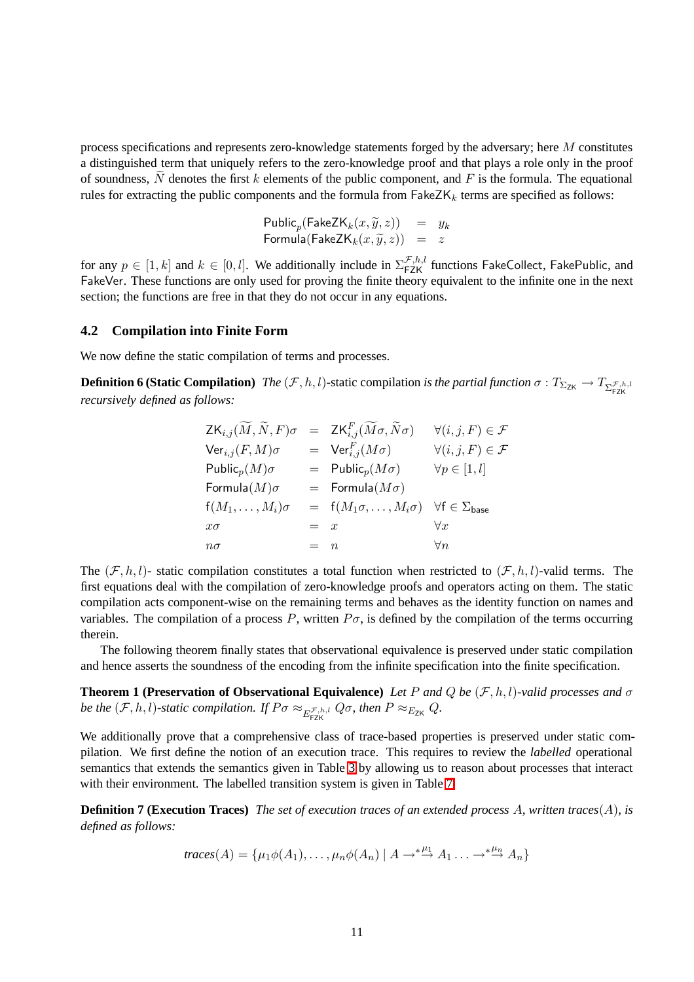process specifications and represents zero-knowledge statements forged by the adversary; here  $M$  constitutes a distinguished term that uniquely refers to the zero-knowledge proof and that plays a role only in the proof of soundness, N denotes the first k elements of the public component, and F is the formula. The equational rules for extracting the public components and the formula from  $\mathsf{FakeZK}_k$  terms are specified as follows:

> $\mathsf{Public}_p(\mathsf{FakeZK}_k(x, \widetilde{y}, z)) = y_k$ Formula $(\mathsf{FakeZK}_k(x, \widetilde{y}, z)) = z$

for any  $p \in [1, k]$  and  $k \in [0, l]$ . We additionally include in  $\sum_{\text{FZK}}^{\mathcal{F},h,l}$  functions FakeCollect, FakePublic, and FakeVer. These functions are only used for proving the finite theory equivalent to the infinite one in the next section; the functions are free in that they do not occur in any equations.

#### **4.2 Compilation into Finite Form**

We now define the static compilation of terms and processes.

**Definition 6 (Static Compilation)** *The*  $(F, h, l)$ -static compilation *is the partial function*  $\sigma : T_{\Sigma_{\text{ZK}}} \to T_{\Sigma_{\text{FZK}}^{\mathcal{F},h,l}}$ *recursively defined as follows:*

| $ZK_{i,j}(M,N,F)\sigma$      |         | $= \operatorname{\mathsf{ZK}}_{i,j}^F(\widetilde{M}\sigma,\widetilde{N}\sigma)$ | $\forall (i, j, F) \in \mathcal{F}$ |
|------------------------------|---------|---------------------------------------------------------------------------------|-------------------------------------|
| ${\sf Ver}_{i,j}(F,M)\sigma$ |         | $= \text{Ver}_{i,j}^F(M\sigma)$                                                 | $\forall (i, j, F) \in \mathcal{F}$ |
| Public $_p(M)\sigma$         |         | $=$ Public <sub>p</sub> $(M\sigma)$                                             | $\forall p \in [1, l]$              |
| Formula $(M)\sigma$          |         | $=$ Formula $(M\sigma)$                                                         |                                     |
| $f(M_1,\ldots,M_i)\sigma$    |         | $= f(M_1\sigma,\ldots,M_i\sigma) \quad \forall f \in \Sigma_{\text{base}}$      |                                     |
| $x\sigma$                    | $= x$   |                                                                                 | $\forall x$                         |
| $n\sigma$                    | $=$ $n$ |                                                                                 | $\forall n$                         |

The  $(\mathcal{F},h,l)$ - static compilation constitutes a total function when restricted to  $(\mathcal{F},h,l)$ -valid terms. The first equations deal with the compilation of zero-knowledge proofs and operators acting on them. The static compilation acts component-wise on the remaining terms and behaves as the identity function on names and variables. The compilation of a process P, written  $P\sigma$ , is defined by the compilation of the terms occurring therein.

<span id="page-10-0"></span>The following theorem finally states that observational equivalence is preserved under static compilation and hence asserts the soundness of the encoding from the infinite specification into the finite specification.

**Theorem 1 (Preservation of Observational Equivalence)** *Let* P and Q be  $(\mathcal{F}, h, l)$ -valid processes and  $\sigma$ be the  $(F, h, l)$ -static compilation. If  $P\sigma \approx_{E_{\text{FZK}}^{\mathcal{F},h,l}} Q\sigma$ , then  $P \approx_{E_{\text{ZK}}} Q$ .

We additionally prove that a comprehensive class of trace-based properties is preserved under static compilation. We first define the notion of an execution trace. This requires to review the *labelled* operational semantics that extends the semantics given in Table [3](#page-4-2) by allowing us to reason about processes that interact with their environment. The labelled transition system is given in Table [7.](#page-11-0)

**Definition 7 (Execution Traces)** *The set of execution traces of an extended process* A*, written traces*(A)*, is defined as follows:*

$$
traces(A) = \{ \mu_1 \phi(A_1), \dots, \mu_n \phi(A_n) \mid A \to^* \stackrel{\mu_1}{\to} A_1 \dots \to^* \stackrel{\mu_n}{\to} A_n \}
$$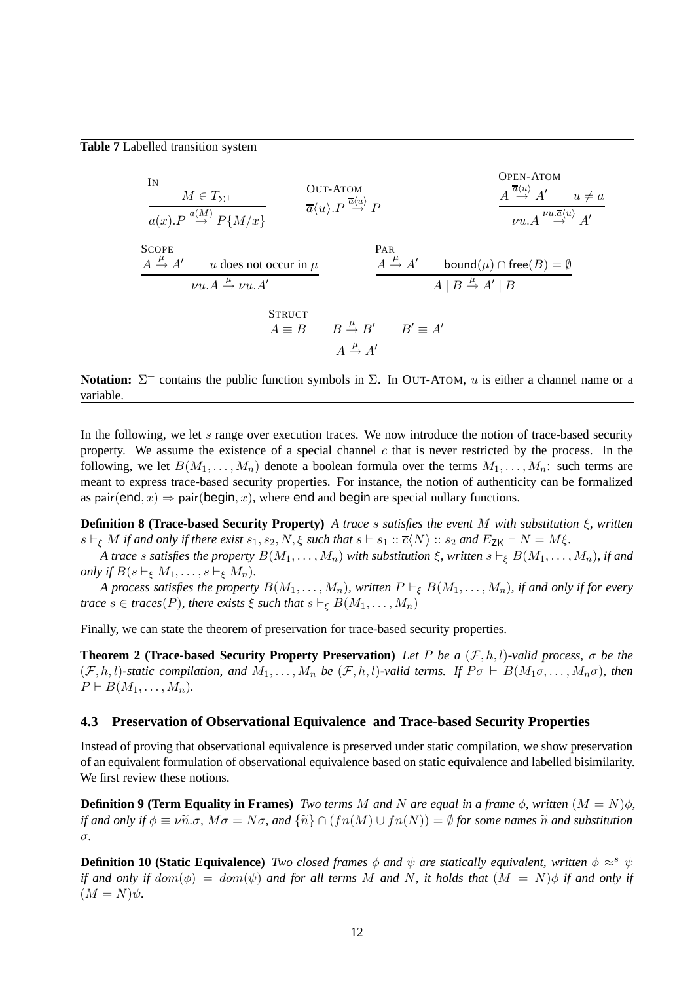<span id="page-11-0"></span>

**Notation:**  $\Sigma^+$  contains the public function symbols in  $\Sigma$ . In OUT-ATOM, u is either a channel name or a variable.

In the following, we let s range over execution traces. We now introduce the notion of trace-based security property. We assume the existence of a special channel  $c$  that is never restricted by the process. In the following, we let  $B(M_1,\ldots,M_n)$  denote a boolean formula over the terms  $M_1,\ldots,M_n$ : such terms are meant to express trace-based security properties. For instance, the notion of authenticity can be formalized as pair(end, x)  $\Rightarrow$  pair(begin, x), where end and begin are special nullary functions.

<span id="page-11-3"></span>**Definition 8 (Trace-based Security Property)** *A trace* s *satisfies the event* M *with substitution* ξ*, written*  $s \vdash_{\xi} M$  *if and only if there exist*  $s_1, s_2, N, \xi$  *such that*  $s \vdash s_1 :: \overline{c}\langle N \rangle :: s_2$  *and*  $E_{\mathsf{ZK}} \vdash N = M\xi$ .

*A trace* s satisfies the property  $B(M_1, \ldots, M_n)$  with substitution  $\xi$ , written  $s \vdash_{\xi} B(M_1, \ldots, M_n)$ , if and *only if*  $B(s \vdash_{\xi} M_1, \ldots, s \vdash_{\xi} M_n)$ .

*A process satisfies the property*  $B(M_1, \ldots, M_n)$ *, written*  $P \vdash_{\xi} B(M_1, \ldots, M_n)$ *, if and only if for every trace*  $s \in \text{traces}(P)$ *, there exists*  $\xi$  *such that*  $s \vdash_{\xi} B(M_1, \ldots, M_n)$ 

<span id="page-11-1"></span>Finally, we can state the theorem of preservation for trace-based security properties.

**Theorem 2 (Trace-based Security Property Preservation)** *Let* P *be a* (F,h,l)*-valid process,* σ *be the*  $(\mathcal{F},h,l)$ -static compilation, and  $M_1,\ldots,M_n$  be  $(\mathcal{F},h,l)$ -valid terms. If  $P\sigma \vdash B(M_1\sigma,\ldots,M_n\sigma)$ , then  $P \vdash B(M_1, \ldots, M_n)$ .

#### **4.3 Preservation of Observational Equivalence and Trace-based Security Properties**

Instead of proving that observational equivalence is preserved under static compilation, we show preservation of an equivalent formulation of observational equivalence based on static equivalence and labelled bisimilarity. We first review these notions.

**Definition 9 (Term Equality in Frames)** *Two terms* M *and* N are equal in a frame  $\phi$ , written  $(M = N)\phi$ , *if and only if*  $\phi \equiv \nu \tilde{n} \cdot \sigma$ ,  $M\sigma = N\sigma$ , and  $\{\tilde{n}\} \cap (fn(M) \cup fn(N)) = \emptyset$  for some names  $\tilde{n}$  and substitution σ*.*

<span id="page-11-2"></span>**Definition 10 (Static Equivalence)** *Two closed frames*  $\phi$  *and*  $\psi$  *are statically equivalent, written*  $\phi \approx^s \psi$ *if and only if dom*( $\phi$ ) = dom( $\psi$ ) *and for all terms* M *and* N, *it holds that*  $(M = N)\phi$  *if and only if*  $(M = N)\psi$ .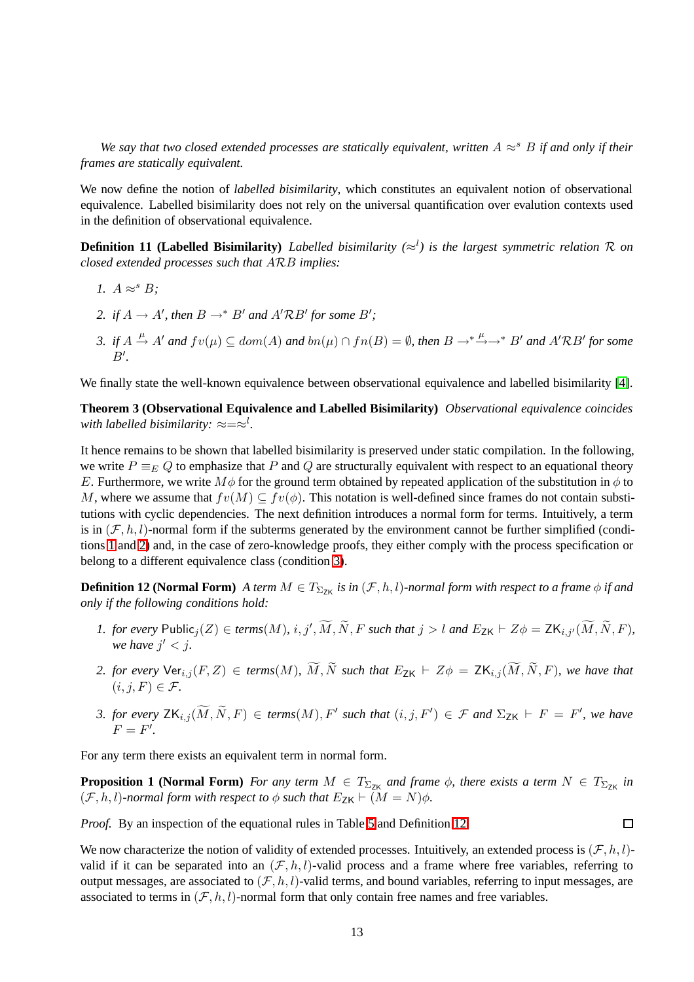*We say that two closed extended processes are statically equivalent, written*  $A \approx^s B$  *if and only if their frames are statically equivalent.*

We now define the notion of *labelled bisimilarity*, which constitutes an equivalent notion of observational equivalence. Labelled bisimilarity does not rely on the universal quantification over evalution contexts used in the definition of observational equivalence.

<span id="page-12-9"></span><span id="page-12-7"></span><span id="page-12-6"></span>**Definition 11 (Labelled Bisimilarity**) *Labelled bisimilarity* ( $\approx$ <sup>*l*</sup>) is the largest symmetric relation R on *closed extended processes such that* ARB *implies:*

- *1.*  $A \approx^s B$ ;
- <span id="page-12-8"></span>2. if  $A \to A'$ , then  $B \to^* B'$  and  $A' \mathcal{R} B'$  for some  $B'$ ;
- *3. if*  $A \stackrel{\mu}{\rightarrow} A'$  *and*  $fv(\mu) \subseteq dom(A)$  *and*  $bn(\mu) \cap fn(B) = ∅$ *, then*  $B \rightarrow^* \stackrel{\mu}{\rightarrow} \rightarrow^* B'$  *and*  $A'RB'$  *for some*  $B^{\prime}$ *.*

<span id="page-12-5"></span>We finally state the well-known equivalence between observational equivalence and labelled bisimilarity [\[4\]](#page-40-4).

**Theorem 3 (Observational Equivalence and Labelled Bisimilarity)** *Observational equivalence coincides*  $with \ labelled \ bisimilarity: \approx = \approx^{l}$ .

It hence remains to be shown that labelled bisimilarity is preserved under static compilation. In the following, we write  $P \equiv_E Q$  to emphasize that P and Q are structurally equivalent with respect to an equational theory E. Furthermore, we write  $M\phi$  for the ground term obtained by repeated application of the substitution in  $\phi$  to M, where we assume that  $fv(M) \subseteq fv(\phi)$ . This notation is well-defined since frames do not contain substitutions with cyclic dependencies. The next definition introduces a normal form for terms. Intuitively, a term is in  $(\mathcal{F}, h, l)$ -normal form if the subterms generated by the environment cannot be further simplified (conditions [1](#page-12-0) and [2\)](#page-12-1) and, in the case of zero-knowledge proofs, they either comply with the process specification or belong to a different equivalence class (condition [3\)](#page-12-2).

<span id="page-12-3"></span><span id="page-12-0"></span>**Definition 12 (Normal Form)** *A term*  $M \in T_{\Sigma_{7K}}$  *is in*  $(\mathcal{F}, h, l)$ *-normal form with respect to a frame*  $\phi$  *if and only if the following conditions hold:*

- *1. for every*  $\text{Public}_j(Z) \in terms(M), i, j', \widetilde{M}, \widetilde{N}, F \text{ such that } j > l \text{ and } E_{\text{ZK}} \vdash Z\phi = \text{ZK}_{i,j'}(\widetilde{M}, \widetilde{N}, F),$ we have  $j' < j$ .
- <span id="page-12-1"></span>*2. for every*  $\text{Ver}_{i,j}(F, Z) \in terms(M)$ *,*  $\widetilde{M}$ *,*  $\widetilde{N}$  such that  $E_{\text{ZK}} \vdash Z\phi = \text{ZK}_{i,j}(\widetilde{M}, \widetilde{N}, F)$ *, we have that*  $(i, j, F) \in \mathcal{F}$
- <span id="page-12-2"></span>*3. for every*  $ZK_{i,j}(\overline{M}, \overline{N}, F) \in terms(M), F'$  such that  $(i, j, F') \in \mathcal{F}$  and  $\Sigma_{ZK} \vdash F = F'$ , we have  $F = F'.$

<span id="page-12-10"></span>For any term there exists an equivalent term in normal form.

**Proposition 1 (Normal Form)** *For any term*  $M \in T_{\Sigma_{\text{ZK}}}$  *and frame*  $\phi$ *, there exists a term*  $N \in T_{\Sigma_{\text{ZK}}}$  *in*  $(\mathcal{F}, h, l)$ *-normal form with respect to*  $\phi$  *such that*  $E_{\mathsf{ZK}} \vdash (M = N)\phi$ *.* 

 $\Box$ 

*Proof.* By an inspection of the equational rules in Table [5](#page-6-0) and Definition [12.](#page-12-3)

<span id="page-12-4"></span>We now characterize the notion of validity of extended processes. Intuitively, an extended process is  $(F, h, l)$ valid if it can be separated into an  $(\mathcal{F}, h, l)$ -valid process and a frame where free variables, referring to output messages, are associated to  $(\mathcal{F}, h, l)$ -valid terms, and bound variables, referring to input messages, are associated to terms in  $(\mathcal{F}, h, l)$ -normal form that only contain free names and free variables.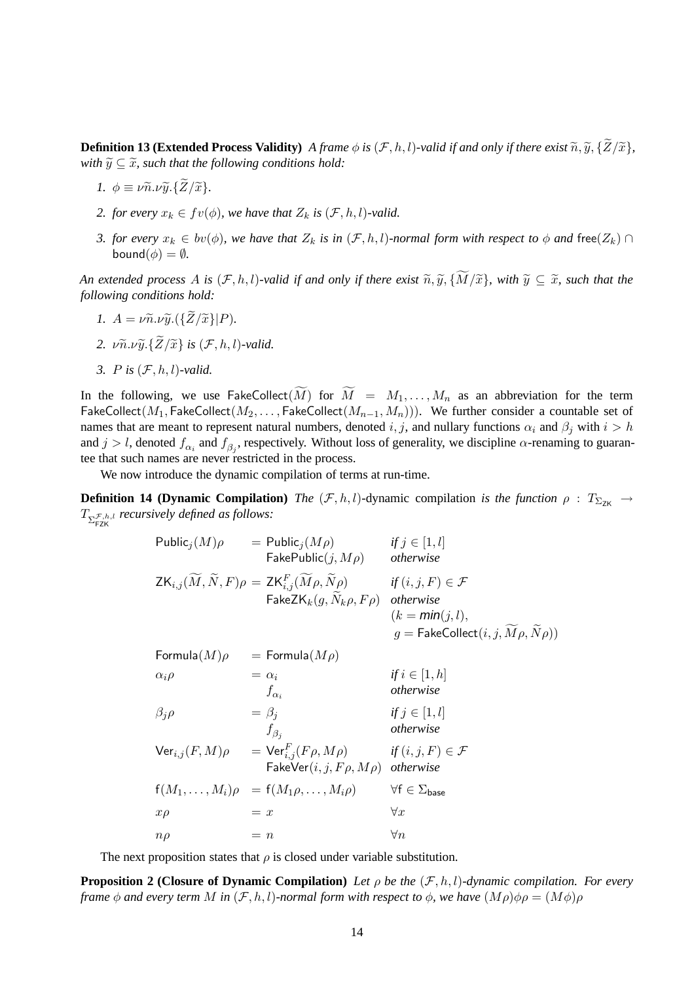**Definition 13 (Extended Process Validity)** *A frame*  $\phi$  *is* (*F, h, l)-valid if and only if there exist*  $\widetilde{n}, \widetilde{y}, \{\widetilde{Z}/\widetilde{x}\},$ *with*  $\widetilde{y} \subseteq \widetilde{x}$ *, such that the following conditions hold:* 

- *1.*  $\phi \equiv \nu \tilde{n} \cdot \nu \tilde{\nu} \cdot {\tilde{Z}}/{\tilde{x}}$ *.*
- *2. for every*  $x_k \in fv(\phi)$ *, we have that*  $Z_k$  *is*  $(\mathcal{F}, h, l)$ *-valid.*
- *3. for every*  $x_k \in bv(\phi)$ *, we have that*  $Z_k$  *is in*  $(\mathcal{F}, h, l)$ *-normal form with respect to*  $\phi$  *and* free $(Z_k)$   $\cap$ bound( $\phi$ ) =  $\emptyset$ *.*

*An extended process* A *is*  $(F, h, l)$ *-valid if and only if there exist*  $\widetilde{n}, \widetilde{y}, \{ \widetilde{M}/\widetilde{x} \}$ *, with*  $\widetilde{y} \subseteq \widetilde{x}$ *, such that the following conditions hold:*

- *1.*  $A = \nu \tilde{n} \cdot \nu \tilde{y} \cdot (\{\tilde{Z}/\tilde{x}\}|P)$ .
- 2.  $\nu \widetilde{n} \cdot \nu \widetilde{y} \cdot {\widetilde{Z}}/{\widetilde{x}}$  *is*  $(\mathcal{F}, h, l)$ *-valid.*
- *3.* P *is* (F,h,l)*-valid.*

In the following, we use FakeCollect $(\widetilde{M})$  for  $\widetilde{M} = M_1, \ldots, M_n$  as an abbreviation for the term FakeCollect( $M_1$ , FakeCollect( $M_2$ ,..., FakeCollect( $M_{n-1},M_n$ ))). We further consider a countable set of names that are meant to represent natural numbers, denoted i, j, and nullary functions  $\alpha_i$  and  $\beta_j$  with  $i > h$ and  $j > l$ , denoted  $f_{\alpha_i}$  and  $f_{\beta_j}$ , respectively. Without loss of generality, we discipline  $\alpha$ -renaming to guarantee that such names are never restricted in the process.

We now introduce the dynamic compilation of terms at run-time.

<span id="page-13-0"></span>**Definition 14 (Dynamic Compilation)** *The*  $(F, h, l)$ -dynamic compilation *is the function*  $\rho : T_{\Sigma_{7K}} \to$  $T_{\sum_{\text{FZK}}^{ \mathcal{F},h,l}}$  recursively defined as follows:

$$
\begin{array}{ll}\n\text{Public}_{j}(M)\rho &= \text{Public}_{j}(M\rho) & \text{if } j \in [1, l] \\
& \text{TakePublic}(j, M\rho) & \text{otherwise} \\
\text{ZK}_{i,j}(\widetilde{M}, \widetilde{N}, F)\rho &= \text{ZK}_{i,j}^{F}(\widetilde{M}\rho, \widetilde{N}\rho) & \text{if } (i, j, F) \in \mathcal{F} \\
& \text{TakeZK}_{k}(g, \widetilde{N}_{k}\rho, F\rho) & \text{otherwise} \\
& (k = \text{min}(j, l), \\
g = \text{TakeCollect}(i, j, \widetilde{M}\rho, \widetilde{N}\rho))\n\end{array}
$$
\n
$$
\begin{array}{ll}\n\text{Formula}(M)\rho &= \text{Formula}(M\rho) \\
\alpha_{i}\rho &= \alpha_{i} & \text{if } i \in [1, h] \\
& f_{\alpha_{i}} & \text{otherwise} \\
\beta_{j}\rho &= \beta_{j} & \text{if } j \in [1, l] \\
& f_{\beta_{j}} & \text{otherwise} \\
\text{Ver}_{i,j}(F, M)\rho &= \text{Ver}_{i,j}^{F}(F\rho, M\rho) & \text{if } (i, j, F) \in \mathcal{F} \\
& \text{TakeVer}(i, j, F\rho, M\rho) & \text{otherwise}\n\end{array}
$$
\n
$$
\begin{array}{ll}\n\text{Ker}_{i,j}(F, M) &= \text{Ker}_{i,j}(F\rho, M\rho) & \text{if } (i, j, F) \in \mathcal{F} \\
& \text{TakeVer}(i, j, F\rho, M\rho) & \text{otherwise}\n\end{array}
$$
\n
$$
\begin{array}{ll}\n\text{Var}_{i,j}(\overline{M}_{i,j}, \overline{M}_{i,j}) & \text{otherwise} \\
\text{Var}_{i,j}(\overline{M}_{i,j}, \overline{M}_{i,j}) & \text{otherwise} \\
\text{Var}_{i,j}(\overline{M}_{i,j}) & \text{otherwise} \\
\text{Var}_{i,j}(\overline{M}_{i,j}) & \text{otherwise} \\
\text{Var}_{i,j}(\overline{M}_{i,j}) & \text{otherwise} \\
\text{Var}_{i,j}(\over
$$

The next proposition states that  $\rho$  is closed under variable substitution.

<span id="page-13-1"></span>**Proposition 2 (Closure of Dynamic Compilation)** *Let* ρ *be the* (F,h,l)*-dynamic compilation. For every frame*  $\phi$  *and every term* M *in* (*F*, *h*, *l*)*-normal form with respect to*  $\phi$ , *we have*  $(M\rho)\phi\rho = (M\phi)\rho$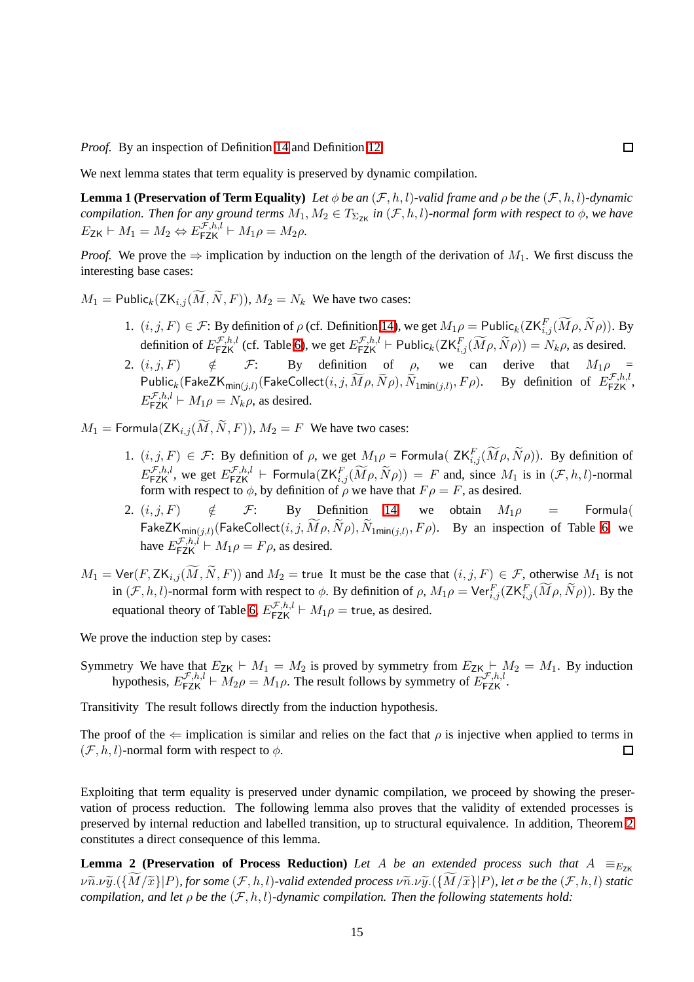*Proof.* By an inspection of Definition [14](#page-13-0) and Definition [12.](#page-12-3)

<span id="page-14-0"></span>We next lemma states that term equality is preserved by dynamic compilation.

**Lemma 1 (Preservation of Term Equality)** *Let*  $\phi$  *be an*  $(\mathcal{F}, h, l)$ *-valid frame and*  $\rho$  *be the*  $(\mathcal{F}, h, l)$ *-dynamic compilation. Then for any ground terms*  $M_1, M_2 \in T_{\Sigma_{\text{ZK}}}$  *in*  $(\mathcal{F},h,l)$ *-normal form with respect to*  $\phi$ *, we have*  $E_{\mathsf{ZK}} \vdash M_1 = M_2 \Leftrightarrow E_{\mathsf{FZK}}^{\mathcal{F},h,l} \vdash M_1 \rho = M_2 \rho.$ 

*Proof.* We prove the  $\Rightarrow$  implication by induction on the length of the derivation of  $M_1$ . We first discuss the interesting base cases:

 $M_1$  = Public<sub>k</sub> (ZK<sub>i,j</sub> ( $\widetilde{M}$ ,  $\widetilde{N}$ , F)),  $M_2 = N_k$  We have two cases:

- 1.  $(i, j, F) \in \mathcal{F}$ : By definition of  $\rho$  (cf. Definition [14\)](#page-13-0), we get  $M_1 \rho = \text{Public}_k(\text{ZK}_{i,j}^F(\widetilde{M}\rho, \widetilde{N}\rho))$ . By definition of  $E_{\textsf{FZK}}^{\mathcal{F},h,l}$  (cf. Table [6\)](#page-9-0), we get  $E_{\textsf{FZK}}^{\mathcal{F},h,l}$   $\vdash$  Public<sub>k</sub> $(\textsf{ZK}_{i,j}^F(\widetilde{M}\rho,\widetilde{N}\rho)) = N_k \rho$ , as desired.
- 2.  $(i, j, F)$   $\notin$   $\mathcal{F}$ : By definition of  $\rho$ , we can derive that  $M_1 \rho$  =  $\mathsf{Public}_k(\mathsf{FakeZK}_{\mathsf{min}(j,l)}(\mathsf{FalseCollection})$  (FakeCollect $(i,j,\widetilde{M}\rho,\widetilde{N}\rho),\widetilde{N}_{1\mathsf{min}(j,l)},F\rho).$  By definition of  $E_{\mathsf{FZK}}^{\mathcal{F},h,l}$ ,  $E_{\textsf{FZK}}^{\mathcal{F},h,l} \vdash M_1 \rho = N_k \rho$ , as desired.
- $M_1$  = Formula(ZK<sub>i,j</sub>( $\widetilde{M}$ , $\widetilde{N}$ , $F$ )),  $M_2 = F$  We have two cases:
	- 1.  $(i, j, F) \in \mathcal{F}$ : By definition of  $\rho$ , we get  $M_1 \rho = \text{Formula}( \text{ } ZK_{i,j}^F(\widetilde{M}\rho, \widetilde{N}\rho))$ . By definition of  $E_{\sf FZK}^{\mathcal{F},h,l}$ , we get  $E_{\sf FZK}^{\mathcal{F},h,l}$   $\vdash$  Formula $(\mathsf{ZK}_{i,j}^F(\widetilde{M}\rho,\widetilde{N}\rho)) = F$  and, since  $M_1$  is in  $(\mathcal{F},h,l)$ -normal form with respect to  $\phi$ , by definition of  $\rho$  we have that  $F \rho = F$ , as desired.
	- 2.  $(i, j, F)$   $\notin$   $\mathcal{F}$ : By Definition [14,](#page-13-0) we obtain  $M_1 \rho$  = Formula( FakeZ ${\sf K}_{\sf min(j, l)}$ (FakeCollect $(i, j, M\rho, N\rho), N_{1{\sf min}(j, l)}, F\rho$ ). By an inspection of Table [6,](#page-9-0) we have  $E_{\textsf{FZK}}^{\mathcal{F},h,l} \vdash M_1 \rho = F \rho$ , as desired.
- $M_1 = \text{Ver}(F, \text{ZK}_{i,j}(\widetilde{M}, \widetilde{N}, F))$  and  $M_2 = \text{true}$  It must be the case that  $(i, j, F) \in \mathcal{F}$ , otherwise  $M_1$  is not in  $(F, h, l)$ -normal form with respect to  $\phi$ . By definition of  $\rho$ ,  $M_1 \rho = \text{Ver}_{i,j}^F(\text{ZK}_{i,j}^F(\widetilde{M}\rho, \widetilde{N}\rho))$ . By the equational theory of Table [6,](#page-9-0)  $E_{\text{FZK}}^{\mathcal{F},h,l} \vdash M_1 \rho = \text{true}$ , as desired.

We prove the induction step by cases:

Symmetry We have that  $E_{ZK} \vdash M_1 = M_2$  is proved by symmetry from  $E_{ZK} \vdash M_2 = M_1$ . By induction hypothesis,  $E_{\textsf{FZK}}^{\mathcal{F},h,l} \vdash M_2 \rho = M_1 \rho$ . The result follows by symmetry of  $E_{\textsf{FZK}}^{\mathcal{F},h,l}$ .

Transitivity The result follows directly from the induction hypothesis.

The proof of the  $\Leftarrow$  implication is similar and relies on the fact that  $\rho$  is injective when applied to terms in  $(\mathcal{F}, h, l)$ -normal form with respect to  $\phi$ .  $\Box$ 

Exploiting that term equality is preserved under dynamic compilation, we proceed by showing the preservation of process reduction. The following lemma also proves that the validity of extended processes is preserved by internal reduction and labelled transition, up to structural equivalence. In addition, Theorem [2](#page-11-1) constitutes a direct consequence of this lemma.

<span id="page-14-1"></span>**Lemma 2 (Preservation of Process Reduction)** *Let* A *be an extended process such that*  $A =_{E_{7K}}$  $\nu \tilde{n}.\nu \tilde{y}.(\overline{M}/\tilde{x})|P$ *), for some*  $(\mathcal{F},h,l)$ -valid extended process  $\nu \tilde{n}.\nu \tilde{y}.(\overline{M}/\tilde{x})|P$ *), let*  $\sigma$  be the  $(\mathcal{F},h,l)$  static *compilation, and let*  $\rho$  *be the*  $(\mathcal{F}, h, l)$ *-dynamic compilation. Then the following statements hold:*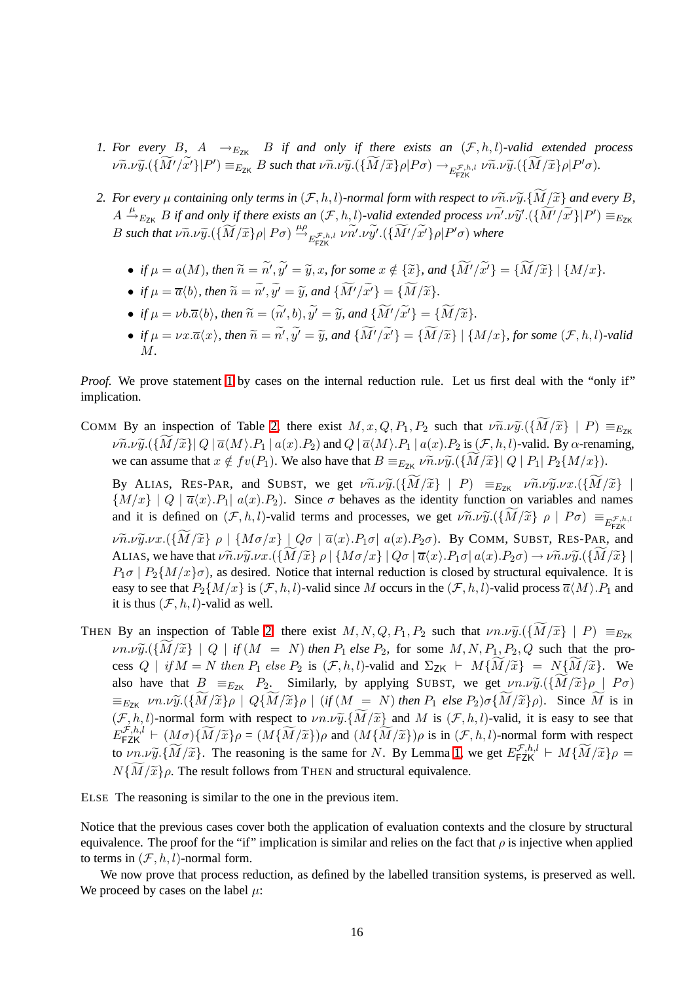- <span id="page-15-0"></span>*1. For every* B, A  $\rightarrow$ <sub>EzK</sub> B *if and only if there exists an*  $(\mathcal{F}, h, l)$ *-valid extended process*  $\nu \widetilde{n}.\nu \widetilde{y}.(\{\widetilde{M}'/\widetilde{x}'\}|P') \equiv_{E_{\text{ZK}}} B$  such that  $\nu \widetilde{n}.\nu \widetilde{y}.(\{\widetilde{M}/\widetilde{x}\}\rho|P\sigma) \rightarrow_{E_{\text{FZK}}^{\mathcal{F},h,l}} \nu \widetilde{n}.\nu \widetilde{y}.(\{\widetilde{M}/\widetilde{x}\}\rho|P'\sigma)$ .
- *2. For every*  $\mu$  *containing only terms in*  $(\mathcal{F}, h, l)$ *-normal form with respect to*  $\nu \tilde{n} \cdot \nu \tilde{y} \cdot {\widetilde{M}}/{\widetilde{x}}$  *and every* B,  $A \xrightarrow{\mu} E_{\text{ZK}} B$  *if and only if there exists an*  $(\mathcal{F}, h, l)$ -valid extended process  $\nu \widetilde{n}' \cdot \nu \widetilde{y}' \cdot (\{\widetilde{M}'/\widetilde{x}'\} | P') \equiv_{E_{\text{ZK}}}$ B such that  $\nu \widetilde{n}.\nu \widetilde{y}.(\lbrace \widetilde{M}/\widetilde{x}\rbrace \rho \vert P\sigma) \stackrel{\mu \rho}{\rightarrow}_{E_{\sf FZK}^{\mathcal{F},h,l}} \nu \widetilde{n'}. \nu \widetilde{y'}.(\lbrace \widetilde{M'}/\widetilde{x'}\rbrace \rho \vert P'\sigma)$  where
	- *if*  $\mu = a(M)$ *, then*  $\widetilde{n} = n', y' = \widetilde{y}, x$ *, for some*  $x \notin {\widetilde{x}}$ *, and*  ${M'/x'} = {M/\widetilde{x}} | {M/x}.$
	- *if*  $\mu = \overline{a} \langle b \rangle$ *, then*  $\widetilde{n} = n', y' = \widetilde{y}$ *, and*  $\{M'/x'\} = \{M/\widetilde{x}\}.$
	- *if*  $\mu = \nu b.\overline{a}\langle b \rangle$ , then  $\widetilde{n} = (n', b), y' = \widetilde{y}$ , and  $\{M'/x'\} = \{M/\widetilde{x}\}.$
	- *if*  $\mu = \nu x.\overline{a}\langle x \rangle$ , then  $\widetilde{n} = n', y' = \widetilde{y}$ , and  $\{M'/x'\} = \{M/\widetilde{x}\} \mid \{M/x\}$ , for some  $(\mathcal{F}, h, l)$ -valid M*.*

*Proof.* We prove statement [1](#page-15-0) by cases on the internal reduction rule. Let us first deal with the "only if" implication.

COMM By an inspection of Table [2,](#page-4-1) there exist  $M, x, Q, P_1, P_2$  such that  $\nu \tilde{n} \cdot \nu \tilde{y} \cdot (\{ \widetilde{M}/ \tilde{x} \} | P) \equiv_{E_{ZK}}$  $\nu \widetilde{n}.\nu \widetilde{y}.({\{\widetilde{M}/\widetilde{x}\}|Q \mid \overline{a}\langle M\rangle.P_1 \mid a(x).P_2)}$  and  $Q | \overline{a}\langle M\rangle.P_1 \mid a(x).P_2$  is  $(\mathcal{F},h,l)$ -valid. By  $\alpha$ -renaming, we can assume that  $x \notin fv(P_1)$ . We also have that  $B \equiv_{E_{7\kappa}} \nu \tilde{n} \cdot \nu \tilde{y} \cdot (\{M/\tilde{x}\} | Q | P_1 | P_2 \{M/x\})$ .

By ALIAS, RES-PAR, and SUBST, we get  $\nu \tilde{n}.\nu \tilde{y}.({\lbrace \widetilde{M}/\tilde{x} \rbrace} | P) \equiv_{E_{ZK}} \nu \tilde{n}.\nu \tilde{y}. \nu x.({\lbrace \widetilde{M}/\tilde{x} \rbrace} | P)$  $\{M/x\}$  | Q |  $\overline{a}\langle x\rangle.P_1$ |  $a(x).P_2$ ). Since  $\sigma$  behaves as the identity function on variables and names and it is defined on  $(\mathcal{F}, h, l)$ -valid terms and processes, we get  $\nu \widetilde{n}.\nu \widetilde{y}. (\lbrace M/\widetilde{x} \rbrace \rho \mid P\sigma) \equiv_{E_{\text{FZK}}^{\mathcal{F},h,l}}$  $\nu \tilde{n}.\nu \tilde{y}.\nu x. (\{\widetilde{M}/\tilde{x}\}\rho \mid \{M\sigma/x\} \mid Q\sigma \mid \overline{a}\langle x\rangle.P_1\sigma \mid a(x).P_2\sigma)$ . By COMM, SUBST, RES-PAR, and ALIAS, we have that  $\nu \tilde{n}.\nu \tilde{y}.\nu x. (\{M/\tilde{x}\}\rho \mid \{M\sigma/x\} \mid Q\sigma \mid \overline{a}\langle x\rangle.P_1\sigma \mid a(x).P_2\sigma) \rightarrow \nu \tilde{n}.\nu \tilde{y}. (\{M/\tilde{x}\}\mid \overline{a}\langle x\rangle.P_1\sigma \mid a(x).P_2\sigma) \rightarrow \nu \tilde{n}.\nu \tilde{y}.$  $P_1\sigma \mid P_2\{M/x\}\sigma$ , as desired. Notice that internal reduction is closed by structural equivalence. It is easy to see that  $P_2\{M/x\}$  is  $(\mathcal{F}, h, l)$ -valid since M occurs in the  $(\mathcal{F}, h, l)$ -valid process  $\overline{a}(M)$ .  $P_1$  and it is thus  $(\mathcal{F}, h, l)$ -valid as well.

THEN By an inspection of Table [2,](#page-4-1) there exist  $M, N, Q, P_1, P_2$  such that  $\nu n.\nu \widetilde{y}.(\lbrace \widetilde{M}/\widetilde{x} \rbrace | P) \equiv_{E_{7}\kappa}$  $\nu n.\nu \tilde{y}.({\widetilde{M}/ \tilde{x}}) | Q |$  *if*  $(M = N)$  *then*  $P_1$  *else*  $P_2$ , for some  $M, N, P_1, P_2, Q$  such that the process  $Q \mid if M = N$  then  $P_1$  else  $P_2$  is  $(\mathcal{F}, h, l)$ -valid and  $\Sigma_{ZK} \vdash M\{\widetilde{M}/\widetilde{x}\} = N\{\widetilde{M}/\widetilde{x}\}.$  We also have that  $B \equiv_{E_{ZK}} P_2$ . Similarly, by applying SUBST, we get  $\nu n.\nu \tilde{y}.(\lbrace \widetilde{M}/\tilde{x} \rbrace \rho \mid P\sigma)$  $\equiv_{E_{ZK}} \nu n.\nu \widetilde{y}.(\lbrace \widetilde{M}/\widetilde{x}\rbrace \rho \mid Q\lbrace \widetilde{M}/\widetilde{x}\rbrace \rho \mid (if(M = N) \text{ then } P_1 \text{ else } P_2)\sigma\lbrace \widetilde{M}/\widetilde{x}\rbrace \rho).$  Since  $\widetilde{M}$  is in  $(\mathcal{F}, h, l)$ -normal form with respect to  $\nu n.\nu \widetilde{y}.\{\widetilde{M}/\widetilde{x}\}$  and M is  $(\mathcal{F}, h, l)$ -valid, it is easy to see that  $E_{\text{FZK}}^{\mathcal{F},h,l} \vdash (M\sigma)\{\widetilde{M}/\widetilde{x}\}\rho = (M\{\widetilde{M}/\widetilde{x}\})\rho$  and  $(M\{\widetilde{M}/\widetilde{x}\})\rho$  is in  $(\mathcal{F},h,l)$ -normal form with respect to  $\nu n.\nu \tilde{y}$ . The reasoning is the same for N. By Lemma [1,](#page-14-0) we get  $E_{\text{FZK}}^{\mathcal{F},h,l} \vdash M\{\widetilde{M}/\widetilde{x}\}\rho =$  $N\{\widetilde{M}/\widetilde{x}\}\rho$ . The result follows from THEN and structural equivalence.

ELSE The reasoning is similar to the one in the previous item.

Notice that the previous cases cover both the application of evaluation contexts and the closure by structural equivalence. The proof for the "if" implication is similar and relies on the fact that  $\rho$  is injective when applied to terms in  $(\mathcal{F}, h, l)$ -normal form.

We now prove that process reduction, as defined by the labelled transition systems, is preserved as well. We proceed by cases on the label  $\mu$ :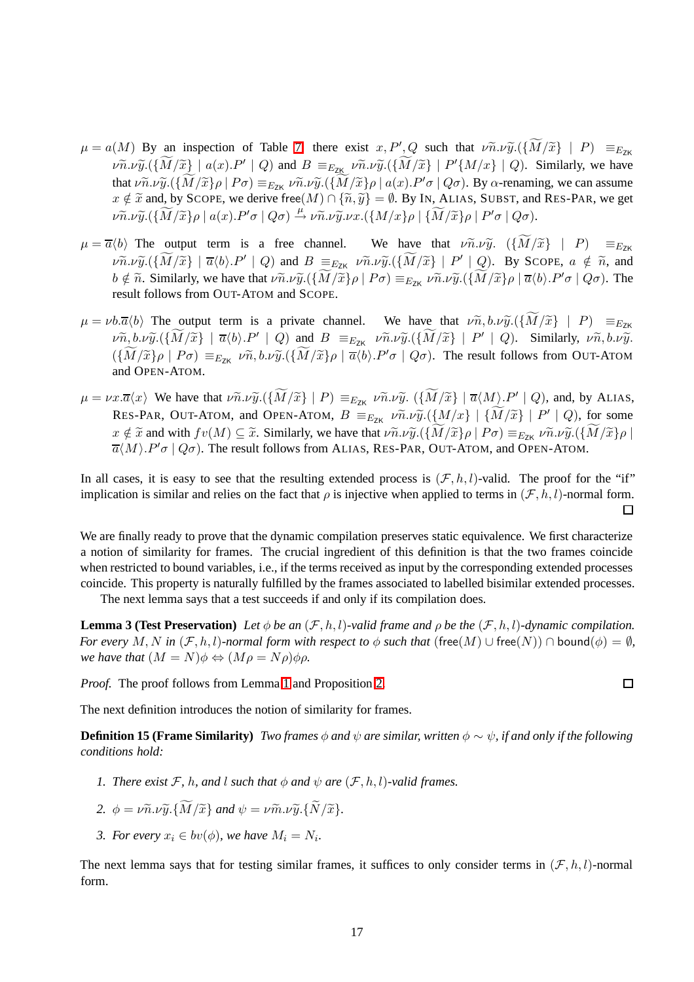- $\mu = a(M)$  By an inspection of Table [7,](#page-11-0) there exist  $x, P', Q$  such that  $\nu \tilde{n} \cdot \nu \tilde{y} \cdot (\{\tilde{M}/\tilde{x}\} | P) \equiv_{E_{ZK}}$  $\nu \widetilde{v} \cdot \nu \widetilde{y} \cdot (\widetilde{M}/\widetilde{x}) \mid a(x) \cdot P' \mid Q$  and  $B =_{E_{ZK}} \nu \widetilde{n} \cdot \nu \widetilde{y} \cdot (\widetilde{M}/\widetilde{x}) \mid P' \{M/x\} \mid Q$ . Similarly, we have that  $\nu \tilde{n}.\nu \tilde{y}.({\{\tilde{M}/\tilde{x}\}\rho \mid P\sigma}) \equiv_{E_{ZK}} \nu \tilde{n}.\nu \tilde{y}.({\{\tilde{M}/\tilde{x}\}\rho \mid a(x).P'\sigma \mid Q\sigma})$ . By  $\alpha$ -renaming, we can assume  $x \notin \tilde{x}$  and, by SCOPE, we derive free $(M) \cap {\{\tilde{n}, \tilde{y}\}} = \emptyset$ . By IN, ALIAS, SUBST, and RES-PAR, we get  $\nu \widetilde{n}.\nu \widetilde{y}.(\{\widetilde{M}/\widetilde{x}\}\rho\mid a(x).P'\sigma\mid Q\sigma) \stackrel{\mu}{\rightarrow} \nu \widetilde{n}.\nu \widetilde{y}.\nu x.(\{M/x\}\rho\mid {\widetilde{M}}/{\widetilde{x}}\}\rho\mid P'\sigma\mid Q\sigma).$
- $\mu = \overline{a} \langle b \rangle$  The output term is a free channel. We have that  $\nu \tilde{n} \cdot \nu \tilde{y}$ .  $(\{\widetilde{M}/\tilde{x}\} | P) = E_{ZK}$  $\nu \widetilde{n}.\nu \widetilde{y}.(\{\widetilde{M}/\widetilde{x}\} \mid \overline{\alpha}\langle b\rangle.P' \mid Q)$  and  $B \equiv_{E_{ZK}} \nu \widetilde{n}.\nu \widetilde{y}.(\{\widetilde{M}/\widetilde{x}\} \mid P' \mid Q)$ . By SCOPE,  $a \notin \widetilde{n}$ , and  $b \notin \tilde{n}$ . Similarly, we have that  $\nu \tilde{n} \cdot \nu \tilde{y} \cdot (\{ \tilde{M}/\tilde{x} \} \rho \mid P \sigma) \equiv_{E_{ZK}} \nu \tilde{n} \cdot \nu \tilde{y} \cdot (\{ \tilde{M}/\tilde{x} \} \rho \mid \overline{\alpha} \langle b \rangle \cdot P' \sigma \mid Q \sigma)$ . The result follows from OUT-ATOM and SCOPE.
- $\mu = \nu b.\overline{a}\langle b \rangle$  The output term is a private channel. We have that  $\nu \widetilde{n}, b.\nu \widetilde{y}.(\lbrace M/\widetilde{x} \rbrace | P) \equiv_{E_{ZK}}$  $\nu \widetilde{n}, b.\nu \widetilde{y}.(\{M/\widetilde{x}\} \mid \overline{a}\langle b\rangle.P' \mid Q)$  and  $B \equiv_{E_{ZK}} \nu \widetilde{n}. \nu \widetilde{y}.(\{M/\widetilde{x}\} \mid P' \mid Q)$ . Similarly,  $\nu \widetilde{n}, b.\nu \widetilde{y}.$  $({M}/{\tilde{x}}\rho \mid P\sigma) \equiv_{E_{ZK}} \nu \tilde{n}, b.\nu \tilde{y}.({M}/{\tilde{x}}\rho \mid \overline{\alpha}\langle b\rangle.P'\sigma \mid Q\sigma)$ . The result follows from OUT-ATOM and OPEN-ATOM.
- $\mu = \nu x. \overline{\alpha}(x)$  We have that  $\nu \widetilde{n}.\nu \widetilde{y}.\left(\{\widetilde{M}/\widetilde{x}\} \mid P\right) \equiv_{E_{ZK}} \nu \widetilde{n}.\nu \widetilde{y}.\left(\{\widetilde{M}/\widetilde{x}\} \mid \overline{\alpha}\langle M\rangle \cdot P' \mid Q\right)$ , and, by ALIAS, RES-PAR, OUT-ATOM, and OPEN-ATOM,  $B =_{E_{ZK}} \nu \tilde{n} \cdot \nu \tilde{y} \cdot (\{M/x\} | \{\tilde{M}/\tilde{x}\} | P' | Q)$ , for some  $x \notin \tilde{x}$  and with  $fv(M) \subseteq \tilde{x}$ . Similarly, we have that  $v \tilde{n}.v \tilde{y}.(\lbrace \tilde{M}/\tilde{x} \rbrace \rho \mid P\sigma) \equiv_{E_{ZK}} v \tilde{n}.v \tilde{y}.(\lbrace \tilde{M}/\tilde{x} \rbrace \rho \mid P\sigma)$  $\overline{a}(M)$ .  $P' \sigma \mid Q \sigma$ ). The result follows from ALIAS, RES-PAR, OUT-ATOM, and OPEN-ATOM.

In all cases, it is easy to see that the resulting extended process is  $(\mathcal{F}, h, l)$ -valid. The proof for the "if" implication is similar and relies on the fact that  $\rho$  is injective when applied to terms in  $(\mathcal{F}, h, l)$ -normal form.  $\Box$ 

We are finally ready to prove that the dynamic compilation preserves static equivalence. We first characterize a notion of similarity for frames. The crucial ingredient of this definition is that the two frames coincide when restricted to bound variables, i.e., if the terms received as input by the corresponding extended processes coincide. This property is naturally fulfilled by the frames associated to labelled bisimilar extended processes.

The next lemma says that a test succeeds if and only if its compilation does.

<span id="page-16-2"></span>**Lemma 3 (Test Preservation)** *Let*  $\phi$  *be an*  $(\mathcal{F}, h, l)$ *-valid frame and*  $\rho$  *be the*  $(\mathcal{F}, h, l)$ *-dynamic compilation. For every* M, N in  $(\mathcal{F}, h, l)$ -normal form with respect to  $\phi$  such that (free(M)  $\cup$  free(N))  $\cap$  bound( $\phi$ ) =  $\emptyset$ , *we have that*  $(M = N)\phi \Leftrightarrow (M\rho = N\rho)\phi\rho$ .

 $\Box$ 

*Proof.* The proof follows from Lemma [1](#page-14-0) and Proposition [2.](#page-13-1)

<span id="page-16-0"></span>The next definition introduces the notion of similarity for frames.

**Definition 15 (Frame Similarity)** *Two frames*  $\phi$  *and*  $\psi$  *are similar, written*  $\phi \sim \psi$ *, if and only if the following conditions hold:*

- *1. There exist*  $\mathcal{F}$ *, h, and l such that*  $\phi$  *and*  $\psi$  *are*  $(\mathcal{F}, h, l)$ *-valid frames.*
- 2.  $\phi = \nu \widetilde{n} \cdot \nu \widetilde{\nu} \cdot {\widetilde{M}}/{\widetilde{x}}$ *, and*  $\psi = \nu \widetilde{m} \cdot \nu \widetilde{\nu} \cdot {\widetilde{N}}/{\widetilde{x}}$ *.*
- *3. For every*  $x_i \in bv(\phi)$ , we have  $M_i = N_i$ .

<span id="page-16-1"></span>The next lemma says that for testing similar frames, it suffices to only consider terms in  $(\mathcal{F}, h, l)$ -normal form.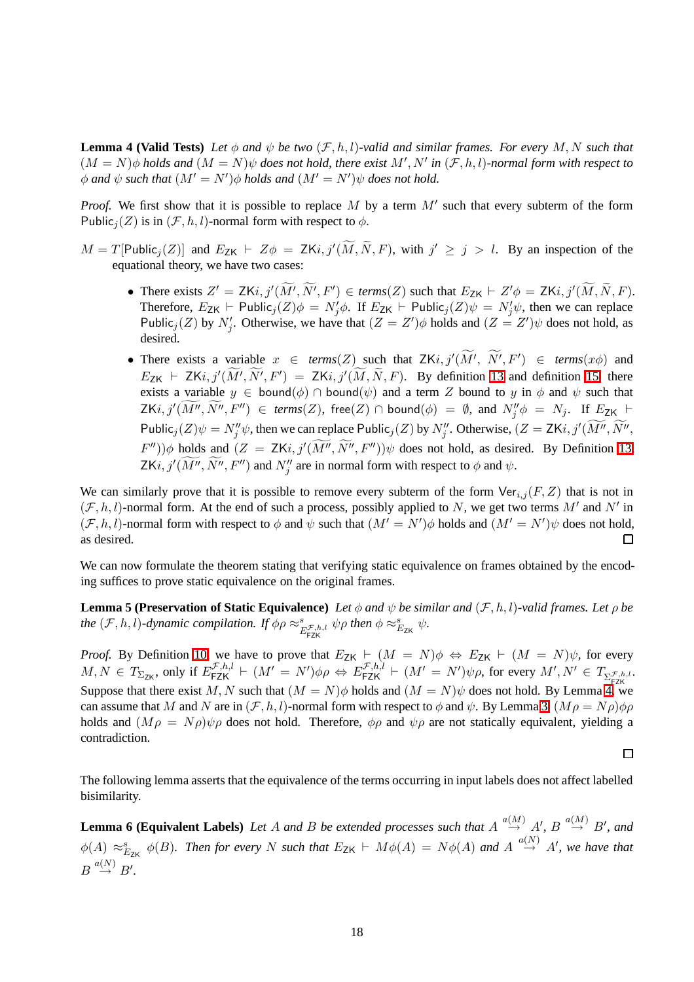**Lemma 4 (Valid Tests)** *Let*  $\phi$  *and*  $\psi$  *be two*  $(\mathcal{F}, h, l)$ *-valid and similar frames. For every* M, N *such that*  $(M = N)\phi$  *holds and*  $(M = N)\psi$  *does not hold, there exist*  $M', N'$  *in*  $(\mathcal{F}, h, l)$ *-normal form with respect to*  $\phi$  and  $\psi$  such that  $(M' = N')\phi$  holds and  $(M' = N')\psi$  does not hold.

*Proof.* We first show that it is possible to replace M by a term M' such that every subterm of the form Public<sub>i</sub> $(Z)$  is in  $(\mathcal{F}, h, l)$ -normal form with respect to  $\phi$ .

- $M = T[Public_j(Z)]$  and  $E_{ZK} \vdash Z\phi = ZKi, j'(\overline{M}, \overline{N}, F)$ , with  $j' \ge j > l$ . By an inspection of the equational theory, we have two cases:
	- There exists  $Z' = ZKi, j'(\overline{M'}, \overline{N'}, F') \in terms(Z)$  such that  $E_{ZK} \vdash Z' \phi = ZKi, j'(\overline{M}, \overline{N}, F)$ . Therefore,  $E_{\mathsf{ZK}} \vdash \mathsf{Public}_j(Z)\phi = N'_j\phi$ . If  $E_{\mathsf{ZK}} \vdash \mathsf{Public}_j(Z)\psi = N'_j\psi$ , then we can replace Public<sub>j</sub>(Z) by N'<sub>j</sub>. Otherwise, we have that  $(Z = Z')\phi$  holds and  $(Z = Z')\psi$  does not hold, as desired.
	- There exists a variable  $x \in terms(Z)$  such that  $ZKi, j'(\overline{M'}, \overline{N'}, F') \in terms(x\phi)$  and  $E_{\text{ZK}}$   $\vdash$  ZKi,  $j'(\overline{M'}, \overline{N'}, F') = ZKi$ ,  $j'(\overline{M}, \overline{N}, F)$ . By definition [13](#page-12-4) and definition [15,](#page-16-0) there exists a variable  $y \in \text{bound}(\phi) \cap \text{bound}(\psi)$  and a term Z bound to y in  $\phi$  and  $\psi$  such that  $\mathsf{ZK}i,j'(M'',N'',F'') \in \mathit{terms}(Z),\ \mathsf{free}(Z) \cap \mathsf{bound}(\phi) = \emptyset,\ \mathsf{and}\ N''_j\phi \ = \ N_j.\ \ \mathsf{If}\ E_{\mathsf{ZK}} \ \vdash$ Public<sub>j</sub> $(Z)\psi = N''_j\psi$ , then we can replace Public<sub>j</sub> $(Z)$  by  $N''_j$ . Otherwise,  $(Z = ZKi, j'(\overline{M''}, \overline{N''},$  $(F'')\phi$  holds and  $(Z = \mathsf{Z} Ki, j'(\overline{M''}, \overline{N''}, F''))\psi$  does not hold, as desired. By Definition [13,](#page-12-4) ZKi,  $j'(\widetilde{M''}, \widetilde{N''}, F'')$  and  $N''_j$  are in normal form with respect to  $\phi$  and  $\psi$ .

We can similarly prove that it is possible to remove every subterm of the form  $\text{Ver}_{i,j}(F, Z)$  that is not in  $(\mathcal{F}, h, l)$ -normal form. At the end of such a process, possibly applied to N, we get two terms M' and N' in  $(\mathcal{F}, h, l)$ -normal form with respect to  $\phi$  and  $\psi$  such that  $(M' = N')\phi$  holds and  $(M' = N')\psi$  does not hold, as desired. 口

<span id="page-17-0"></span>We can now formulate the theorem stating that verifying static equivalence on frames obtained by the encoding suffices to prove static equivalence on the original frames.

**Lemma 5 (Preservation of Static Equivalence)** *Let*  $\phi$  *and*  $\psi$  *be similar and* (*F*, *h*, *l*)*-valid frames. Let*  $\rho$  *be the*  $(\mathcal{F}, h, l)$ -dynamic compilation. If  $\phi \rho \approx_{E_{\text{FZK}}}^s \phi$ ,  $\psi \rho$  then  $\phi \approx_{E_{\text{ZK}}}^s \psi$ .

*Proof.* By Definition [10,](#page-11-2) we have to prove that  $E_{ZK}$   $\vdash$   $(M = N)\phi \Leftrightarrow E_{ZK}$   $\vdash$   $(M = N)\psi$ , for every  $M, N \in T_{\Sigma_{\mathsf{ZK}}}$ , only if  $E_{\mathsf{FZK}}^{\mathcal{F},h,l} \vdash (M' = N')\phi\rho \Leftrightarrow E_{\mathsf{FZK}}^{\mathcal{F},h,l} \vdash (M' = N')\psi\rho$ , for every  $M', N' \in T_{\Sigma_{\mathsf{FZK}}^{\mathcal{F},h,l}}$ . Suppose that there exist M, N such that  $(M = N)\phi$  holds and  $(M = N)\psi$  does not hold. By Lemma [4,](#page-16-1) we can assume that M and N are in  $(\mathcal{F},h,l)$ -normal form with respect to  $\phi$  and  $\psi$ . By Lemma [3,](#page-16-2)  $(M\rho = N\rho)\phi\rho$ holds and  $(M\rho = N\rho)\psi\rho$  does not hold. Therefore,  $\phi\rho$  and  $\psi\rho$  are not statically equivalent, yielding a contradiction.

$$
\qquad \qquad \Box
$$

<span id="page-17-1"></span>The following lemma asserts that the equivalence of the terms occurring in input labels does not affect labelled bisimilarity.

**Lemma 6 (Equivalent Labels)** Let A and B be extended processes such that  $A \stackrel{a(M)}{\rightarrow} A'$ ,  $B \stackrel{a(M)}{\rightarrow} B'$ , and  $\phi(A) \approx_{E_{\text{ZK}}}^s \phi(B)$ . Then for every N such that  $E_{\text{ZK}} \vdash M\phi(A) = N\phi(A)$  and  $A \stackrel{a(N)}{\rightarrow} A'$ , we have that  $B \stackrel{a(N)}{\rightarrow} B'.$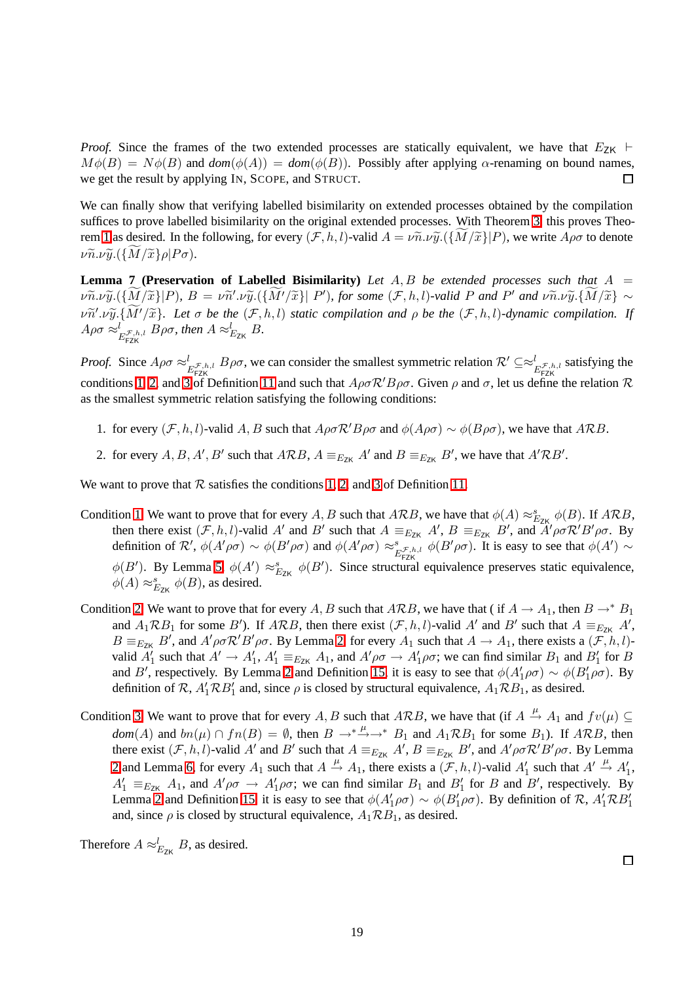*Proof.* Since the frames of the two extended processes are statically equivalent, we have that  $E_{ZK}$  ⊢  $M\phi(B) = N\phi(B)$  and  $dom(\phi(A)) = dom(\phi(B))$ . Possibly after applying  $\alpha$ -renaming on bound names, we get the result by applying IN, SCOPE, and STRUCT. 口

We can finally show that verifying labelled bisimilarity on extended processes obtained by the compilation suffices to prove labelled bisimilarity on the original extended processes. With Theorem [3,](#page-12-5) this proves Theo-rem [1](#page-10-0) as desired. In the following, for every  $(\mathcal{F},h,l)$ -valid  $A = \nu \tilde{n} \cdot \nu \tilde{y}$ .  $({M/\tilde{x}}|P)$ , we write  $A \rho \sigma$  to denote  $\nu \widetilde{n}.\nu \widetilde{y}. (\{\widetilde{M}/\widetilde{x}\}\rho|P\sigma).$ 

<span id="page-18-0"></span>**Lemma 7 (Preservation of Labelled Bisimilarity)** *Let* A,B *be extended processes such that* A =  $\nu \widetilde{v} \cdot \nu \widetilde{y} \cdot (\{M/\widetilde{x}\}|P)$ ,  $B = \nu \widetilde{n}' \cdot \nu \widetilde{y} \cdot (\{M'/\widetilde{x}\}|P')$ , for some  $(\mathcal{F}, h, l)$ -valid P and  $P'$  and  $\nu \widetilde{n} \cdot \nu \widetilde{y} \cdot \{M/\widetilde{x}\} \sim$  $\nu \widetilde{n}' \cdot \nu \widetilde{y} \cdot {\widetilde{M}' / \widetilde{x}}$ *. Let*  $\sigma$  *be the*  $(\mathcal{F}, h, l)$  *static compilation and*  $\rho$  *be the*  $(\mathcal{F}, h, l)$ *-dynamic compilation. If*  $A\rho\sigma \approx_{E_{\text{FZK}}^{\mathcal{F},h,l}}^l B\rho\sigma$ , then  $A \approx_{E_{\text{ZK}}}^l B$ .

*Proof.* Since  $A\rho\sigma \approx_{E_{\text{FZK}}^{f,h,l}} B\rho\sigma$ , we can consider the smallest symmetric relation  $\mathcal{R}' \subseteq \approx_{E_{\text{FZK}}^{f,h,l}} g_{E_{\text{ZK}}^{f,h,l}}$  satisfying the conditions [1,](#page-12-6) [2,](#page-12-7) and [3](#page-12-8) of Definition [11](#page-12-9) and such that  $A\rho\sigma R'B\rho\sigma$ . Given  $\rho$  and  $\sigma$ , let us define the relation  $\mathcal R$ as the smallest symmetric relation satisfying the following conditions:

- 1. for every  $(\mathcal{F}, h, l)$ -valid A, B such that  $A\rho\sigma\mathcal{R}'B\rho\sigma$  and  $\phi(A\rho\sigma) \sim \phi(B\rho\sigma)$ , we have that ARB.
- 2. for every  $A, B, A', B'$  such that  $ARB$ ,  $A \equiv_{E_{ZK}} A'$  and  $B \equiv_{E_{ZK}} B'$ , we have that  $A'RB'$ .

We want to prove that  $R$  satisfies the conditions [1,](#page-12-6) [2,](#page-12-7) and [3](#page-12-8) of Definition [11.](#page-12-9)

- Condition [1](#page-12-6) We want to prove that for every A, B such that ARB, we have that  $\phi(A) \approx_{E_{\text{ZK}}}^s \phi(B)$ . If ARB, then there exist  $(F, h, l)$ -valid A' and B' such that  $A \equiv_{E_{ZK}} A', B \equiv_{E_{ZK}} B'$ , and  $\hat{A}' \rho \sigma \mathcal{R}' B' \rho \sigma$ . By definition of  $\mathcal{R}'$ ,  $\phi(A'\rho\sigma) \sim \phi(B'\rho\sigma)$  and  $\phi(A'\rho\sigma) \approx_{E_{\text{FZK}}^{\mathcal{F},h,l}}^s \phi(B'\rho\sigma)$ . It is easy to see that  $\phi(A') \sim$  $\phi(B')$ . By Lemma [5,](#page-17-0)  $\phi(A') \approx_{E_{ZK}}^s \phi(B')$ . Since structural equivalence preserves static equivalence,  $\phi(A) \approx_{E_{\text{ZK}}}^s \phi(B)$ , as desired.
- Condition [2](#page-12-7) We want to prove that for every A, B such that ARB, we have that ( if  $A \to A_1$ , then  $B \to^* B_1$ and  $A_1 \mathcal{R} B_1$  for some B'). If  $A \mathcal{R} B$ , then there exist  $(\mathcal{F}, h, l)$ -valid A' and B' such that  $A \equiv_{E_{\mathbb{Z}K}} A'$ ,  $B \equiv_{E_{\text{ZK}}} B'$ , and  $A' \rho \sigma \mathcal{R}' B' \rho \sigma$ . By Lemma [2,](#page-14-1) for every  $A_1$  such that  $A \to A_1$ , there exists a  $(\mathcal{F}, h, l)$ valid  $A'_1$  such that  $A' \to A'_1$ ,  $A'_1 \equiv_{E_{ZK}} A_1$ , and  $A'\rho\sigma \to A'_1\rho\sigma$ ; we can find similar  $B_1$  and  $B'_1$  for  $B$ and B', respectively. By Lemma [2](#page-14-1) and Definition [15,](#page-16-0) it is easy to see that  $\phi(A'_1\rho\sigma) \sim \phi(B'_1\rho\sigma)$ . By definition of  $\mathcal{R}$ ,  $A'_1 \mathcal{R} B'_1$  and, since  $\rho$  is closed by structural equivalence,  $A_1 \mathcal{R} B_1$ , as desired.
- Condition [3](#page-12-8) We want to prove that for every A, B such that ARB, we have that (if  $A \stackrel{\mu}{\rightarrow} A_1$  and  $fv(\mu) \subseteq$ *dom*(*A*) and  $bn(\mu) \cap fn(B) = \emptyset$ , then  $B \to^* \to^* B_1$  and  $A_1 \mathcal{R}B_1$  for some  $B_1$ ). If  $A \mathcal{R}B$ , then there exist  $(\mathcal{F}, h, l)$ -valid A' and B' such that  $A \equiv_{E_{ZK}} A', B \equiv_{E_{ZK}} B'$ , and  $A' \rho \sigma R' B' \rho \sigma$ . By Lemma [2](#page-14-1) and Lemma [6,](#page-17-1) for every  $A_1$  such that  $A \stackrel{\mu}{\rightarrow} A_1$ , there exists a  $(\mathcal{F}, h, l)$ -valid  $A'_1$  such that  $A' \stackrel{\mu}{\rightarrow} A'_1$ ,  $A'_1 \equiv_{E_{ZK}} A_1$ , and  $A' \rho \sigma \to A'_1 \rho \sigma$ ; we can find similar  $B_1$  and  $B'_1$  for B and B', respectively. By Lemma [2](#page-14-1) and Definition [15,](#page-16-0) it is easy to see that  $\phi(A'_1 \rho \sigma) \sim \phi(B'_1 \rho \sigma)$ . By definition of R,  $A'_1 \mathcal{R} B'_1$ and, since  $\rho$  is closed by structural equivalence,  $A_1 \mathcal{R} B_1$ , as desired.

Therefore  $A \approx_{E_{ZK}}^l B$ , as desired.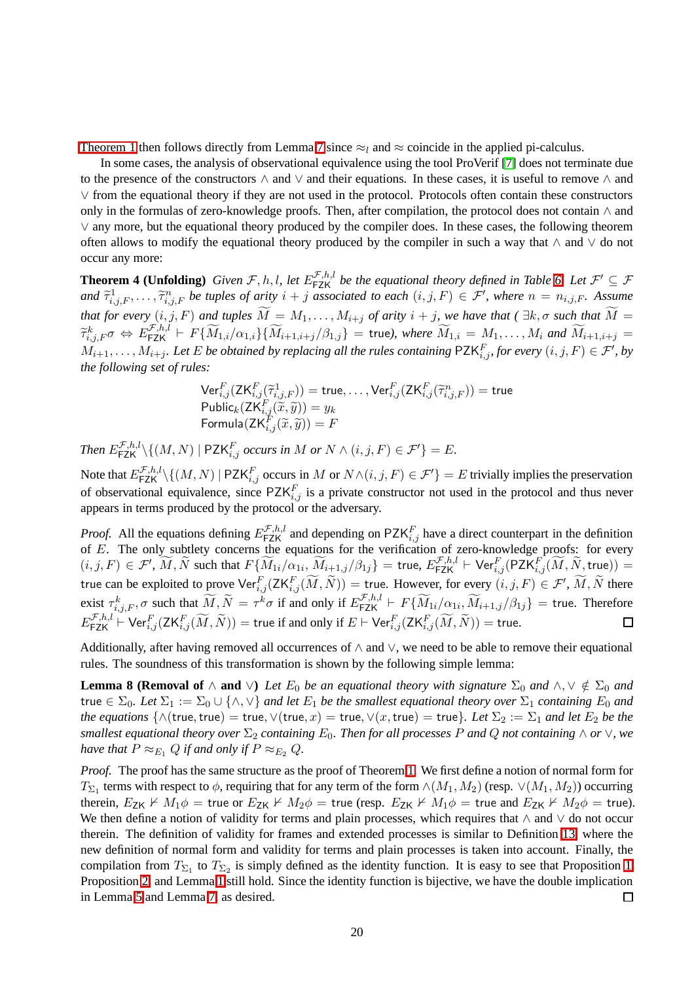[Theorem 1](#page-10-0) then follows directly from Lemma [7](#page-18-0) since  $\approx$  and  $\approx$  coincide in the applied pi-calculus.

In some cases, the analysis of observational equivalence using the tool ProVerif [\[7\]](#page-40-5) does not terminate due to the presence of the constructors ∧ and ∨ and their equations. In these cases, it is useful to remove ∧ and ∨ from the equational theory if they are not used in the protocol. Protocols often contain these constructors only in the formulas of zero-knowledge proofs. Then, after compilation, the protocol does not contain  $\wedge$  and ∨ any more, but the equational theory produced by the compiler does. In these cases, the following theorem often allows to modify the equational theory produced by the compiler in such a way that ∧ and ∨ do not occur any more:

<span id="page-19-0"></span>**Theorem 4 (Unfolding)** Given  $\mathcal{F}, h, l$ , let  $E_{\textsf{FZK}}^{\mathcal{F},h,l}$  be the equational theory defined in Table [6.](#page-9-0) Let  $\mathcal{F}' \subseteq \mathcal{F}$  $\text{and } \tilde{\tau}^1_{i,j,F}, \ldots, \tilde{\tau}^n_{i,j,F}$  be tuples of arity  $i + j$  associated to each  $(i,j,F) \in \mathcal{F}'$ , where  $n = n_{i,j,F}$ . Assume *that for every*  $(i,j,F)$  *and tuples*  $\widetilde{M} = M_1,\ldots,M_{i+j}$  *of arity*  $i + j$ *, we have that* ( $\exists k, \sigma$  *such that*  $\widetilde{M} =$  $\widetilde{\tau}^k_{i,j,F} \sigma \, \Leftrightarrow \, E^{ \mathcal{F},h,l}_{\mathsf{FZK}} \vdash \, F\{ \widetilde{M}_{1,i}/\alpha_{1,i} \} \{ \widetilde{M}_{i+1,i+j}/\beta_{1,j} \} \, = \, \mathsf{true} \text{),} \text{ where } \widetilde{M}_{1,i} \, = \, M_1, \ldots, M_i \text{ and } \widetilde{M}_{i+1,i+j} \, = \, 0 \, ,$  $M_{i+1},\ldots,M_{i+j}$ *. Let* E be obtained by replacing all the rules containing  $\mathsf{PZK}_{i,j}^F$ , for every  $(i,j,F)\in\mathcal{F}'$ , by *the following set of rules:*

$$
\begin{array}{l}\mathsf{Ver}^F_{i,j}(\mathsf{ZK}^F_{i,j}(\widetilde{\tau}^1_{i,j,F})) = \mathsf{true}, \dots, \mathsf{Ver}^F_{i,j}(\mathsf{ZK}^F_{i,j}(\widetilde{\tau}^n_{i,j,F})) = \mathsf{true} \\ \mathsf{Public}_k(\mathsf{ZK}^F_{i,j}(\widetilde{x}, \widetilde{y})) = y_k \\ \mathsf{Formula}(\mathsf{ZK}^F_{i,j}(\widetilde{x}, \widetilde{y})) = F \end{array}
$$

*Then*  $E_{\sf FZK}^{\mathcal{F},h,l}\backslash\{(M,N)\mid \mathsf{PZK}_{i,j}^F$  *occurs in*  $M$  *or*  $N \wedge (i,j,F) \in \mathcal{F}'\}=E$ .

Note that  $E_{\sf FZK}^{{\cal F},h,l}\backslash\{(M,N)\mid \sf PZK_{i,j}^F$  occurs in  $M$  or  $N\wedge (i,j,F)\in {\cal F}'\}=E$  trivially implies the preservation of observational equivalence, since  $PZK_{i,j}^F$  is a private constructor not used in the protocol and thus never appears in terms produced by the protocol or the adversary.

*Proof.* All the equations defining  $E_{\text{FZK}}^{\mathcal{F},h,l}$  and depending on PZK $_{i,j}^F$  have a direct counterpart in the definition of  $E$ . The only subtlety concerns the equations for the verification of zero-knowledge proofs: for every  $(i,j,F)\in \mathcal{F}',\ \widetilde{M},\widetilde{N} \text{ such that } F\{\widetilde{M}_{1i}/\alpha_{1i},\widetilde{M}_{i+1,j}/\beta_{1j}\} = \text{true},\ E_{\textsf{FZK}}^{\mathcal{F},h,l}\vdash \textsf{Ver}^F_{i,j}(\textsf{PZK}_{i,j}^F(\widetilde{M},\widetilde{N},\textsf{true})) =$ true can be exploited to prove  $\text{Ver}_{i,j}^F(\text{ZK}_{i,j}^F(\widetilde{M}, \widetilde{N})) =$  true. However, for every  $(i, j, F) \in \mathcal{F}', \widetilde{M}, \widetilde{N}$  there exist  $\tau^k_{i,j,F}, \sigma$  such that  $\widetilde{M}, \widetilde{N} = \tau^k \sigma$  if and only if  $E_{\textsf{FZK}}^{\mathcal{F},h,l} \vdash F\{\widetilde{M}_{1i}/\alpha_{1i}, \widetilde{M}_{i+1,j}/\beta_{1j}\} = \textsf{true}.$  Therefore  $E^{\mathcal{F},h,l}_{\mathsf{FZK}} \vdash \mathsf{Ver}^F_{i,j}(\mathsf{ZK}^F_{i,j}(\widetilde{M},\widetilde{N})) = \mathsf{true}$  if and only if  $E \vdash \mathsf{Ver}^F_{i,j}(\mathsf{ZK}^F_{i,j}(\widetilde{M},\widetilde{N})) = \mathsf{true}.$ 

Additionally, after having removed all occurrences of  $\land$  and  $\lor$ , we need to be able to remove their equational rules. The soundness of this transformation is shown by the following simple lemma:

<span id="page-19-1"></span>**Lemma 8 (Removal of**  $\land$  **and**  $\lor$ ) *Let*  $E_0$  *be an equational theory with signature*  $\Sigma_0$  *and*  $\land$ ,  $\lor \notin \Sigma_0$  *and* true  $\in \Sigma_0$ . Let  $\Sigma_1 := \Sigma_0 \cup \{\wedge, \vee\}$  and let  $E_1$  be the smallest equational theory over  $\Sigma_1$  containing  $E_0$  and *the equations*  $\{\wedge(\text{true},\text{true}) = \text{true}, \vee(\text{true},x) = \text{true}, \vee(x,\text{true}) = \text{true}\}.$  Let  $\Sigma_2 := \Sigma_1$  and let  $E_2$  be the *smallest equational theory over*  $\Sigma_2$  *containing*  $E_0$ *. Then for all processes* P *and* Q *not containing*  $\wedge$  *or*  $\vee$ *, we have that*  $P \approx_{E_1} Q$  *if and only if*  $P \approx_{E_2} Q$ *.* 

*Proof.* The proof has the same structure as the proof of Theorem [1.](#page-10-0) We first define a notion of normal form for  $T_{\Sigma_1}$  terms with respect to  $\phi$ , requiring that for any term of the form  $\wedge(M_1,M_2)$  (resp.  $\vee(M_1,M_2)$ ) occurring therein,  $E_{ZK} \nvdash M_1 \phi =$  true or  $E_{ZK} \nvdash M_2 \phi =$  true (resp.  $E_{ZK} \nvdash M_1 \phi =$  true and  $E_{ZK} \nvdash M_2 \phi =$  true). We then define a notion of validity for terms and plain processes, which requires that ∧ and ∨ do not occur therein. The definition of validity for frames and extended processes is similar to Definition [13,](#page-12-4) where the new definition of normal form and validity for terms and plain processes is taken into account. Finally, the compilation from  $T_{\Sigma_1}$  to  $T_{\Sigma_2}$  is simply defined as the identity function. It is easy to see that Proposition [1,](#page-12-10) Proposition [2,](#page-13-1) and Lemma [1](#page-14-0) still hold. Since the identity function is bijective, we have the double implication in Lemma [5](#page-17-0) and Lemma [7,](#page-18-0) as desired.  $\Box$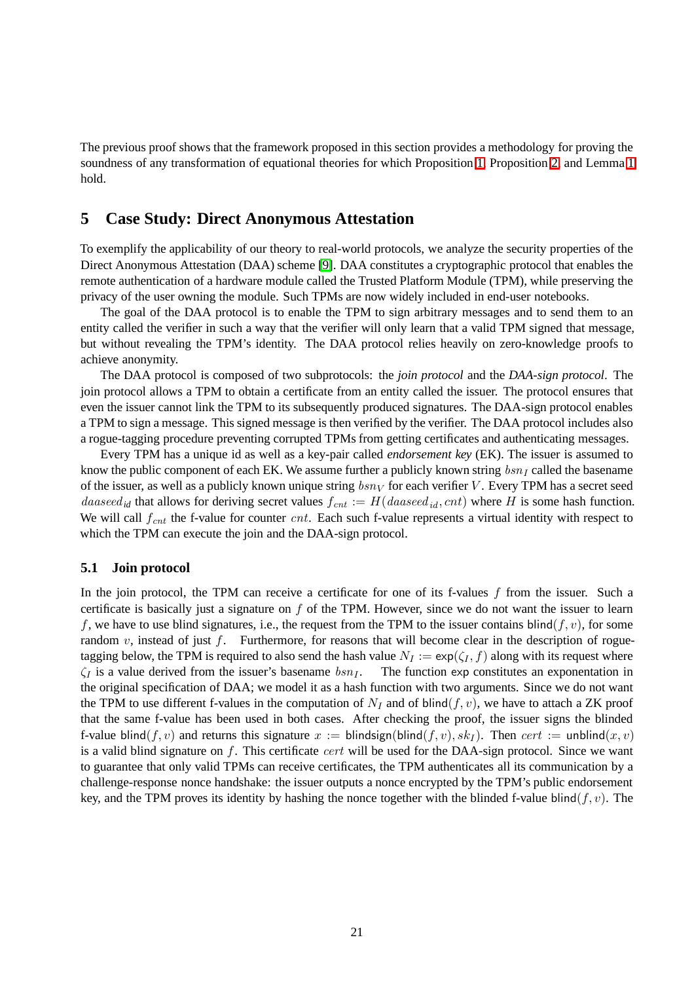The previous proof shows that the framework proposed in this section provides a methodology for proving the soundness of any transformation of equational theories for which Proposition [1,](#page-12-10) Proposition [2,](#page-13-1) and Lemma [1](#page-14-0) hold.

## <span id="page-20-0"></span>**5 Case Study: Direct Anonymous Attestation**

To exemplify the applicability of our theory to real-world protocols, we analyze the security properties of the Direct Anonymous Attestation (DAA) scheme [\[9\]](#page-41-11). DAA constitutes a cryptographic protocol that enables the remote authentication of a hardware module called the Trusted Platform Module (TPM), while preserving the privacy of the user owning the module. Such TPMs are now widely included in end-user notebooks.

The goal of the DAA protocol is to enable the TPM to sign arbitrary messages and to send them to an entity called the verifier in such a way that the verifier will only learn that a valid TPM signed that message, but without revealing the TPM's identity. The DAA protocol relies heavily on zero-knowledge proofs to achieve anonymity.

The DAA protocol is composed of two subprotocols: the *join protocol* and the *DAA-sign protocol*. The join protocol allows a TPM to obtain a certificate from an entity called the issuer. The protocol ensures that even the issuer cannot link the TPM to its subsequently produced signatures. The DAA-sign protocol enables a TPM to sign a message. This signed message is then verified by the verifier. The DAA protocol includes also a rogue-tagging procedure preventing corrupted TPMs from getting certificates and authenticating messages.

Every TPM has a unique id as well as a key-pair called *endorsement key* (EK). The issuer is assumed to know the public component of each EK. We assume further a publicly known string  $bsn<sub>I</sub>$  called the basename of the issuer, as well as a publicly known unique string  $bsn<sub>V</sub>$  for each verifier V. Every TPM has a secret seed *daaseed<sub>id</sub>* that allows for deriving secret values  $f_{cnt} := H(daaseed_{id}, cnt)$  where H is some hash function. We will call  $f_{cnt}$  the f-value for counter cnt. Each such f-value represents a virtual identity with respect to which the TPM can execute the join and the DAA-sign protocol.

#### <span id="page-20-1"></span>**5.1 Join protocol**

In the join protocol, the TPM can receive a certificate for one of its f-values  $f$  from the issuer. Such a certificate is basically just a signature on  $f$  of the TPM. However, since we do not want the issuer to learn f, we have to use blind signatures, i.e., the request from the TPM to the issuer contains blind(f, v), for some random v, instead of just f. Furthermore, for reasons that will become clear in the description of roguetagging below, the TPM is required to also send the hash value  $N_I := \exp(\zeta_I, f)$  along with its request where  $\zeta_I$  is a value derived from the issuer's basename  $bsn_I$ . The function exp constitutes an exponentation in the original specification of DAA; we model it as a hash function with two arguments. Since we do not want the TPM to use different f-values in the computation of  $N_I$  and of blind(f,v), we have to attach a ZK proof that the same f-value has been used in both cases. After checking the proof, the issuer signs the blinded f-value blind(f, v) and returns this signature  $x := \text{blind}(\text{signal}(f, v), sk_I)$ . Then cert := unblind(x, v) is a valid blind signature on  $f$ . This certificate *cert* will be used for the DAA-sign protocol. Since we want to guarantee that only valid TPMs can receive certificates, the TPM authenticates all its communication by a challenge-response nonce handshake: the issuer outputs a nonce encrypted by the TPM's public endorsement key, and the TPM proves its identity by hashing the nonce together with the blinded f-value blind( $f, v$ ). The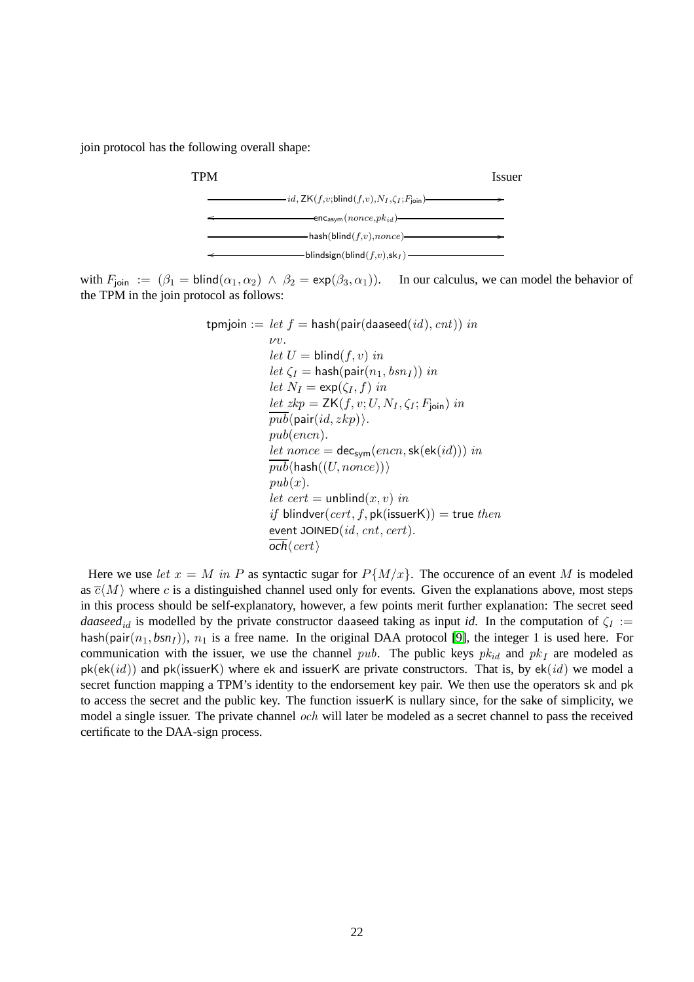join protocol has the following overall shape:



with  $F_{\text{join}} := (\beta_1 = \text{blind}(\alpha_1, \alpha_2) \land \beta_2 = \exp(\beta_3, \alpha_1)).$  In our calculus, we can model the behavior of the TPM in the join protocol as follows:

$$
\begin{aligned}\n\text{tpmjoin} &:= let \ f = \text{hash}(\text{pair}(\text{dased}(id), \text{cnt})) \ in \\
&\quad \nu v. \\
&\quad let \ U = \text{blind}(f, v) \ in \\
&\quad let \ \zeta_I = \text{hash}(\text{pair}(n_1, \text{bs}n_I)) \ in \\
&\quad let \ N_I = \exp(\zeta_I, f) \ in \\
&\quad \underline{let} \ xkp = \mathsf{ZK}(f, v; U, N_I, \zeta_I; F_{\text{join}}) \ in \\
&\quad \underline{pub}(\text{pair}(id, \text{z}kp)). \\
&\quad \underline{pub}(\text{enc}n). \\
&\quad \underline{let} \ nonce = \text{dec}_{\text{sym}}(\text{enc}n, \text{sk}(\text{ek}(id))) \ in \\
&\quad \underline{pub}(\text{hash}((U, \text{nonce}))) \\
&\quad \underline{pub}(x). \\
&\quad \underline{let} \ cert = \text{unblind}(x, v) \ in \\
&\quad \underline{if} \ \text{blindver}(\text{cert}, f, \text{pk}(\text{issuerK})) = \text{true} \ then \\
&\quad \underline{event} \ J\text{OINED}(id, \text{cnt}, \text{cert}).\n\end{aligned}
$$

Here we use let  $x = M$  in P as syntactic sugar for  $P\{M/x\}$ . The occurence of an event M is modeled as  $\overline{c}(M)$  where c is a distinguished channel used only for events. Given the explanations above, most steps in this process should be self-explanatory, however, a few points merit further explanation: The secret seed *daaseed*<sub>id</sub> is modelled by the private constructor daaseed taking as input *id*. In the computation of  $\zeta_I :=$ hash(pair $(n_1, bsn<sub>I</sub>)$ ),  $n_1$  is a free name. In the original DAA protocol [\[9\]](#page-41-11), the integer 1 is used here. For communication with the issuer, we use the channel pub. The public keys  $pk_{id}$  and  $pk_I$  are modeled as  $pk(ek(id))$  and  $pk(issuerK)$  where ek and issuerK are private constructors. That is, by  $ek(id)$  we model a secret function mapping a TPM's identity to the endorsement key pair. We then use the operators sk and pk to access the secret and the public key. The function issuerK is nullary since, for the sake of simplicity, we model a single issuer. The private channel och will later be modeled as a secret channel to pass the received certificate to the DAA-sign process.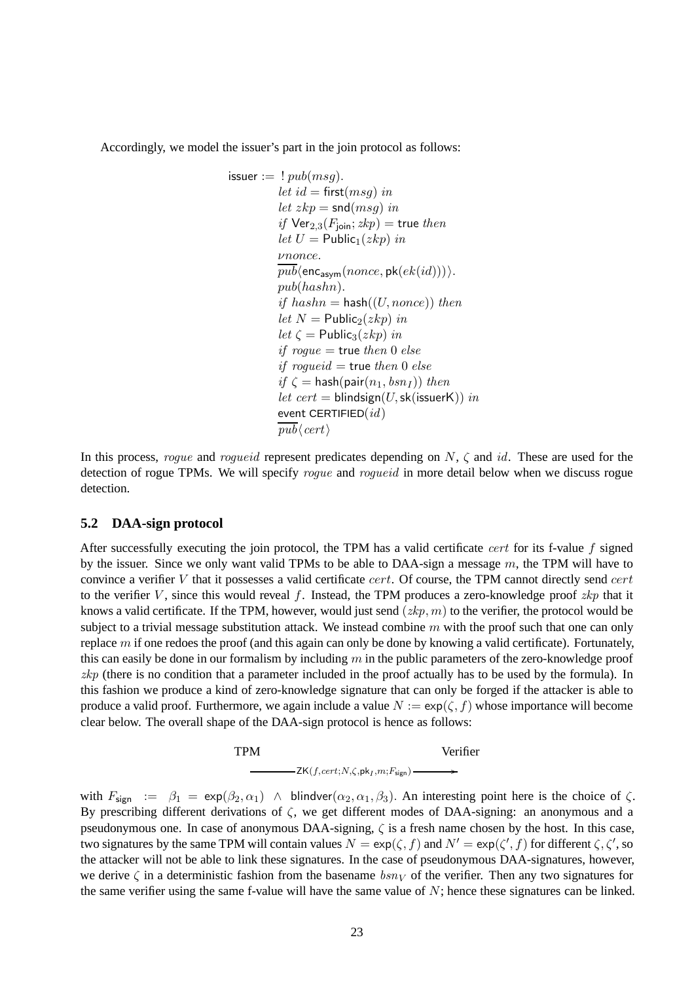Accordingly, we model the issuer's part in the join protocol as follows:

$$
f(x) = \frac{1}{2} pub(msg).
$$
\n
$$
let \ id = \text{first(msg)} \ in
$$
\n
$$
let \ zkp = \text{snd(msg)} \ in
$$
\n
$$
if \ \text{Ver}_{2,3}(F_{\text{join}}; zkp) = \text{true} \ then
$$
\n
$$
let \ U = \text{Public}_1(zkp) \ in
$$
\n
$$
vnonce.
$$
\n
$$
\overline{pub}(\text{enc}_{\text{asym}}(nonce, \text{pk}(ek(id))))).
$$
\n
$$
pub(hashn).
$$
\n
$$
if \ hashn = \text{hash}((U, nonce)) \ then
$$
\n
$$
let \ N = \text{Public}_2(zkp) \ in
$$
\n
$$
let \ \zeta = \text{Public}_3(zkp) \ in
$$
\n
$$
if \ \text{rogue} = \text{true} \ then \ 0 \ else
$$
\n
$$
if \ \zeta = \text{hash}(\text{pair}(n_1, bsn_I)) \ then
$$
\n
$$
let \ cert = \text{binding}(U, \text{sk}(\text{issueK})) \ in
$$
\n
$$
\text{event CERTIFIED}(id)
$$

In this process, roque and roqueid represent predicates depending on  $N$ ,  $\zeta$  and id. These are used for the detection of rogue TPMs. We will specify *rogue* and *rogueid* in more detail below when we discuss rogue detection.

#### <span id="page-22-0"></span>**5.2 DAA-sign protocol**

After successfully executing the join protocol, the TPM has a valid certificate cert for its f-value f signed by the issuer. Since we only want valid TPMs to be able to DAA-sign a message  $m$ , the TPM will have to convince a verifier  $V$  that it possesses a valid certificate  $cert$ . Of course, the TPM cannot directly send  $cert$ to the verifier V, since this would reveal f. Instead, the TPM produces a zero-knowledge proof  $zkp$  that it knows a valid certificate. If the TPM, however, would just send  $(zkp, m)$  to the verifier, the protocol would be subject to a trivial message substitution attack. We instead combine  $m$  with the proof such that one can only replace  $m$  if one redoes the proof (and this again can only be done by knowing a valid certificate). Fortunately, this can easily be done in our formalism by including  $m$  in the public parameters of the zero-knowledge proof  $zkp$  (there is no condition that a parameter included in the proof actually has to be used by the formula). In this fashion we produce a kind of zero-knowledge signature that can only be forged if the attacker is able to produce a valid proof. Furthermore, we again include a value  $N := \exp(\zeta, f)$  whose importance will become clear below. The overall shape of the DAA-sign protocol is hence as follows:



with  $F_{\text{sign}} := \beta_1 = \exp(\beta_2, \alpha_1)$   $\wedge$  blindver $(\alpha_2, \alpha_1, \beta_3)$ . An interesting point here is the choice of  $\zeta$ . By prescribing different derivations of  $\zeta$ , we get different modes of DAA-signing: an anonymous and a pseudonymous one. In case of anonymous DAA-signing,  $\zeta$  is a fresh name chosen by the host. In this case, two signatures by the same TPM will contain values  $N = \exp(\zeta, f)$  and  $N' = \exp(\zeta', f)$  for different  $\zeta, \zeta',$  so the attacker will not be able to link these signatures. In the case of pseudonymous DAA-signatures, however, we derive  $\zeta$  in a deterministic fashion from the basename  $bsn<sub>V</sub>$  of the verifier. Then any two signatures for the same verifier using the same f-value will have the same value of  $N$ ; hence these signatures can be linked.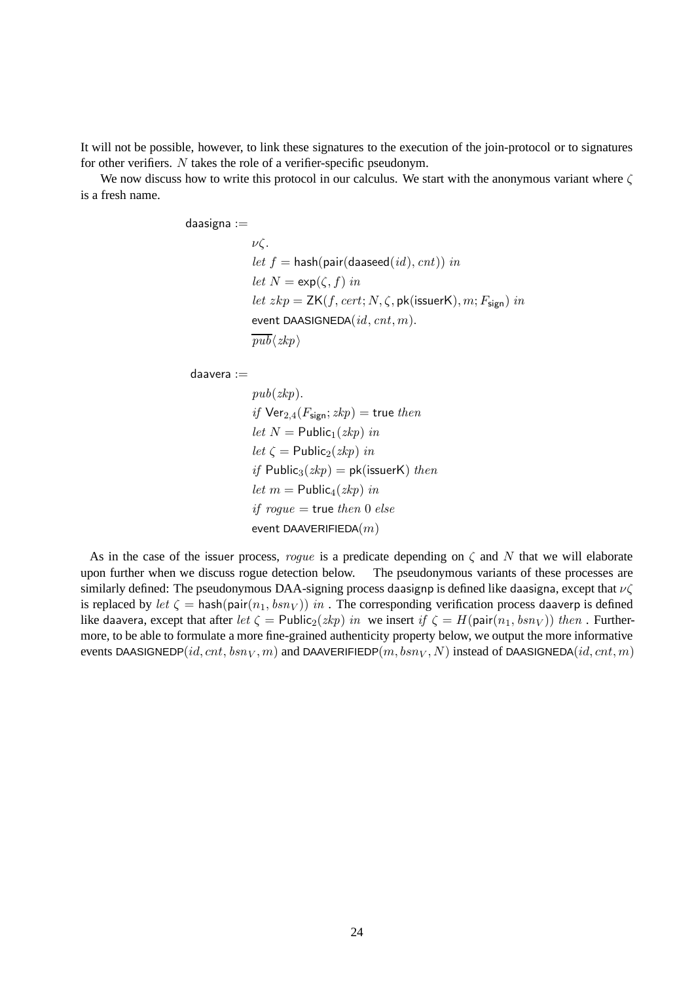It will not be possible, however, to link these signatures to the execution of the join-protocol or to signatures for other verifiers. N takes the role of a verifier-specific pseudonym.

We now discuss how to write this protocol in our calculus. We start with the anonymous variant where  $\zeta$ is a fresh name.

daasigna :=

νζ. let  $f =$  hash(pair(daaseed(id), cnt)) in let  $N = \exp(\zeta, f)$  in  $let\ zkp = {\sf ZK}(f, cert; N, \zeta, {\sf pk}({\sf issuerK}), m; F_{\sf sign})\ in$ event DAASIGNEDA $(id, ent, m)$ .  $pub\langle zkp \rangle$ 

daavera :=

 $pub(zkp)$ . if  $Ver_{2,4}(F_{sign}; zkp)$  = true then let  $N =$  Public<sub>1</sub>(zkp) in let  $\zeta$  = Public<sub>2</sub>(*zkp*) in if Public<sub>3</sub> $(zkp) = pk$ (issuerK) then let  $m =$  Public<sub>4</sub>(*zkp*) in if  $roque$  = true then 0 else event DAAVERIFIEDA $(m)$ 

As in the case of the issuer process, rogue is a predicate depending on  $\zeta$  and N that we will elaborate upon further when we discuss rogue detection below. The pseudonymous variants of these processes are similarly defined: The pseudonymous DAA-signing process daasignp is defined like daasigna, except that  $\nu\zeta$ is replaced by let  $\zeta = \text{hash}(\text{pair}(n_1, bsn_V))$  in. The corresponding verification process daaverp is defined like daavera, except that after let  $\zeta = \text{Public}_2(zkp)$  in we insert if  $\zeta = H(\text{pair}(n_1, bsn_V))$  then . Furthermore, to be able to formulate a more fine-grained authenticity property below, we output the more informative events DAASIGNEDP(id, cnt,  $bsn<sub>V</sub>$ , m) and DAAVERIFIEDP(m,  $bsn<sub>V</sub>$ , N) instead of DAASIGNEDA(id, cnt, m)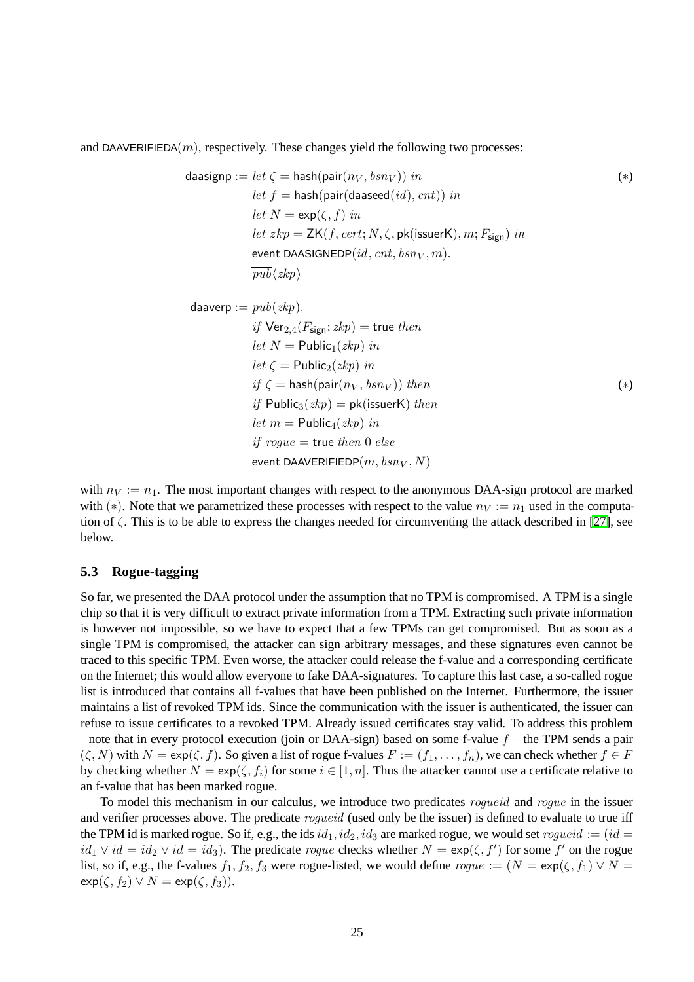and DAAVERIFIEDA $(m)$ , respectively. These changes yield the following two processes:

$$
\begin{aligned}\n\text{daasignp} &:= \text{let } \zeta = \text{hash}(\text{pair}(n_V, bsn_V)) \text{ in} \\
\text{let } f &:= \text{hash}(\text{pair}(\text{daseed}(id), \text{cnt})) \text{ in} \\
\text{let } N &:= \exp(\zeta, f) \text{ in} \\
\text{let } zkp &= \text{ZK}(f, \text{cert}; N, \zeta, \text{pk}(\text{issuerK}), m; F_{\text{sign}}) \text{ in} \\
\text{event DAASIGNEDP}(\text{id}, \text{cnt}, bsn_V, m). \\
\frac{pub}{zkp} \\
\text{daaverp} &:= \text{pub}(zkp) \\
\text{if } \text{Ver}_{2,4}(F_{\text{sign}}; zkp) &:= \text{true then} \\
\text{let } N &:= \text{Bulk}(c, kn) \text{ in}\n\end{aligned}
$$
\n(4)

$$
let N = Public_1(zkp) in
$$
\n
$$
let \zeta = Public_2(zkp) in
$$
\n
$$
if \zeta = hash(\text{pair}(n_V, bsn_V)) then
$$
\n
$$
if \text{Public}_3(zkp) = pk(\text{issuerK}) then
$$
\n
$$
let m = Public_4(zkp) in
$$
\n
$$
if \text{rogue} = true then 0 else
$$
\n
$$
event DAAVERIFIEDP(m, bsn_V, N)
$$

with  $n_V := n_1$ . The most important changes with respect to the anonymous DAA-sign protocol are marked with (\*). Note that we parametrized these processes with respect to the value  $n_V := n_1$  used in the computation of ζ. This is to be able to express the changes needed for circumventing the attack described in [\[27\]](#page-42-4), see below.

#### **5.3 Rogue-tagging**

So far, we presented the DAA protocol under the assumption that no TPM is compromised. A TPM is a single chip so that it is very difficult to extract private information from a TPM. Extracting such private information is however not impossible, so we have to expect that a few TPMs can get compromised. But as soon as a single TPM is compromised, the attacker can sign arbitrary messages, and these signatures even cannot be traced to this specific TPM. Even worse, the attacker could release the f-value and a corresponding certificate on the Internet; this would allow everyone to fake DAA-signatures. To capture this last case, a so-called rogue list is introduced that contains all f-values that have been published on the Internet. Furthermore, the issuer maintains a list of revoked TPM ids. Since the communication with the issuer is authenticated, the issuer can refuse to issue certificates to a revoked TPM. Already issued certificates stay valid. To address this problem – note that in every protocol execution (join or DAA-sign) based on some f-value  $f$  – the TPM sends a pair  $(\zeta, N)$  with  $N = \exp(\zeta, f)$ . So given a list of rogue f-values  $F := (f_1, \ldots, f_n)$ , we can check whether  $f \in F$ by checking whether  $N = \exp(\zeta, f_i)$  for some  $i \in [1, n]$ . Thus the attacker cannot use a certificate relative to an f-value that has been marked rogue.

To model this mechanism in our calculus, we introduce two predicates *roqueid* and *roque* in the issuer and verifier processes above. The predicate *roqueid* (used only be the issuer) is defined to evaluate to true iff the TPM id is marked rogue. So if, e.g., the ids  $id_1, id_2, id_3$  are marked rogue, we would set rogueid :=  $(id =$  $id_1 \vee id = id_2 \vee id = id_3$ ). The predicate *rogue* checks whether  $N = \exp(\zeta, f')$  for some f' on the rogue list, so if, e.g., the f-values  $f_1, f_2, f_3$  were rogue-listed, we would define  $roque := (N = \exp(\zeta, f_1) \vee N =$  $\exp(\zeta, f_2) \vee N = \exp(\zeta, f_3)$ .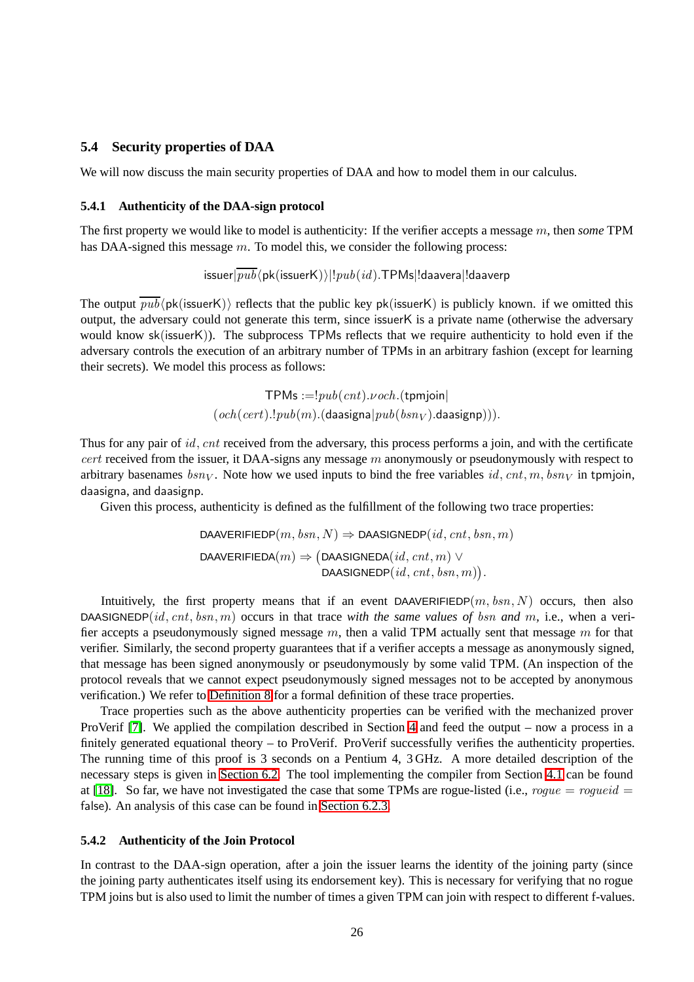#### **5.4 Security properties of DAA**

<span id="page-25-0"></span>We will now discuss the main security properties of DAA and how to model them in our calculus.

#### **5.4.1 Authenticity of the DAA-sign protocol**

The first property we would like to model is authenticity: If the verifier accepts a message m, then *some* TPM has DAA-signed this message m. To model this, we consider the following process:

 $\frac{1}{2}$ issuer $\frac{1}{2}$  $\frac{1}{2}$ bk(issuerK)) $||pub(id)$ .TPMs $||$ daavera $||$ daaverp

The output  $\overline{pub}$ (pk(issuerK)) reflects that the public key pk(issuerK) is publicly known. if we omitted this output, the adversary could not generate this term, since issuerK is a private name (otherwise the adversary would know sk(issuerK)). The subprocess TPMs reflects that we require authenticity to hold even if the adversary controls the execution of an arbitrary number of TPMs in an arbitrary fashion (except for learning their secrets). We model this process as follows:

> TPMs  $:= !pub(cnt).vech.(tpmjoin)$  $(och(cert).!pub(m).(daasigna|pub(bsn<sub>V</sub>)).daasignp))).$

Thus for any pair of id, cnt received from the adversary, this process performs a join, and with the certificate  $cert$  received from the issuer, it DAA-signs any message  $m$  anonymously or pseudonymously with respect to arbitrary basenames  $bsn<sub>V</sub>$ . Note how we used inputs to bind the free variables id, cnt, m,  $bsn<sub>V</sub>$  in tpmjoin, daasigna, and daasignp.

Given this process, authenticity is defined as the fulfillment of the following two trace properties:

DAAVERIFIEDP $(m, bsn, N) \Rightarrow$  DAASIGNEDP $(id, cnt, bsn, m)$ DAAVERIFIEDA $(m) \Rightarrow$   $(D$ AASIGNEDA $(id, \textit{cnt}, m) \vee$  $\mathsf{DAAS}$ IGNEDP $(id, \mathit{cnt}, \mathit{bsn}, m))$  .

Intuitively, the first property means that if an event DAAVERIFIEDP $(m, bsn, N)$  occurs, then also DAASIGNEDP(id, cnt, bsn,m) occurs in that trace *with the same values of* bsn *and* m*,* i.e., when a verifier accepts a pseudonymously signed message  $m$ , then a valid TPM actually sent that message  $m$  for that verifier. Similarly, the second property guarantees that if a verifier accepts a message as anonymously signed, that message has been signed anonymously or pseudonymously by some valid TPM. (An inspection of the protocol reveals that we cannot expect pseudonymously signed messages not to be accepted by anonymous verification.) We refer to [Definition 8](#page-11-3) for a formal definition of these trace properties.

Trace properties such as the above authenticity properties can be verified with the mechanized prover ProVerif [\[7\]](#page-40-5). We applied the compilation described in Section [4](#page-8-0) and feed the output – now a process in a finitely generated equational theory – to ProVerif. ProVerif successfully verifies the authenticity properties. The running time of this proof is 3 seconds on a Pentium 4, 3 GHz. A more detailed description of the necessary steps is given in [Section 6.2.](#page-33-0) The tool implementing the compiler from Section [4.1](#page-8-7) can be found at [\[18\]](#page-41-15). So far, we have not investigated the case that some TPMs are rogue-listed (i.e., rogue = rogueid = false). An analysis of this case can be found in [Section 6.2.3.](#page-36-0)

#### <span id="page-25-1"></span>**5.4.2 Authenticity of the Join Protocol**

In contrast to the DAA-sign operation, after a join the issuer learns the identity of the joining party (since the joining party authenticates itself using its endorsement key). This is necessary for verifying that no rogue TPM joins but is also used to limit the number of times a given TPM can join with respect to different f-values.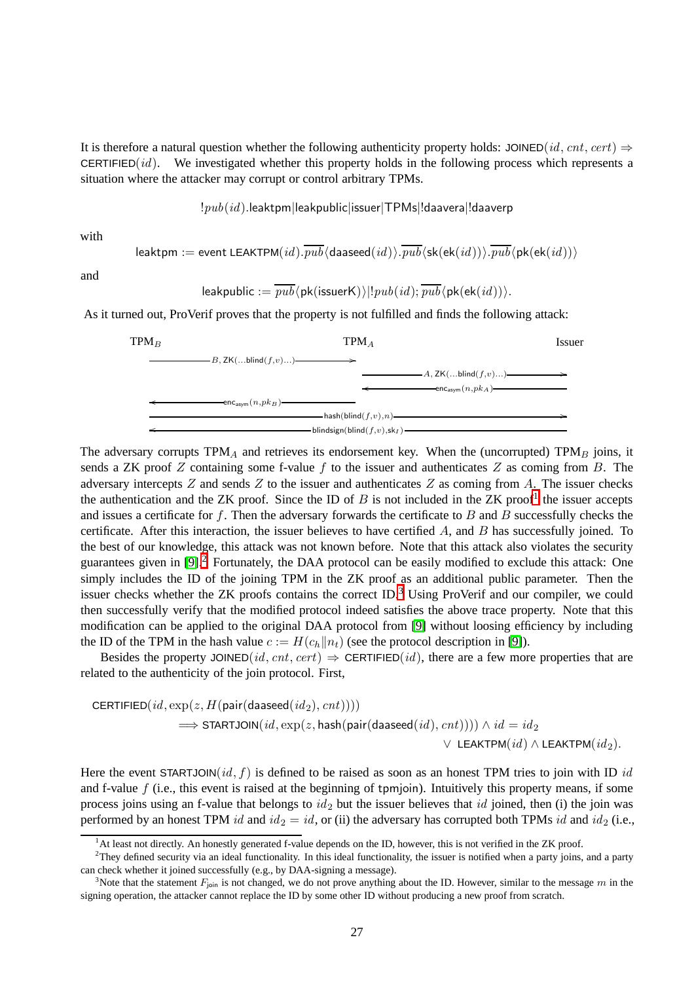It is therefore a natural question whether the following authenticity property holds: JOINED(id, cnt, cert)  $\Rightarrow$ CERTIFIED $(id)$ . We investigated whether this property holds in the following process which represents a situation where the attacker may corrupt or control arbitrary TPMs.

!pub(id).leaktpm|leakpublic|issuer|TPMs|!daavera|!daaverp

with

$$
\textsf{leaktpm} := \textsf{event LEAKTPM}(id). \overline{pub} \langle \textsf{dasesd}(id) \rangle. \overline{pub} \langle \textsf{sk}(\textsf{ek}(id)) \rangle. \overline{pub} \langle \textsf{pk}(\textsf{ek}(id)) \rangle
$$

and

leakpublic  $:= \overline{pub}$ (pk(issuerK))|! $pub(id)$ ;  $\overline{pub}$ (pk(ek(id))).

As it turned out, ProVerif proves that the property is not fulfilled and finds the following attack:



The adversary corrupts  $TPM_A$  and retrieves its endorsement key. When the (uncorrupted)  $TPM_B$  joins, it sends a ZK proof Z containing some f-value f to the issuer and authenticates Z as coming from B. The adversary intercepts  $Z$  and sends  $Z$  to the issuer and authenticates  $Z$  as coming from  $A$ . The issuer checks the authentication and the ZK proof. Since the ID of  $B$  is not included in the ZK proof<sup>[1](#page-26-0)</sup> the issuer accepts and issues a certificate for f. Then the adversary forwards the certificate to  $B$  and  $B$  successfully checks the certificate. After this interaction, the issuer believes to have certified  $A$ , and  $B$  has successfully joined. To the best of our knowledge, this attack was not known before. Note that this attack also violates the security guarantees given in  $[9]$ <sup>[2](#page-26-1)</sup> Fortunately, the DAA protocol can be easily modified to exclude this attack: One simply includes the ID of the joining TPM in the ZK proof as an additional public parameter. Then the issuer checks whether the  $ZK$  proofs contains the correct  $ID<sup>3</sup>$  $ID<sup>3</sup>$  $ID<sup>3</sup>$ . Using ProVerif and our compiler, we could then successfully verify that the modified protocol indeed satisfies the above trace property. Note that this modification can be applied to the original DAA protocol from [\[9\]](#page-41-11) without loosing efficiency by including the ID of the TPM in the hash value  $c := H(c_h||n_t)$  (see the protocol description in [\[9\]](#page-41-11)).

Besides the property JOINED(id, cnt, cert)  $\Rightarrow$  CERTIFIED(id), there are a few more properties that are related to the authenticity of the join protocol. First,

$$
\begin{aligned} \texttt{CERTIFIED}(\mathit{id}, \exp(z, H(\textsf{pair}(\textsf{daseed}(\mathit{id}_2), \mathit{cnt}))))\\ \implies \texttt{STATJOIN}(\mathit{id}, \exp(z, \textsf{hash}(\textsf{pair}(\textsf{daseed}(\mathit{id}), \mathit{cnt})))) \land \mathit{id} = \mathit{id}_2\\ \lor \texttt{LEAKTPM}(\mathit{id}) \land \texttt{LEAKTPM}(\mathit{id}_2). \end{aligned}
$$

Here the event STARTJOIN(id, f) is defined to be raised as soon as an honest TPM tries to join with ID id and f-value  $f$  (i.e., this event is raised at the beginning of tpmjoin). Intuitively this property means, if some process joins using an f-value that belongs to  $id_2$  but the issuer believes that  $id$  joined, then (i) the join was performed by an honest TPM id and  $id_2 = id$ , or (ii) the adversary has corrupted both TPMs id and  $id_2$  (i.e.,

 $<sup>1</sup>$ At least not directly. An honestly generated f-value depends on the ID, however, this is not verified in the ZK proof.</sup>

<span id="page-26-1"></span><span id="page-26-0"></span> $2$ They defined security via an ideal functionality. In this ideal functionality, the issuer is notified when a party joins, and a party can check whether it joined successfully (e.g., by DAA-signing a message).

<span id="page-26-2"></span><sup>&</sup>lt;sup>3</sup>Note that the statement  $F_{\text{join}}$  is not changed, we do not prove anything about the ID. However, similar to the message m in the signing operation, the attacker cannot replace the ID by some other ID without producing a new proof from scratch.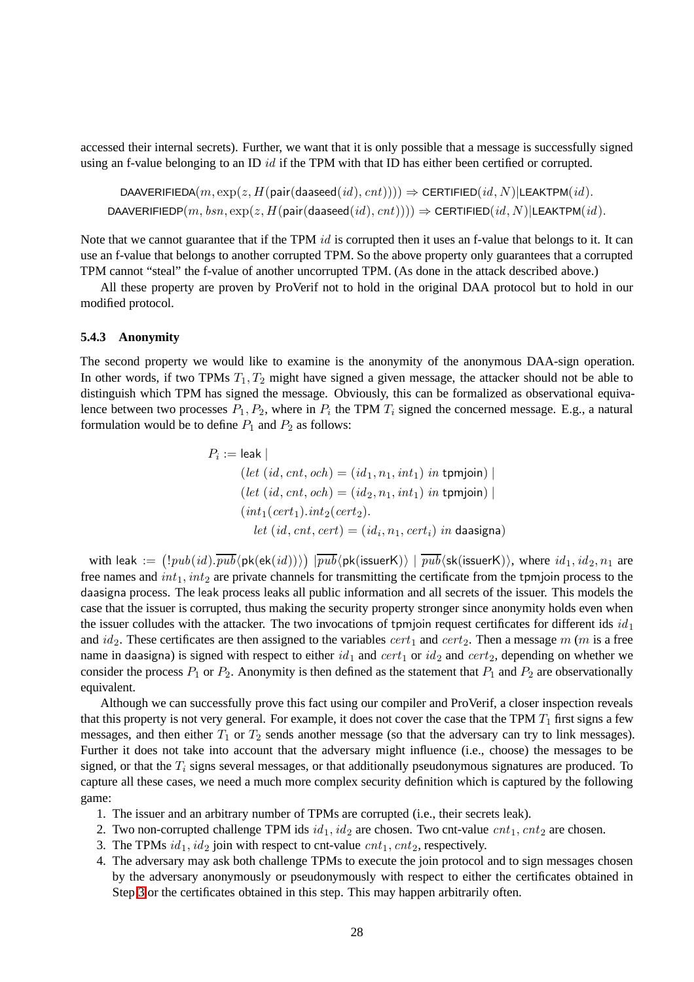accessed their internal secrets). Further, we want that it is only possible that a message is successfully signed using an f-value belonging to an ID  $id$  if the TPM with that ID has either been certified or corrupted.

```
DAAVERIFIEDA(m, \exp(z, H(\text{pair}(d \text{a} \text{a} \text{seed}(id), cnt)))) \Rightarrow \text{CERTIFIED}(id, N)|\text{LEAKTPM}(id).DAAVERIFIEDP(m, bsn, \exp(z, H(\text{pair}(daaseed(id), ent)))) \Rightarrow \text{CEPTIFIED}(id, N)|\text{LEAKTPM}(id).
```
Note that we cannot guarantee that if the TPM id is corrupted then it uses an f-value that belongs to it. It can use an f-value that belongs to another corrupted TPM. So the above property only guarantees that a corrupted TPM cannot "steal" the f-value of another uncorrupted TPM. (As done in the attack described above.)

All these property are proven by ProVerif not to hold in the original DAA protocol but to hold in our modified protocol.

#### <span id="page-27-3"></span>**5.4.3 Anonymity**

The second property we would like to examine is the anonymity of the anonymous DAA-sign operation. In other words, if two TPMs  $T_1, T_2$  might have signed a given message, the attacker should not be able to distinguish which TPM has signed the message. Obviously, this can be formalized as observational equivalence between two processes  $P_1, P_2$ , where in  $P_i$  the TPM  $T_i$  signed the concerned message. E.g., a natural formulation would be to define  $P_1$  and  $P_2$  as follows:

$$
P_i := \text{leak} \mid
$$
  
\n
$$
(let (id, cnt, och) = (id_1, n_1, int_1) in \text{ tpmjoin}) \mid
$$
  
\n
$$
(let (id, cnt, och) = (id_2, n_1, int_1) in \text{ tpmjoin}) \mid
$$
  
\n
$$
(int_1(cert_1).int_2(cert_2).
$$
  
\n
$$
let (id, cnt, cert) = (id_i, n_1, cert_i) in \text{ daasigna})
$$

with leak  $:= (!pub(id).\overline{pub}(\mathsf{pk}(\mathsf{ek}(id))))\;|\overline{pub}\langle \mathsf{pk}(\mathsf{issuerK})\rangle \;|\; \overline{pub}\langle \mathsf{sk}(\mathsf{issuerK})\rangle,$  where  $id_1, id_2, n_1$  are free names and  $int_1, int_2$  are private channels for transmitting the certificate from the tpmjoin process to the daasigna process. The leak process leaks all public information and all secrets of the issuer. This models the case that the issuer is corrupted, thus making the security property stronger since anonymity holds even when the issuer colludes with the attacker. The two invocations of tpmjoin request certificates for different ids  $id_1$ and  $id_2$ . These certificates are then assigned to the variables  $cert_1$  and  $cert_2$ . Then a message m (m is a free name in daasigna) is signed with respect to either  $id_1$  and  $cert_1$  or  $id_2$  and  $cert_2$ , depending on whether we consider the process  $P_1$  or  $P_2$ . Anonymity is then defined as the statement that  $P_1$  and  $P_2$  are observationally equivalent.

Although we can successfully prove this fact using our compiler and ProVerif, a closer inspection reveals that this property is not very general. For example, it does not cover the case that the TPM  $T_1$  first signs a few messages, and then either  $T_1$  or  $T_2$  sends another message (so that the adversary can try to link messages). Further it does not take into account that the adversary might influence (i.e., choose) the messages to be signed, or that the  $T_i$  signs several messages, or that additionally pseudonymous signatures are produced. To capture all these cases, we need a much more complex security definition which is captured by the following game:

- <span id="page-27-1"></span>1. The issuer and an arbitrary number of TPMs are corrupted (i.e., their secrets leak).
- <span id="page-27-0"></span>2. Two non-corrupted challenge TPM ids  $id_1$ ,  $id_2$  are chosen. Two cnt-value  $cnt_1, cnt_2$  are chosen.
- <span id="page-27-2"></span>3. The TPMs  $id_1$ ,  $id_2$  join with respect to cnt-value  $cnt_1, cnt_2$ , respectively.
- 4. The adversary may ask both challenge TPMs to execute the join protocol and to sign messages chosen by the adversary anonymously or pseudonymously with respect to either the certificates obtained in Step [3](#page-27-0) or the certificates obtained in this step. This may happen arbitrarily often.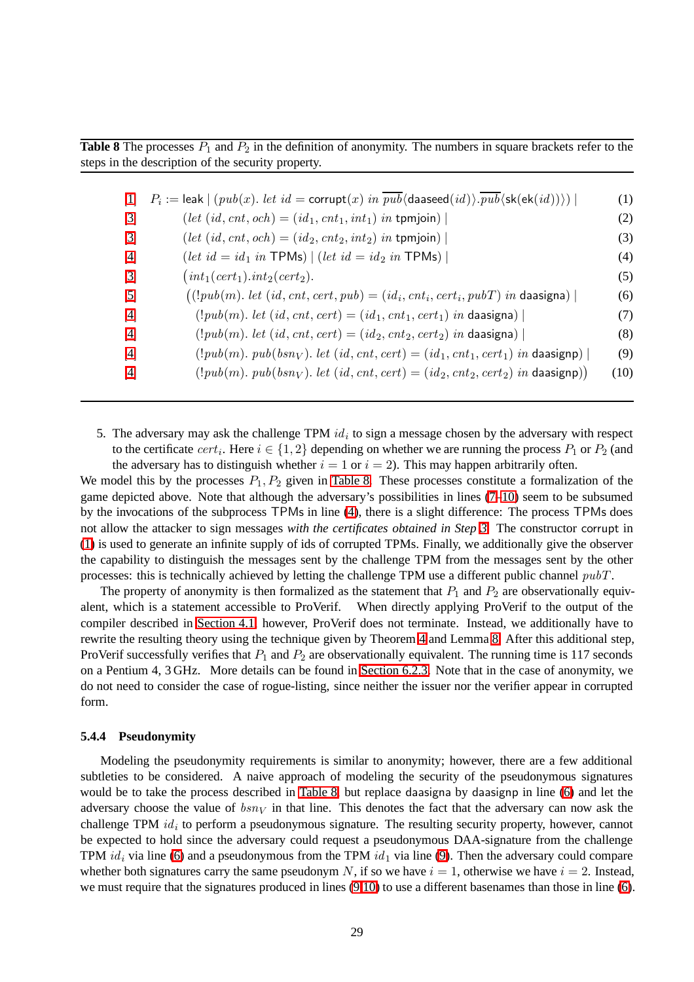<span id="page-28-1"></span>**Table 8** The processes  $P_1$  and  $P_2$  in the definition of anonymity. The numbers in square brackets refer to the steps in the description of the security property.

<span id="page-28-7"></span><span id="page-28-6"></span><span id="page-28-5"></span><span id="page-28-4"></span><span id="page-28-2"></span>

| 1                                 | $P_i := \textsf{leak} \mid (pub(x). \textit{ let } id = \textsf{corrupt}(x) \textit{ in } pub(\textsf{daseed}(id)).pub(\textsf{sk}(\textsf{ek}(id)))) \mid$ | (1)  |
|-----------------------------------|-------------------------------------------------------------------------------------------------------------------------------------------------------------|------|
| $\lceil 3 \rceil$                 | $(left (id, cnt, och) = (id_1, cnt_1, int_1) in tpmjoin)$                                                                                                   | (2)  |
| $\begin{bmatrix} 3 \end{bmatrix}$ | $(left (id, cnt, och) = (id_2, cnt_2, int_2) in tpmjoin)$                                                                                                   | (3)  |
| [4]                               | $(left\ id = id_1\ in\ \mathsf{TPMs}) \mid (let\ id = id_2\ in\ \mathsf{TPMs}) \mid$                                                                        | (4)  |
| $[3]$                             | $(int_1(cert_1).int_2(cert_2).$                                                                                                                             | (5)  |
| $\lceil 5 \rceil$                 | $((!pub(m). let (id, ent, cert, pub) = (idi, enti, certi, pubT) in daasigna))$                                                                              | (6)  |
| [4]                               | $(!pub(m). let (id, cnt, cert) = (id_1, cnt_1, cert_1) in daasigna)$                                                                                        | (7)  |
| [4]                               | $(!pub(m). let (id, cnt, cert) = (id_2, cnt_2, cert_2) in daasigna)$                                                                                        | (8)  |
| [4]                               | $(!pub(m).pub(bsnV)$ . let $(id, cnt, cert) = (id1, cnt1, cert1)$ in daasignp)                                                                              | (9)  |
| [4]                               | $(!pub(m). pub(bsnV)). let (id, cnt, cert) = (id2, cnt2, cert2) in daasignp))$                                                                              | (10) |

<span id="page-28-3"></span><span id="page-28-0"></span>5. The adversary may ask the challenge TPM  $id_i$  to sign a message chosen by the adversary with respect to the certificate  $cert_i$ . Here  $i \in \{1,2\}$  depending on whether we are running the process  $P_1$  or  $P_2$  (and the adversary has to distinguish whether  $i = 1$  or  $i = 2$ ). This may happen arbitrarily often.

We model this by the processes  $P_1, P_2$  given in [Table 8.](#page-28-1) These processes constitute a formalization of the game depicted above. Note that although the adversary's possibilities in lines [\(7](#page-28-2)[–10\)](#page-28-3) seem to be subsumed by the invocations of the subprocess TPMs in line [\(4\)](#page-28-4), there is a slight difference: The process TPMs does not allow the attacker to sign messages *with the certificates obtained in Step [3.](#page-27-0)* The constructor corrupt in [\(1\)](#page-28-5) is used to generate an infinite supply of ids of corrupted TPMs. Finally, we additionally give the observer the capability to distinguish the messages sent by the challenge TPM from the messages sent by the other processes: this is technically achieved by letting the challenge TPM use a different public channel  $pubT$ .

The property of anonymity is then formalized as the statement that  $P_1$  and  $P_2$  are observationally equivalent, which is a statement accessible to ProVerif. When directly applying ProVerif to the output of the compiler described in [Section 4.1,](#page-8-7) however, ProVerif does not terminate. Instead, we additionally have to rewrite the resulting theory using the technique given by Theorem [4](#page-19-0) and Lemma [8.](#page-19-1) After this additional step, ProVerif successfully verifies that  $P_1$  and  $P_2$  are observationally equivalent. The running time is 117 seconds on a Pentium 4, 3 GHz. More details can be found in [Section 6.2.3.](#page-36-0) Note that in the case of anonymity, we do not need to consider the case of rogue-listing, since neither the issuer nor the verifier appear in corrupted form.

#### <span id="page-28-8"></span>**5.4.4 Pseudonymity**

Modeling the pseudonymity requirements is similar to anonymity; however, there are a few additional subtleties to be considered. A naive approach of modeling the security of the pseudonymous signatures would be to take the process described in [Table 8,](#page-28-1) but replace daasigna by daasignp in line [\(6\)](#page-28-6) and let the adversary choose the value of  $bsn<sub>V</sub>$  in that line. This denotes the fact that the adversary can now ask the challenge TPM  $id_i$  to perform a pseudonymous signature. The resulting security property, however, cannot be expected to hold since the adversary could request a pseudonymous DAA-signature from the challenge TPM  $id_i$  via line [\(6\)](#page-28-6) and a pseudonymous from the TPM  $id_1$  via line [\(9\)](#page-28-7). Then the adversary could compare whether both signatures carry the same pseudonym N, if so we have  $i = 1$ , otherwise we have  $i = 2$ . Instead, we must require that the signatures produced in lines [\(9](#page-28-7)[,10\)](#page-28-3) to use a different basenames than those in line [\(6\)](#page-28-6).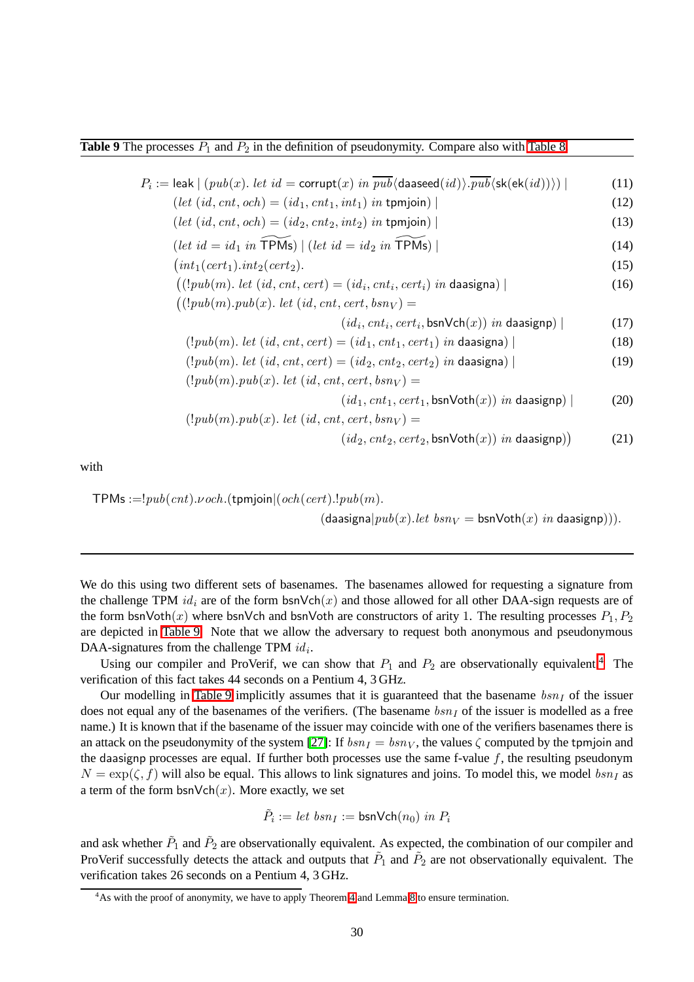<span id="page-29-0"></span>**Table 9** The processes  $P_1$  and  $P_2$  in the definition of pseudonymity. Compare also with [Table 8.](#page-28-1)

 $P_i :=$  leak  $| (pub(x).$  let  $id =$  corrupt $(x)$  in  $pub\langle$  daaseed $(id) \rangle$ .  $pub\langle$ sk $(\textsf{ek}(id)) \rangle)$   $|$  (11)  $(left (id, cnt, och) = (id_1, cnt_1, int_1) in \text{tpmjoin})$  (12)  $(left (id, cnt, och) = (id_2, cnt_2, int_2) in \text{tpmjoin})$  (13) (let  $id = id_1$  in  $\widetilde{\text{TPMs}}$ ) | (let  $id = id_2$  in  $\widetilde{\text{TPMs}}$ ) | (14)  $(int_1(cert_1).int_2(cert_2).$  (15)  $((!pub(m). let (id, cnt, cert) = (id<sub>i</sub>, cnt<sub>i</sub>, cert<sub>i</sub>) in daasigna)$  | (16)  $((!pub(m).pub(x). let (id, cnt, cert,bsn<sub>V</sub> ) =$  $(id_i, ent_i, cert_i, \text{bsnVch}(x))$  in daasignp) | (17) (!pub(m). let (id, cnt, cert) =  $(id_1, ent_1, cert_1)$  in daasigna) | (18)  $(!pub(m). let (id, cnt, cert) = (id_2, cnt_2, cert_2) in daasigna)$  | (19)  $(!pub(m).pub(x). let (id, cnt, cert,bsn<sub>V</sub>) =$  $(id_1, ent_1, cert_1,bsnVoth(x))$  in daasignp) | (20)  $(!pub(m).pub(x). let (id, cnt, cert,bsn<sub>V</sub>) =$  $(id_2, \text{cnt}_2, \text{cert}_2, \text{bsnVoth}(x))$  in daasignp)) (21)

with

TPMs :=! $pub(cnt)$ . $voch$ .(tpmjoin $|(och(cert).!pub(m))$ .  $(d\text{a} \text{asignal} | pub(x).let \;bsn_V = \text{bsnVoth}(x) \;in \text{da} \text{asignp})).$ 

We do this using two different sets of basenames. The basenames allowed for requesting a signature from the challenge TPM  $id_i$  are of the form bsnVch(x) and those allowed for all other DAA-sign requests are of the form bsnVoth(x) where bsnVch and bsnVoth are constructors of arity 1. The resulting processes  $P_1, P_2$ are depicted in [Table 9.](#page-29-0) Note that we allow the adversary to request both anonymous and pseudonymous DAA-signatures from the challenge TPM  $id_i$ .

Using our compiler and ProVerif, we can show that  $P_1$  and  $P_2$  are observationally equivalent.<sup>[4](#page-29-1)</sup> The verification of this fact takes 44 seconds on a Pentium 4, 3 GHz.

Our modelling in [Table 9](#page-29-0) implicitly assumes that it is guaranteed that the basename  $bsn<sub>I</sub>$  of the issuer does not equal any of the basenames of the verifiers. (The basename  $bsn<sub>I</sub>$  of the issuer is modelled as a free name.) It is known that if the basename of the issuer may coincide with one of the verifiers basenames there is an attack on the pseudonymity of the system [\[27\]](#page-42-4): If  $bsn<sub>I</sub> = bsn<sub>V</sub>$ , the values  $\zeta$  computed by the tpmjoin and the daasignp processes are equal. If further both processes use the same f-value  $f$ , the resulting pseudonym  $N = \exp(\zeta, f)$  will also be equal. This allows to link signatures and joins. To model this, we model  $bsn<sub>I</sub>$  as a term of the form  $bsnVch(x)$ . More exactly, we set

$$
\tilde{P}_i := \textit{let } \textit{bsn}_I := \textsf{bsnVch}(n_0) \textit{ in } P_i
$$

and ask whether  $\tilde{P}_1$  and  $\tilde{P}_2$  are observationally equivalent. As expected, the combination of our compiler and ProVerif successfully detects the attack and outputs that  $\tilde{P}_1$  and  $\tilde{P}_2$  are not observationally equivalent. The verification takes 26 seconds on a Pentium 4, 3 GHz.

<span id="page-29-1"></span> $4$ As with the proof of anonymity, we have to apply Theorem [4](#page-19-0) and Lemma [8](#page-19-1) to ensure termination.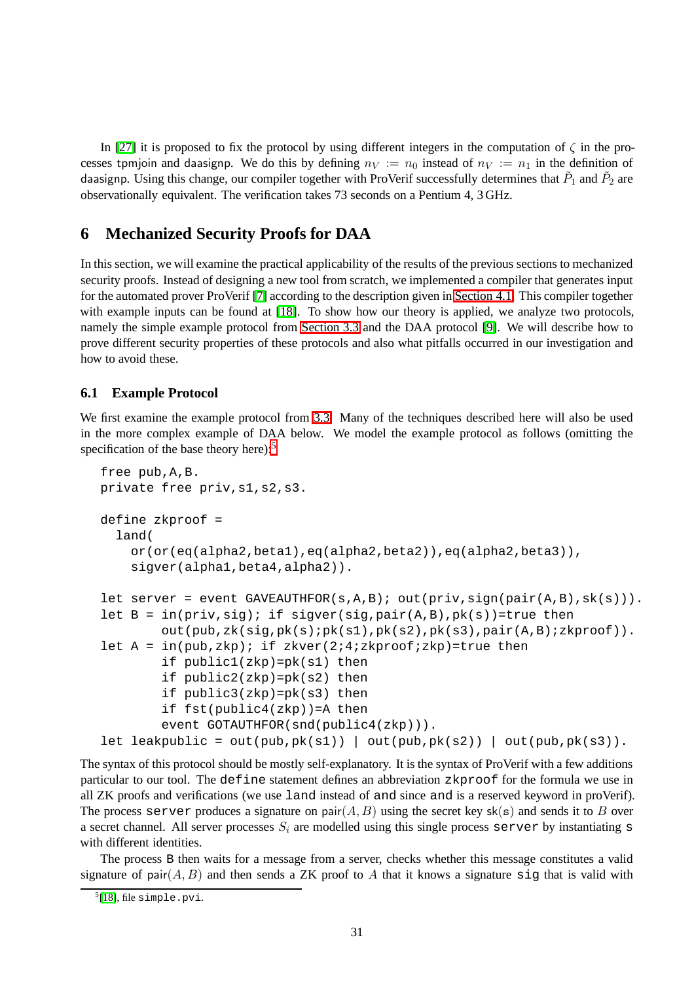In [\[27\]](#page-42-4) it is proposed to fix the protocol by using different integers in the computation of  $\zeta$  in the processes tpmjoin and daasignp. We do this by defining  $n_V := n_0$  instead of  $n_V := n_1$  in the definition of daasignp. Using this change, our compiler together with ProVerif successfully determines that  $\tilde{P}_1$  and  $\tilde{P}_2$  are observationally equivalent. The verification takes 73 seconds on a Pentium 4, 3 GHz.

## <span id="page-30-0"></span>**6 Mechanized Security Proofs for DAA**

In this section, we will examine the practical applicability of the results of the previous sections to mechanized security proofs. Instead of designing a new tool from scratch, we implemented a compiler that generates input for the automated prover ProVerif [\[7\]](#page-40-5) according to the description given in [Section 4.1.](#page-8-7) This compiler together with example inputs can be found at [\[18\]](#page-41-15). To show how our theory is applied, we analyze two protocols, namely the simple example protocol from [Section 3.3](#page-6-1) and the DAA protocol [\[9\]](#page-41-11). We will describe how to prove different security properties of these protocols and also what pitfalls occurred in our investigation and how to avoid these.

### <span id="page-30-2"></span>**6.1 Example Protocol**

We first examine the example protocol from [3.3.](#page-6-1) Many of the techniques described here will also be used in the more complex example of DAA below. We model the example protocol as follows (omitting the specification of the base theory here): $5$ 

```
free pub,A,B.
private free priv,s1,s2,s3.
define zkproof =
  land(
    or(or(eq(alpha2,beta1),eq(alpha2,beta2)),eq(alpha2,beta3)),
    sigver(alpha1,beta4,alpha2)).
let server = event GAVEAUTHFOR(s, A, B); out(priv, sign(pair(A,B), sk(s))).
let B = in(priv, sig); if sigver(sig,pair(A,B),pk(s))=true then
        out(pub,zk(sig,pk(s);pk(s1),pk(s2),pk(s3),pair(A,B);zkproof)).
let A = in(pub, zkp); if zkver(2:4:zkproof:zkp)=true then
        if public1(zkp)=pk(s1) then
        if public2(zkp)=pk(s2) then
        if public3(zkp)=pk(s3) then
        if fst(public4(zkp))=A then
        event GOTAUTHFOR(snd(public4(zkp))).
let leakpublic = out(pub, pk(s1)) | out(pub, pk(s2)) | out(pub, pk(s3)).
```
The syntax of this protocol should be mostly self-explanatory. It is the syntax of ProVerif with a few additions particular to our tool. The define statement defines an abbreviation zkproof for the formula we use in all ZK proofs and verifications (we use land instead of and since and is a reserved keyword in proVerif). The process server produces a signature on pair $(A, B)$  using the secret key sk(s) and sends it to B over a secret channel. All server processes  $S_i$  are modelled using this single process server by instantiating s with different identities.

The process B then waits for a message from a server, checks whether this message constitutes a valid signature of pair $(A, B)$  and then sends a ZK proof to A that it knows a signature sig that is valid with

<span id="page-30-1"></span> $<sup>5</sup>[18]$  $<sup>5</sup>[18]$ , file simple.pvi.</sup>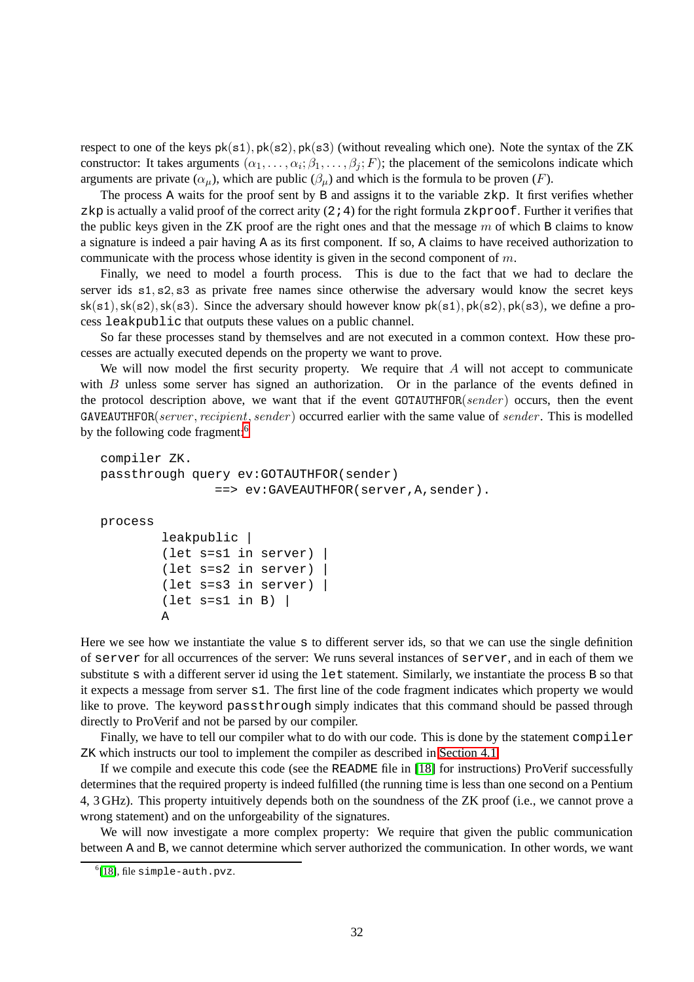respect to one of the keys  $pk(s1)$ ,  $pk(s2)$ ,  $pk(s3)$  (without revealing which one). Note the syntax of the ZK constructor: It takes arguments  $(\alpha_1, \ldots, \alpha_i; \beta_1, \ldots, \beta_j; F)$ ; the placement of the semicolons indicate which arguments are private  $(\alpha_{\mu})$ , which are public  $(\beta_{\mu})$  and which is the formula to be proven  $(F)$ .

The process A waits for the proof sent by B and assigns it to the variable zkp. It first verifies whether zkp is actually a valid proof of the correct arity  $(2, 4)$  for the right formula zkproof. Further it verifies that the public keys given in the ZK proof are the right ones and that the message  $m$  of which B claims to know a signature is indeed a pair having A as its first component. If so, A claims to have received authorization to communicate with the process whose identity is given in the second component of  $m$ .

Finally, we need to model a fourth process. This is due to the fact that we had to declare the server ids s1, s2, s3 as private free names since otherwise the adversary would know the secret keys  $sk(s1), sk(s2), sk(s3)$ . Since the adversary should however know  $pk(s1), pk(s2), pk(s3)$ , we define a process leakpublic that outputs these values on a public channel.

So far these processes stand by themselves and are not executed in a common context. How these processes are actually executed depends on the property we want to prove.

We will now model the first security property. We require that  $A$  will not accept to communicate with B unless some server has signed an authorization. Or in the parlance of the events defined in the protocol description above, we want that if the event GOTAUTHFOR(sender) occurs, then the event  $GAVEAUTHFOR(server, recipient, sender)$  occurred earlier with the same value of sender. This is modelled by the following code fragment:<sup>[6](#page-31-0)</sup>

```
compiler ZK.
passthrough query ev:GOTAUTHFOR(sender)
                 ==> ev:GAVEAUTHFOR(server,A,sender).
process
         leakpublic |
         (let s=s1 in server) |
         (let s=s2 in server) |
         (let s=s3 in server) |
         (\text{let } s = s1 \text{ in } B)A
```
Here we see how we instantiate the value s to different server ids, so that we can use the single definition of server for all occurrences of the server: We runs several instances of server, and in each of them we substitute s with a different server id using the let statement. Similarly, we instantiate the process B so that it expects a message from server s1. The first line of the code fragment indicates which property we would like to prove. The keyword passthrough simply indicates that this command should be passed through directly to ProVerif and not be parsed by our compiler.

Finally, we have to tell our compiler what to do with our code. This is done by the statement compiler ZK which instructs our tool to implement the compiler as described in [Section 4.1.](#page-8-7)

If we compile and execute this code (see the README file in [\[18\]](#page-41-15) for instructions) ProVerif successfully determines that the required property is indeed fulfilled (the running time is less than one second on a Pentium 4, 3 GHz). This property intuitively depends both on the soundness of the ZK proof (i.e., we cannot prove a wrong statement) and on the unforgeability of the signatures.

We will now investigate a more complex property: We require that given the public communication between A and B, we cannot determine which server authorized the communication. In other words, we want

<span id="page-31-0"></span><sup>6</sup> [\[18\]](#page-41-15), file simple-auth.pvz.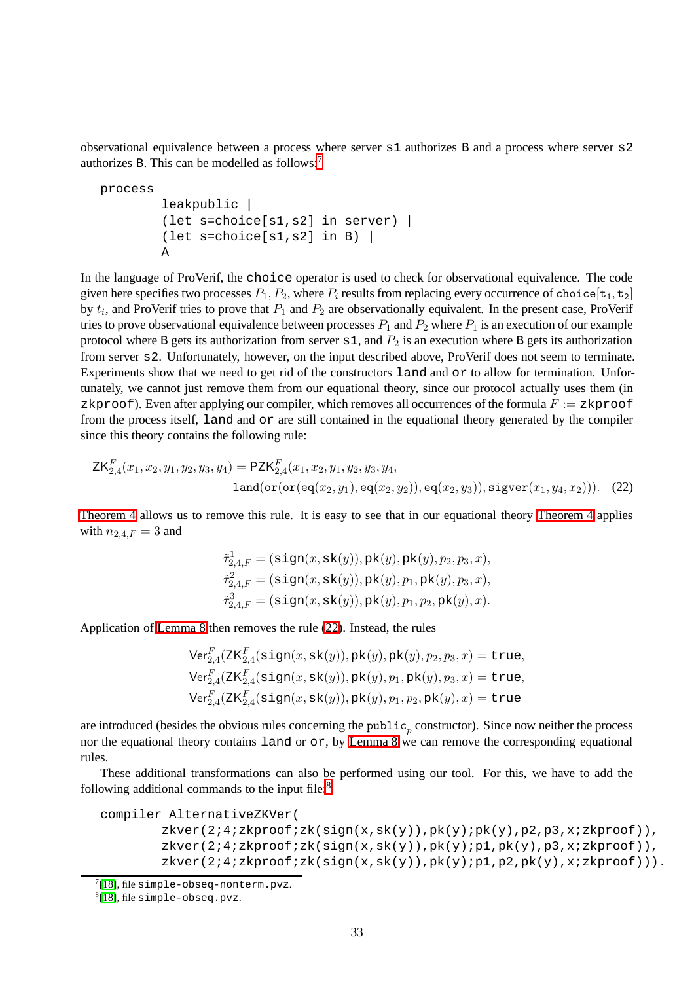observational equivalence between a process where server s1 authorizes B and a process where server s2 authorizes B. This can be modelled as follows:[7](#page-32-0)

```
process
        leakpublic |
        (let s=choice[s1,s2] in server) |
        (let s=choice[s1,s2] in B) |
        A
```
In the language of ProVerif, the choice operator is used to check for observational equivalence. The code given here specifies two processes  $P_1, P_2$ , where  $P_i$  results from replacing every occurrence of choice[t<sub>1</sub>, t<sub>2</sub>] by  $t_i$ , and ProVerif tries to prove that  $P_1$  and  $P_2$  are observationally equivalent. In the present case, ProVerif tries to prove observational equivalence between processes  $P_1$  and  $P_2$  where  $P_1$  is an execution of our example protocol where B gets its authorization from server  $s1$ , and  $P_2$  is an execution where B gets its authorization from server s2. Unfortunately, however, on the input described above, ProVerif does not seem to terminate. Experiments show that we need to get rid of the constructors land and or to allow for termination. Unfortunately, we cannot just remove them from our equational theory, since our protocol actually uses them (in zkproof). Even after applying our compiler, which removes all occurrences of the formula  $F := zkpcoof$ from the process itself, land and or are still contained in the equational theory generated by the compiler since this theory contains the following rule:

$$
\mathsf{ZK}_{2,4}^F(x_1, x_2, y_1, y_2, y_3, y_4) = \mathsf{PZK}_{2,4}^F(x_1, x_2, y_1, y_2, y_3, y_4,
$$
  
land(or(  $\mathsf{eq}(x_2, y_1), \mathsf{eq}(x_2, y_2))$ ,  $\mathsf{eq}(x_2, y_3))$ ,  $\mathsf{sigver}(x_1, y_4, x_2))$ ). (22)

[Theorem 4](#page-19-0) allows us to remove this rule. It is easy to see that in our equational theory [Theorem 4](#page-19-0) applies with  $n_{2,4,F} = 3$  and

<span id="page-32-1"></span>
$$
\begin{aligned}\n\tilde{\tau}_{2,4,F}^1 &= (\mathtt{sign}(x,\mathtt{sk}(y)),\mathtt{pk}(y),\mathtt{pk}(y),p_2,p_3,x), \\
\tilde{\tau}_{2,4,F}^2 &= (\mathtt{sign}(x,\mathtt{sk}(y)),\mathtt{pk}(y),p_1,\mathtt{pk}(y),p_3,x), \\
\tilde{\tau}_{2,4,F}^3 &= (\mathtt{sign}(x,\mathtt{sk}(y)),\mathtt{pk}(y),p_1,p_2,\mathtt{pk}(y),x).\n\end{aligned}
$$

Application of [Lemma 8](#page-19-1) then removes the rule [\(22\)](#page-32-1). Instead, the rules

$$
\begin{aligned} &\text{Ver}^F_{2,4}(\text{ZK}^F_{2,4}(\text{sign}(x,\text{sk}(y)),\text{pk}(y),\text{pk}(y),p_2,p_3,x) = \text{true},\\ &\text{Ver}^F_{2,4}(\text{ZK}^F_{2,4}(\text{sign}(x,\text{sk}(y)),\text{pk}(y),p_1,\text{pk}(y),p_3,x) = \text{true},\\ &\text{Ver}^F_{2,4}(\text{ZK}^F_{2,4}(\text{sign}(x,\text{sk}(y)),\text{pk}(y),p_1,p_2,\text{pk}(y),x) = \text{true} \end{aligned}
$$

are introduced (besides the obvious rules concerning the public<sub>p</sub> constructor). Since now neither the process nor the equational theory contains land or or, by [Lemma 8](#page-19-1) we can remove the corresponding equational rules.

These additional transformations can also be performed using our tool. For this, we have to add the following additional commands to the input file: $8$ 

```
compiler AlternativeZKVer(
        zkver(2;4;zkproof;zk(sign(x,sk(y)),pk(y);pk(y),p2,p3,x;zkproof)),
        zkver(2i4izkproofizk(sign(x,sk(y)),pk(y)ip1,pk(y),p3,xizkproof)),zkver(2;4;zkproof;zk(sign(x,sk(y)),pk(y);p1,p2,pk(y),x;zkproof))).
```
<span id="page-32-0"></span> $7[18]$  $7[18]$ , file simple-obseq-nonterm.pvz.

<span id="page-32-2"></span><sup>8</sup> [\[18\]](#page-41-15), file simple-obseq.pvz.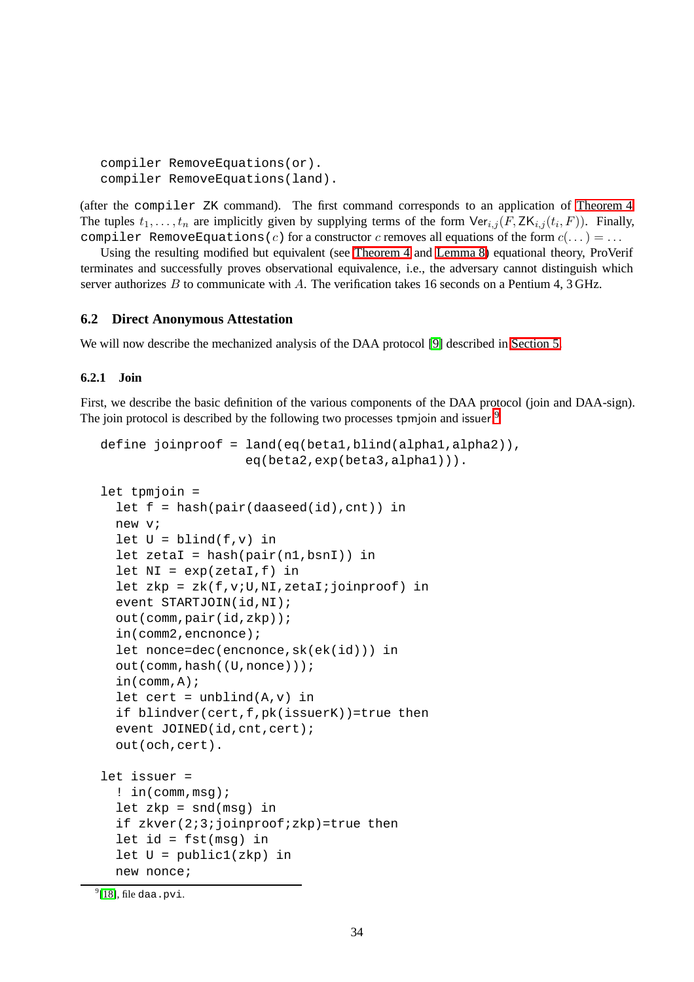```
compiler RemoveEquations(or).
compiler RemoveEquations(land).
```
(after the compiler ZK command). The first command corresponds to an application of [Theorem 4.](#page-19-0) The tuples  $t_1, \ldots, t_n$  are implicitly given by supplying terms of the form  $\text{Ver}_{i,j}(F, \text{ZK}_{i,j}(t_i, F))$ . Finally, compiler RemoveEquations(c) for a constructor c removes all equations of the form  $c(\dots) = \dots$ 

Using the resulting modified but equivalent (see [Theorem 4](#page-19-0) and [Lemma 8\)](#page-19-1) equational theory, ProVerif terminates and successfully proves observational equivalence, i.e., the adversary cannot distinguish which server authorizes  $B$  to communicate with  $A$ . The verification takes 16 seconds on a Pentium 4, 3 GHz.

#### <span id="page-33-0"></span>**6.2 Direct Anonymous Attestation**

We will now describe the mechanized analysis of the DAA protocol [\[9\]](#page-41-11) described in [Section 5.](#page-20-0)

#### **6.2.1 Join**

First, we describe the basic definition of the various components of the DAA protocol (join and DAA-sign). The join protocol is described by the following two processes tpmjoin and issuer.<sup>[9](#page-33-1)</sup>

```
define joinproof = land(eq(beta1,blind(alpha1,alpha2)),
                    eq(beta2,exp(beta3,alpha1))).
let tpmjoin =
  let f = hash(pair(daaseed(id),cnt)) in
  new v;
  let U = \text{blind}(f, v) in
  let zeta = hash(pair(n1,bsn1)) in
  let NI = exp(zeta, f) inlet zkp = zk(f,v;U,NI,zetaI;joinproof) in
  event STARTJOIN(id,NI);
  out(comm,pair(id,zkp));
  in(comm2,encnonce);
  let nonce=dec(encnonce,sk(ek(id))) in
  out(comm,hash((U,nonce)));
  in(comm,A);
  let cert = unblind(A,v) in
  if blindver(cert,f,pk(issuerK))=true then
  event JOINED(id, cnt, cert);
  out(och,cert).
let issuer =
  ! in(comm,msg);
  let zkp = \text{snd}(\text{msg}) in
  if zkver(2;3;joinproof;zkp)=true then
  let id = fst(msg) in
  let U = public1(zkp) in
 new nonce;
```
<span id="page-33-1"></span> $^{9}$ [\[18\]](#page-41-15), file daa.pvi.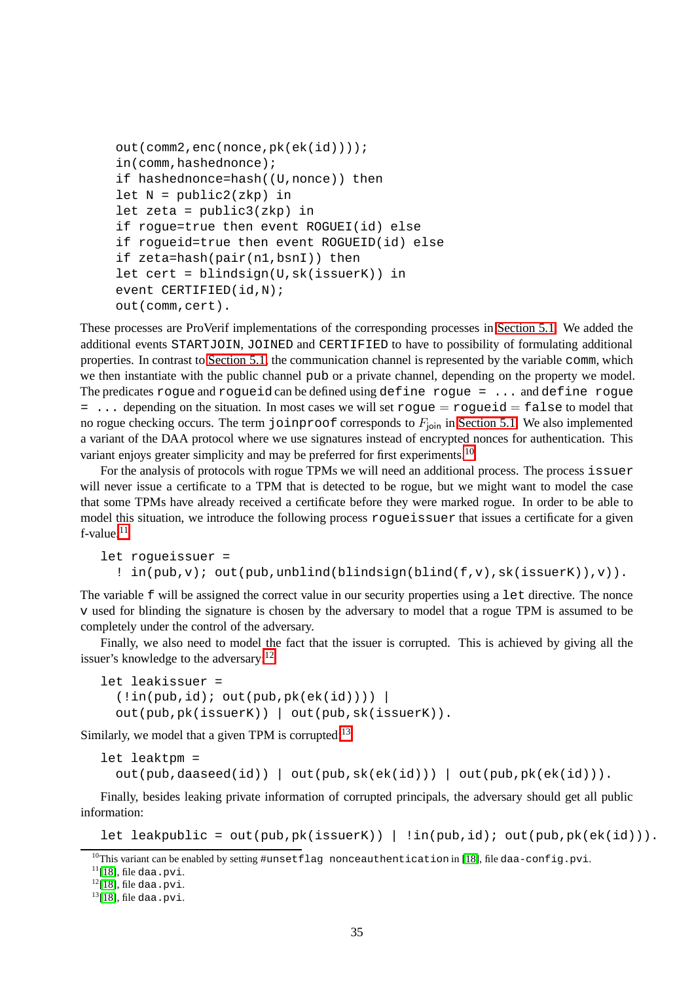```
out(comm2,enc(nonce,pk(ek(id))));
in(comm,hashednonce);
if hashednonce=hash((U,nonce)) then
let N = public2(zkp) inlet zeta = public3(zkp) in
if rogue=true then event ROGUEI(id) else
if rogueid=true then event ROGUEID(id) else
if zeta=hash(pair(n1,bsnI)) then
let cert = blindsign(U,sk(issuerK)) in
event CERTIFIED(id,N);
out(comm,cert).
```
These processes are ProVerif implementations of the corresponding processes in [Section 5.1.](#page-20-1) We added the additional events STARTJOIN, JOINED and CERTIFIED to have to possibility of formulating additional properties. In contrast to [Section 5.1,](#page-20-1) the communication channel is represented by the variable comm, which we then instantiate with the public channel pub or a private channel, depending on the property we model. The predicates roque and roqueid can be defined using define roque  $= \ldots$  and define roque  $= \ldots$  depending on the situation. In most cases we will set rogue  $=$  rogueid  $=$  false to model that no rogue checking occurs. The term joinproof corresponds to  $F_{\text{join}}$  in [Section 5.1.](#page-20-1) We also implemented a variant of the DAA protocol where we use signatures instead of encrypted nonces for authentication. This variant enjoys greater simplicity and may be preferred for first experiments.<sup>[10](#page-34-0)</sup>

For the analysis of protocols with rogue TPMs we will need an additional process. The process issuer will never issue a certificate to a TPM that is detected to be rogue, but we might want to model the case that some TPMs have already received a certificate before they were marked rogue. In order to be able to model this situation, we introduce the following process rogueissuer that issues a certificate for a given f-value.[11](#page-34-1)

```
let rogueissuer =
  ! in(pub,v); out(pub,unblind(blindsign(blind(f,v),sk(issuerK)),v)).
```
The variable f will be assigned the correct value in our security properties using a let directive. The nonce v used for blinding the signature is chosen by the adversary to model that a rogue TPM is assumed to be completely under the control of the adversary.

Finally, we also need to model the fact that the issuer is corrupted. This is achieved by giving all the issuer's knowledge to the adversary: $12$ 

```
let leakissuer =
  (lin(pub, id); out(pub,pk(ek(id))))out(pub,pk(issuerK)) | out(pub,sk(issuerK)).
```
Similarly, we model that a given TPM is corrupted: $13$ 

```
let leaktpm =
  out(pub,daaseed(id)) | out(pub,sk(ek(id))) | out(pub,pk(ek(id))).
```
Finally, besides leaking private information of corrupted principals, the adversary should get all public information:

```
let leakpublic = out(pub,pk(issuerK)) | !in(pub,id); out(pub,pk(ek(id))).
```
<span id="page-34-0"></span> $10$ This variant can be enabled by setting #unsetflag nonceauthentication in [\[18\]](#page-41-15), file daa-config.pvi.

 $11$ [\[18\]](#page-41-15), file daa.pvi.

<span id="page-34-1"></span> $12$ [\[18\]](#page-41-15), file daa.pvi.

<span id="page-34-3"></span><span id="page-34-2"></span> $13$ [\[18\]](#page-41-15), file daa.pvi.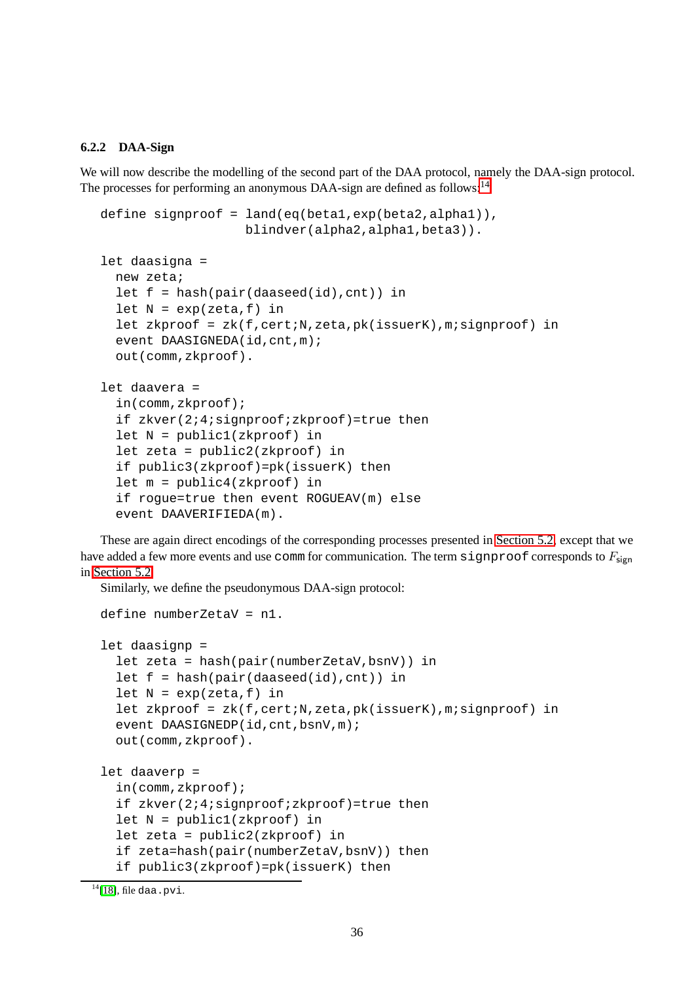#### **6.2.2 DAA-Sign**

We will now describe the modelling of the second part of the DAA protocol, namely the DAA-sign protocol. The processes for performing an anonymous DAA-sign are defined as follows:<sup>[14](#page-35-0)</sup>

```
define signproof = land(eq(betal,exp(beta2,alpha1)),
                   blindver(alpha2,alpha1,beta3)).
let daasigna =
 new zeta;
  let f = hash(pair(daaseed(id),cnt)) in
  let N = exp( zeta, f) in
  let zkproof = zk(f, cert;N, zeta, pk(issuerK), m; signproof) in
  event DAASIGNEDA(id, cnt,m);
  out(comm,zkproof).
let daavera =
  in(comm,zkproof);
  if zkver(2;4;signproof;zkproof)=true then
  let N = public1(zkproof) in
  let zeta = public2(zkproof) in
  if public3(zkproof)=pk(issuerK) then
  let m = public4(zkproof) in
  if rogue=true then event ROGUEAV(m) else
  event DAAVERIFIEDA(m).
```
These are again direct encodings of the corresponding processes presented in [Section 5.2,](#page-22-0) except that we have added a few more events and use comm for communication. The term signproof corresponds to  $F_{\text{sign}}$ in [Section 5.2.](#page-22-0)

Similarly, we define the pseudonymous DAA-sign protocol:

```
define numberZetaV = n1.
let daasignp =
  let zeta = hash(pair(numberZetaV,bsnV)) in
  let f = hash(pair(daaseed(id),cnt)) in
  let N = exp( zeta, f) in
  let zkproof = zk(f,cert;N,zeta,pk(issuerK),m;signproof) in
  event DAASIGNEDP(id, cnt, bsnV, m);
  out(comm,zkproof).
let daaverp =
  in(comm,zkproof);
  if zkver(2;4;signproof;zkproof)=true then
  let N = public1(zkproof) in
  let zeta = public2(zkproof) in
  if zeta=hash(pair(numberZetaV,bsnV)) then
  if public3(zkproof)=pk(issuerK) then
```
<span id="page-35-0"></span> $14$ [\[18\]](#page-41-15), file daa.pvi.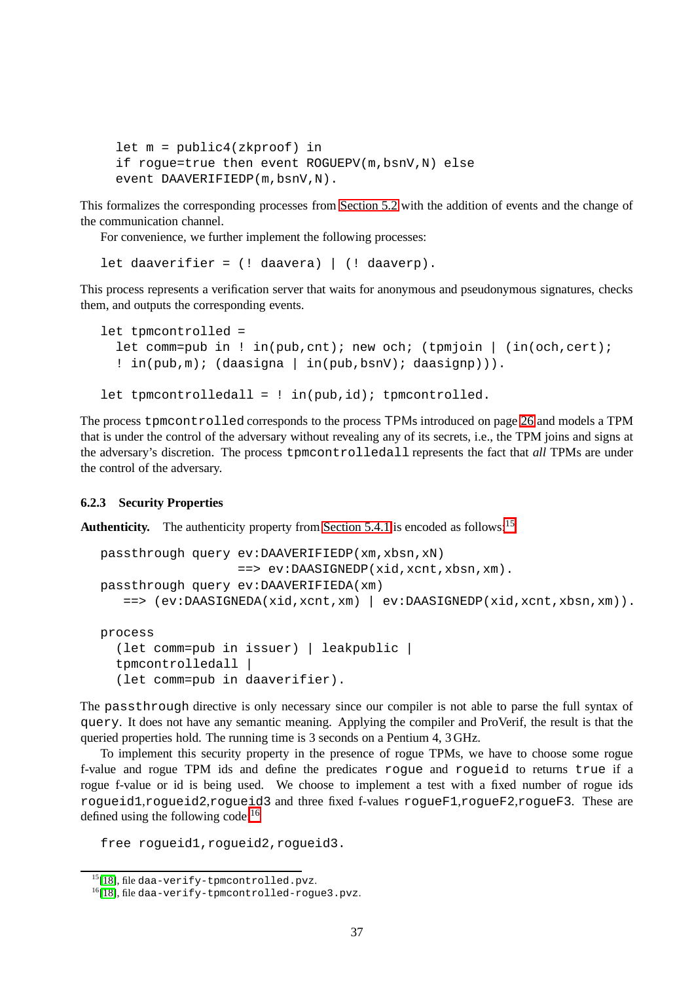```
let m = public4(zkproof) in
if rogue=true then event ROGUEPV(m,bsnV,N) else
event DAAVERIFIEDP(m,bsnV,N).
```
This formalizes the corresponding processes from [Section 5.2](#page-22-0) with the addition of events and the change of the communication channel.

For convenience, we further implement the following processes:

let daaverifier =  $($ ! daavera) |  $($ ! daaverp $)$ .

This process represents a verification server that waits for anonymous and pseudonymous signatures, checks them, and outputs the corresponding events.

```
let tpmcontrolled =
  let comm=pub in ! in(pub, cnt); new och; (tpmjoin | (in(och, cert);
  ! in(pub,m); (daasigna | in(pub,bsnV); daasignp))).
let tpmcontrolledall = : in(pub, id); tpmcontrolled.
```
The process tpmcontrolled corresponds to the process TPMs introduced on page [26](#page-25-0) and models a TPM that is under the control of the adversary without revealing any of its secrets, i.e., the TPM joins and signs at the adversary's discretion. The process tpmcontrolledall represents the fact that *all* TPMs are under the control of the adversary.

#### <span id="page-36-0"></span>**6.2.3 Security Properties**

**Authenticity.** The authenticity property from [Section 5.4.1](#page-25-0) is encoded as follows:<sup>[15](#page-36-1)</sup>

```
passthrough query ev:DAAVERIFIEDP(xm,xbsn,xN)
                  ==> ev:DAASIGNEDP(xid,xcnt,xbsn,xm).
passthrough query ev:DAAVERIFIEDA(xm)
   ==> (ev:DAASIGNEDA(xid,xcnt,xm) | ev:DAASIGNEDP(xid,xcnt,xbsn,xm)).
process
```

```
(let comm=pub in issuer) | leakpublic |
tpmcontrolledall |
(let comm=pub in daaverifier).
```
The passthrough directive is only necessary since our compiler is not able to parse the full syntax of query. It does not have any semantic meaning. Applying the compiler and ProVerif, the result is that the queried properties hold. The running time is 3 seconds on a Pentium 4, 3 GHz.

To implement this security property in the presence of rogue TPMs, we have to choose some rogue f-value and rogue TPM ids and define the predicates rogue and rogueid to returns true if a rogue f-value or id is being used. We choose to implement a test with a fixed number of rogue ids rogueid1,rogueid2,rogueid3 and three fixed f-values rogueF1,rogueF2,rogueF3. These are defined using the following code: $16$ 

free rogueid1,rogueid2,rogueid3.

<sup>&</sup>lt;sup>15</sup>[\[18\]](#page-41-15), file daa-verify-tpmcontrolled.pvz.

<span id="page-36-2"></span><span id="page-36-1"></span> $16$ [\[18\]](#page-41-15), file daa-verify-tpmcontrolled-rogue3.pvz.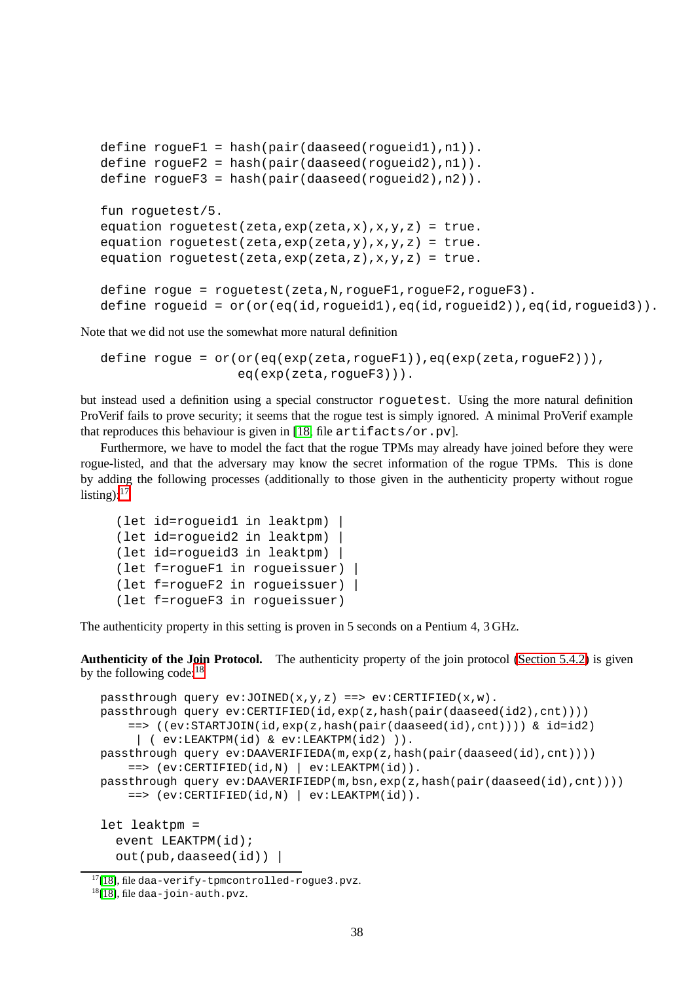```
define rogueF1 = hash(pair(daaseed(rogueid1),n1)).
define rogueF2 = hash(pair(daaseed(rogueid2),n1)).
define rogueF3 = hash(pair(daaseed(rogueid2),n2)).
fun roguetest/5.
equation roguetest(zeta,exp(zeta,x),x, y, z) = true.
equation roguetest(zeta,exp(zeta,y),x, y, z) = true.
equation roguetest(zeta,exp(zeta,z),x,y,z) = true.
define rogue = roguetest(zeta,N,rogueF1,rogueF2,rogueF3).
define rogueid = or(or(eq(id,rogueid1),eq(id,rogueid2)),eq(id,rogueid3)).
```
Note that we did not use the somewhat more natural definition

```
define roque = or(or(eq(exp(zeta,roqueF1))), eq(exp(zeta,roqueF2))),
                  eq(exp(zeta,rogueF3))).
```
but instead used a definition using a special constructor roguetest. Using the more natural definition ProVerif fails to prove security; it seems that the rogue test is simply ignored. A minimal ProVerif example that reproduces this behaviour is given in [\[18,](#page-41-15) file artifacts/or.pv].

Furthermore, we have to model the fact that the rogue TPMs may already have joined before they were rogue-listed, and that the adversary may know the secret information of the rogue TPMs. This is done by adding the following processes (additionally to those given in the authenticity property without rogue listing): $17$ 

```
(let id=rogueid1 in leaktpm) |
(let id=rogueid2 in leaktpm) |
(let id=rogueid3 in leaktpm) |
(let f=rogueF1 in rogueissuer) |
(let f=rogueF2 in rogueissuer) |
(let f=rogueF3 in rogueissuer)
```
The authenticity property in this setting is proven in 5 seconds on a Pentium 4, 3 GHz.

**Authenticity of the Join Protocol.** The authenticity property of the join protocol [\(Section 5.4.2\)](#page-25-1) is given by the following code:  $18$ 

```
passthrough query ev:JOINED(x,y,z) \implies ev:CENTIFIED(x,w).
passthrough query ev:CERTIFIED(id,exp(z,hash(pair(daaseed(id2),cnt))))
    ==> ((ev:STARTJOIN(id,exp(z,hash(pair(daaseed(id),cnt)))) & id=id2)
     | ( ev:LEAKTPM(id) & ev:LEAKTPM(id2) )).
passthrough query ev:DAAVERIFIEDA(m,exp(z,hash(pair(daaseed(id),cnt))))
    \equiv = > (ev:CERTIFIED(id, N) | ev:LEAKTPM(id)).
passthrough query ev:DAAVERIFIEDP(m,bsn,exp(z,hash(pair(daaseed(id),cnt))))
    ==> (ev:CERTIFIED(id,N) | ev:LEAKTPM(id)).
let leaktpm =
  event LEAKTPM(id);
  out(pub,daased(id))
```
 $17$ [\[18\]](#page-41-15), file daa-verify-tpmcontrolled-roque3.pvz.

<span id="page-37-1"></span><span id="page-37-0"></span> $18$ [\[18\]](#page-41-15), file daa-join-auth.pvz.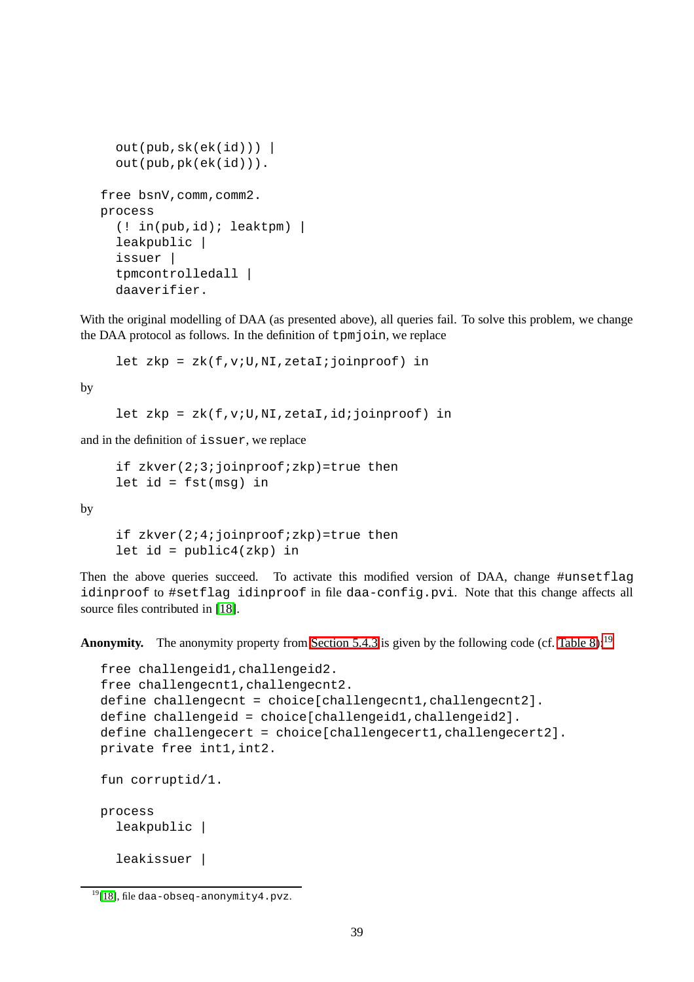```
out(pub, sk(ek(id)))out(pub,pk(ek(id))).
free bsnV,comm,comm2.
process
  (! in(pub,id); leaktpm) |
  leakpublic |
  issuer |
  tpmcontrolledall |
  daaverifier.
```
With the original modelling of DAA (as presented above), all queries fail. To solve this problem, we change the DAA protocol as follows. In the definition of tpmjoin, we replace

let zkp =  $zk(f,v;U,NI,zetaI;joinproof)$  in

by

let zkp = zk(f, v; U, NI, zetaI, id; joinproof) in

and in the definition of issuer, we replace

```
if zkver(2;3;joinproof;zkp)=true then
let id = fst(msq) in
```
by

```
if zkver(2;4;joinproof;zkp)=true then
let id = public4(zkp) in
```
Then the above queries succeed. To activate this modified version of DAA, change #unsetflag idinproof to #setflag idinproof in file daa-config.pvi. Note that this change affects all source files contributed in [\[18\]](#page-41-15).

**Anonymity.** The anonymity property from [Section 5.4.3](#page-27-3) is given by the following code (cf. [Table 8\)](#page-28-1):<sup>[19](#page-38-0)</sup>

```
free challengeid1,challengeid2.
free challengecnt1,challengecnt2.
define challengecnt = choice[challengecnt1,challengecnt2].
define challengeid = choice[challengeid1,challengeid2].
define challengecert = choice[challengecert1,challengecert2].
private free int1,int2.
fun corruptid/1.
process
 leakpublic |
  leakissuer |
```
<span id="page-38-0"></span> $19$ [\[18\]](#page-41-15), file daa-obseq-anonymity4.pvz.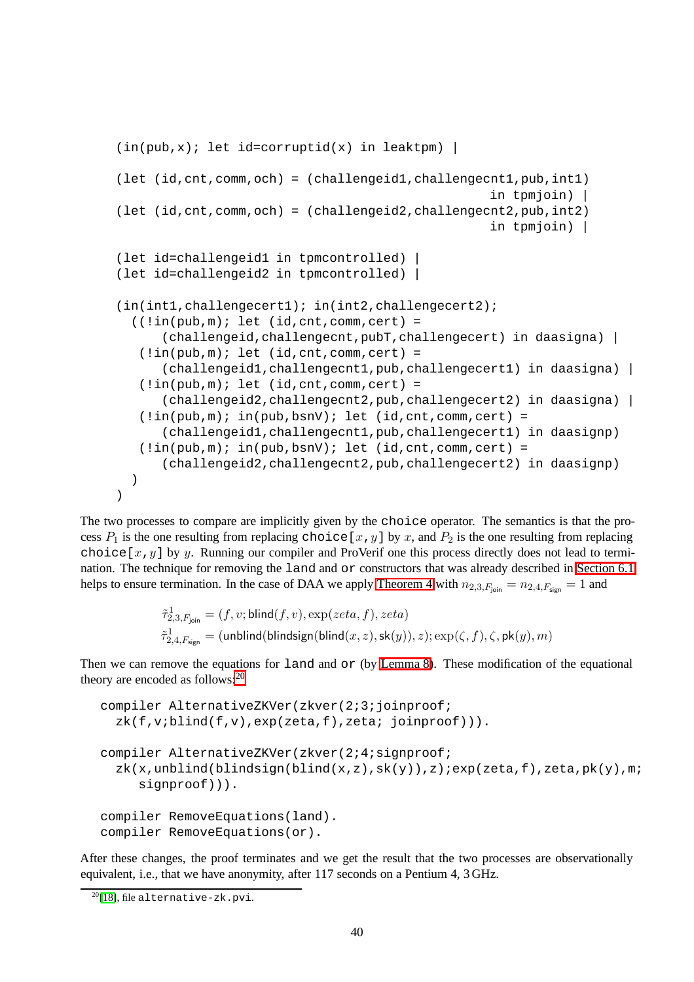```
(in(pub,x); let id=corruptid(x) in leaktpm) |
(let (id,cnt,comm,och) = (challengeid1,challengecnt1,pub,int1)
                                                      in tpmjoin) |
(\text{let } (id, \text{cnt}, \text{comm}, \text{och}) = (\text{challengeid2}, \text{challengecnt2}, \text{pub}, \text{int2})in tpmjoin) |
(let id=challengeid1 in tpmcontrolled) |
(let id=challengeid2 in tpmcontrolled) |
(in(int1,challengecert1); in(int2,challengecert2);
  ((lin(pub,m); let (id,cnt,comm,cert)) =(challengeid,challengecnt,pubT,challengecert) in daasigna) |
   (lin(\text{pub.m}): let (id, \text{cnt.com}, \text{cert}) =(challengeid1,challengecnt1,pub,challengecert1) in daasigna) |
   (l.in(pub,m); let (id,cnt,comm,cert) =(challengeid2,challengecnt2,pub,challengecert2) in daasigna) |
   (l.in(pub,m); in(pub,bsnV); let (id,cnt,comm,cert) =(challengeid1,challengecnt1,pub,challengecert1) in daasignp)
   (l.in(pub,m); in(pub,bsnV); let (id,cnt,comm,cert) =(challengeid2,challengecnt2,pub,challengecert2) in daasignp)
  )
)
```
The two processes to compare are implicitly given by the choice operator. The semantics is that the process  $P_1$  is the one resulting from replacing choice [x, y] by x, and  $P_2$  is the one resulting from replacing choice [x, y] by y. Running our compiler and ProVerif one this process directly does not lead to termination. The technique for removing the land and or constructors that was already described in [Section 6.1](#page-30-2) helps to ensure termination. In the case of DAA we apply [Theorem 4](#page-19-0) with  $n_{2,3,F_{\text{ion}}} = n_{2,4,F_{\text{sign}}} = 1$  and

$$
\begin{aligned} \tilde{\tau}^1_{2,3,F_\mathsf{join}}&=(f,v;\mathsf{blind}(f,v),\exp(zeta,f),zeta)\\ \tilde{\tau}^1_{2,4,F_\mathsf{sign}}&=(\mathsf{unblind}(\mathsf{blindsign}(\mathsf{blind}(x,z),\mathsf{sk}(y)),z);\exp(\zeta,f),\zeta,\mathsf{pk}(y),m) \end{aligned}
$$

Then we can remove the equations for land and or (by [Lemma 8\)](#page-19-1). These modification of the equational theory are encoded as follows: $^{20}$  $^{20}$  $^{20}$ 

```
compiler AlternativeZKVer(zkver(2;3;joinproof;
  zk(f,viblind(f,v),exp(zeta,f),zeta; joinproof)).
compiler AlternativeZKVer(zkver(2;4;signproof;
  zk(x,unblind(blingsign(bling(x,z),sk(y)),z);exp(zeta,f),zeta,pk(y),m;
     signproof))).
compiler RemoveEquations(land).
compiler RemoveEquations(or).
```
After these changes, the proof terminates and we get the result that the two processes are observationally equivalent, i.e., that we have anonymity, after 117 seconds on a Pentium 4, 3 GHz.

<span id="page-39-0"></span> $^{20}$ [\[18\]](#page-41-15), file alternative-zk.pvi.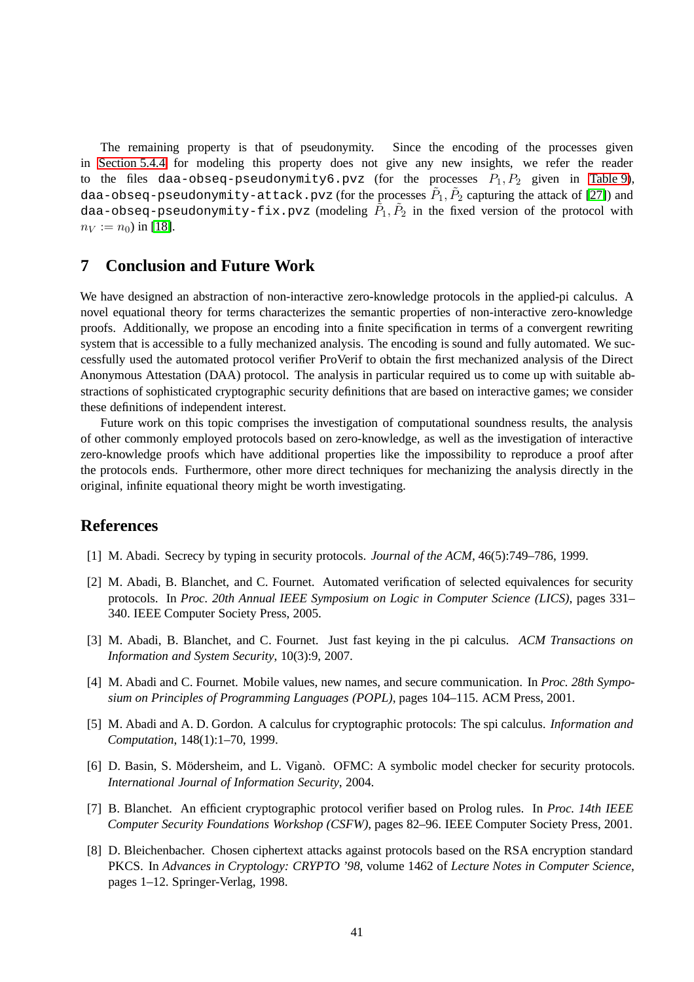The remaining property is that of pseudonymity. Since the encoding of the processes given in [Section 5.4.4](#page-28-8) for modeling this property does not give any new insights, we refer the reader to the files daa-obseq-pseudonymity6.pvz (for the processes  $P_1, P_2$  given in [Table 9\)](#page-29-0), daa-obseq-pseudonymity-attack.pvz (for the processes  $\tilde{P}_1, \tilde{P}_2$  capturing the attack of [\[27\]](#page-42-4)) and daa-obseq-pseudonymity-fix.pvz (modeling  $\tilde{P}_1, \tilde{P}_2$  in the fixed version of the protocol with  $n_V := n_0$ ) in [\[18\]](#page-41-15).

## <span id="page-40-8"></span>**7 Conclusion and Future Work**

We have designed an abstraction of non-interactive zero-knowledge protocols in the applied-pi calculus. A novel equational theory for terms characterizes the semantic properties of non-interactive zero-knowledge proofs. Additionally, we propose an encoding into a finite specification in terms of a convergent rewriting system that is accessible to a fully mechanized analysis. The encoding is sound and fully automated. We successfully used the automated protocol verifier ProVerif to obtain the first mechanized analysis of the Direct Anonymous Attestation (DAA) protocol. The analysis in particular required us to come up with suitable abstractions of sophisticated cryptographic security definitions that are based on interactive games; we consider these definitions of independent interest.

Future work on this topic comprises the investigation of computational soundness results, the analysis of other commonly employed protocols based on zero-knowledge, as well as the investigation of interactive zero-knowledge proofs which have additional properties like the impossibility to reproduce a proof after the protocols ends. Furthermore, other more direct techniques for mechanizing the analysis directly in the original, infinite equational theory might be worth investigating.

## <span id="page-40-3"></span>**References**

- <span id="page-40-7"></span>[1] M. Abadi. Secrecy by typing in security protocols. *Journal of the ACM*, 46(5):749–786, 1999.
- [2] M. Abadi, B. Blanchet, and C. Fournet. Automated verification of selected equivalences for security protocols. In *Proc. 20th Annual IEEE Symposium on Logic in Computer Science (LICS)*, pages 331– 340. IEEE Computer Society Press, 2005.
- <span id="page-40-6"></span>[3] M. Abadi, B. Blanchet, and C. Fournet. Just fast keying in the pi calculus. *ACM Transactions on Information and System Security*, 10(3):9, 2007.
- <span id="page-40-4"></span>[4] M. Abadi and C. Fournet. Mobile values, new names, and secure communication. In *Proc. 28th Symposium on Principles of Programming Languages (POPL)*, pages 104–115. ACM Press, 2001.
- <span id="page-40-1"></span>[5] M. Abadi and A. D. Gordon. A calculus for cryptographic protocols: The spi calculus. *Information and Computation*, 148(1):1–70, 1999.
- <span id="page-40-2"></span>[6] D. Basin, S. Mödersheim, and L. Viganò. OFMC: A symbolic model checker for security protocols. *International Journal of Information Security*, 2004.
- <span id="page-40-5"></span>[7] B. Blanchet. An efficient cryptographic protocol verifier based on Prolog rules. In *Proc. 14th IEEE Computer Security Foundations Workshop (CSFW)*, pages 82–96. IEEE Computer Society Press, 2001.
- <span id="page-40-0"></span>[8] D. Bleichenbacher. Chosen ciphertext attacks against protocols based on the RSA encryption standard PKCS. In *Advances in Cryptology: CRYPTO '98*, volume 1462 of *Lecture Notes in Computer Science*, pages 1–12. Springer-Verlag, 1998.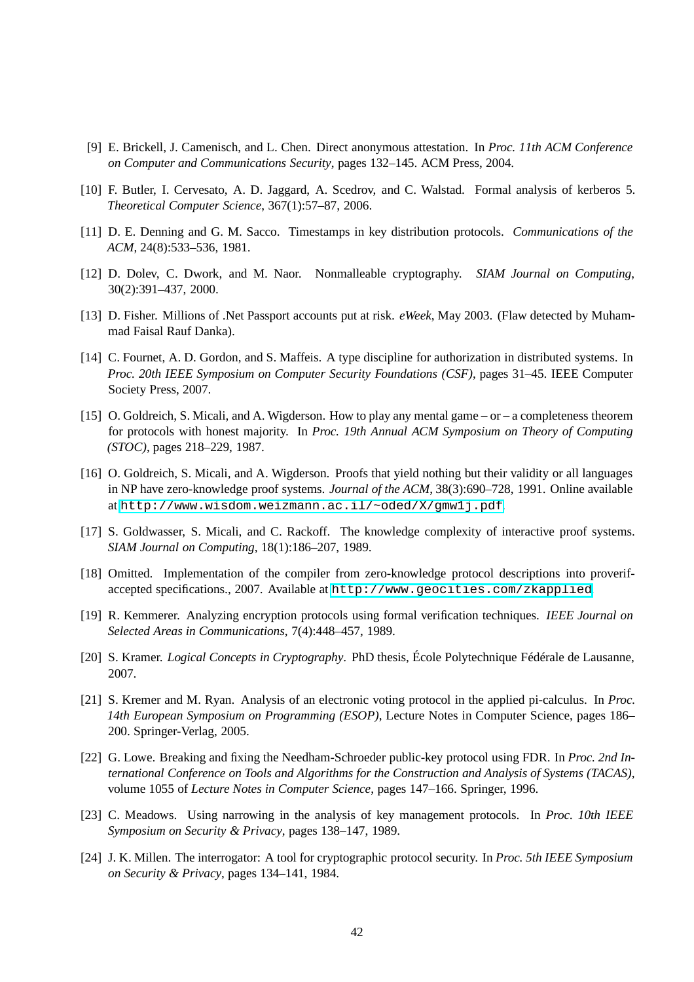- <span id="page-41-11"></span>[9] E. Brickell, J. Camenisch, and L. Chen. Direct anonymous attestation. In *Proc. 11th ACM Conference on Computer and Communications Security*, pages 132–145. ACM Press, 2004.
- <span id="page-41-2"></span><span id="page-41-0"></span>[10] F. Butler, I. Cervesato, A. D. Jaggard, A. Scedrov, and C. Walstad. Formal analysis of kerberos 5. *Theoretical Computer Science*, 367(1):57–87, 2006.
- <span id="page-41-10"></span>[11] D. E. Denning and G. M. Sacco. Timestamps in key distribution protocols. *Communications of the ACM*, 24(8):533–536, 1981.
- <span id="page-41-1"></span>[12] D. Dolev, C. Dwork, and M. Naor. Nonmalleable cryptography. *SIAM Journal on Computing*, 30(2):391–437, 2000.
- <span id="page-41-13"></span>[13] D. Fisher. Millions of .Net Passport accounts put at risk. *eWeek*, May 2003. (Flaw detected by Muhammad Faisal Rauf Danka).
- [14] C. Fournet, A. D. Gordon, and S. Maffeis. A type discipline for authorization in distributed systems. In *Proc. 20th IEEE Symposium on Computer Security Foundations (CSF)*, pages 31–45. IEEE Computer Society Press, 2007.
- <span id="page-41-9"></span>[15] O. Goldreich, S. Micali, and A. Wigderson. How to play any mental game – or – a completeness theorem for protocols with honest majority. In *Proc. 19th Annual ACM Symposium on Theory of Computing (STOC)*, pages 218–229, 1987.
- <span id="page-41-8"></span>[16] O. Goldreich, S. Micali, and A. Wigderson. Proofs that yield nothing but their validity or all languages in NP have zero-knowledge proof systems. *Journal of the ACM*, 38(3):690–728, 1991. Online available at <http://www.wisdom.weizmann.ac.il/~oded/X/gmw1j.pdf>.
- <span id="page-41-15"></span><span id="page-41-7"></span>[17] S. Goldwasser, S. Micali, and C. Rackoff. The knowledge complexity of interactive proof systems. *SIAM Journal on Computing*, 18(1):186–207, 1989.
- [18] Omitted. Implementation of the compiler from zero-knowledge protocol descriptions into proverifaccepted specifications., 2007. Available at <http://www.geocities.com/zkapplied>.
- <span id="page-41-14"></span><span id="page-41-5"></span>[19] R. Kemmerer. Analyzing encryption protocols using formal verification techniques. *IEEE Journal on Selected Areas in Communications*, 7(4):448–457, 1989.
- <span id="page-41-12"></span>[20] S. Kramer. *Logical Concepts in Cryptography*. PhD thesis, École Polytechnique Fédérale de Lausanne, 2007.
- [21] S. Kremer and M. Ryan. Analysis of an electronic voting protocol in the applied pi-calculus. In *Proc. 14th European Symposium on Programming (ESOP)*, Lecture Notes in Computer Science, pages 186– 200. Springer-Verlag, 2005.
- <span id="page-41-6"></span>[22] G. Lowe. Breaking and fixing the Needham-Schroeder public-key protocol using FDR. In *Proc. 2nd International Conference on Tools and Algorithms for the Construction and Analysis of Systems (TACAS)*, volume 1055 of *Lecture Notes in Computer Science*, pages 147–166. Springer, 1996.
- <span id="page-41-4"></span>[23] C. Meadows. Using narrowing in the analysis of key management protocols. In *Proc. 10th IEEE Symposium on Security & Privacy*, pages 138–147, 1989.
- <span id="page-41-3"></span>[24] J. K. Millen. The interrogator: A tool for cryptographic protocol security. In *Proc. 5th IEEE Symposium on Security & Privacy*, pages 134–141, 1984.